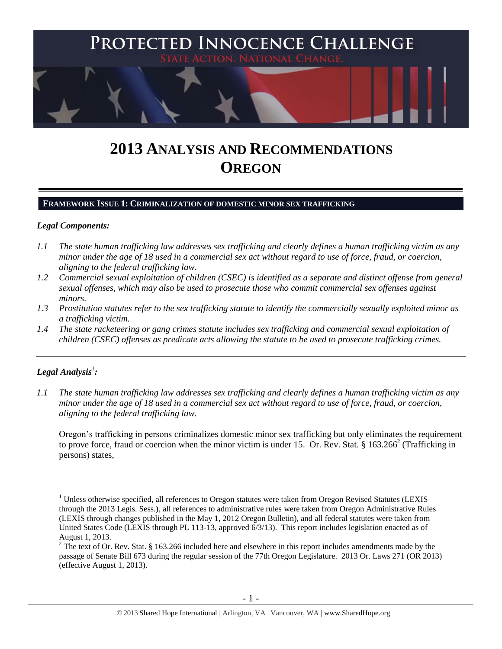

# **2013 ANALYSIS AND RECOMMENDATIONS OREGON**

#### **FRAMEWORK ISSUE 1: CRIMINALIZATION OF DOMESTIC MINOR SEX TRAFFICKING**

#### *Legal Components:*

- *1.1 The state human trafficking law addresses sex trafficking and clearly defines a human trafficking victim as any minor under the age of 18 used in a commercial sex act without regard to use of force, fraud, or coercion, aligning to the federal trafficking law.*
- *1.2 Commercial sexual exploitation of children (CSEC) is identified as a separate and distinct offense from general sexual offenses, which may also be used to prosecute those who commit commercial sex offenses against minors.*
- *1.3 Prostitution statutes refer to the sex trafficking statute to identify the commercially sexually exploited minor as a trafficking victim.*
- *1.4 The state racketeering or gang crimes statute includes sex trafficking and commercial sexual exploitation of children (CSEC) offenses as predicate acts allowing the statute to be used to prosecute trafficking crimes.*

# $\bm{L}$ egal Analysis $^1$ :

 $\overline{a}$ 

*1.1 The state human trafficking law addresses sex trafficking and clearly defines a human trafficking victim as any minor under the age of 18 used in a commercial sex act without regard to use of force, fraud, or coercion, aligning to the federal trafficking law.*

<span id="page-0-0"></span>Oregon's trafficking in persons criminalizes domestic minor sex trafficking but only eliminates the requirement to prove force, fraud or coercion when the minor victim is under 15. Or. Rev. Stat. §  $163.266^2$  (Trafficking in persons) states,

<sup>&</sup>lt;sup>1</sup> Unless otherwise specified, all references to Oregon statutes were taken from Oregon Revised Statutes (LEXIS through the 2013 Legis. Sess.), all references to administrative rules were taken from Oregon Administrative Rules (LEXIS through changes published in the May 1, 2012 Oregon Bulletin), and all federal statutes were taken from United States Code (LEXIS through PL 113-13, approved 6/3/13). This report includes legislation enacted as of August 1, 2013.

 $2$  The text of Or. Rev. Stat. § 163.266 included here and elsewhere in this report includes amendments made by the passage of Senate Bill 673 during the regular session of the 77th Oregon Legislature. 2013 Or. Laws 271 (OR 2013) (effective August 1, 2013).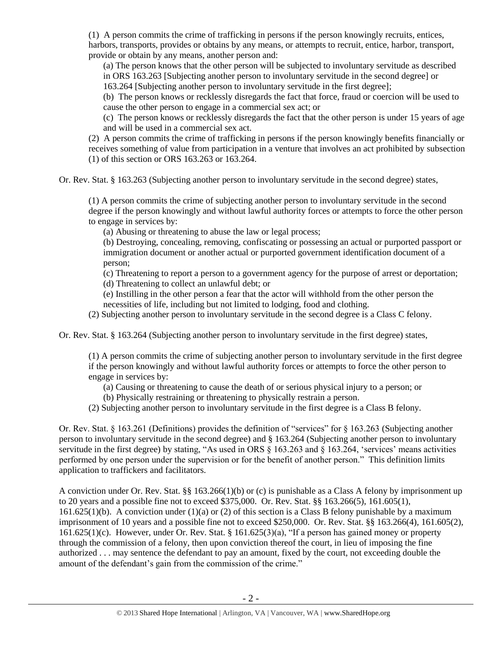(1) A person commits the crime of trafficking in persons if the person knowingly recruits, entices, harbors, transports, provides or obtains by any means, or attempts to recruit, entice, harbor, transport, provide or obtain by any means, another person and:

(a) The person knows that the other person will be subjected to involuntary servitude as described in ORS 163.263 [Subjecting another person to involuntary servitude in the second degree] or

163.264 [Subjecting another person to involuntary servitude in the first degree];

(b) The person knows or recklessly disregards the fact that force, fraud or coercion will be used to cause the other person to engage in a commercial sex act; or

(c) The person knows or recklessly disregards the fact that the other person is under 15 years of age and will be used in a commercial sex act.

(2) A person commits the crime of trafficking in persons if the person knowingly benefits financially or receives something of value from participation in a venture that involves an act prohibited by subsection (1) of this section or ORS 163.263 or 163.264.

Or. Rev. Stat. § 163.263 (Subjecting another person to involuntary servitude in the second degree) states,

(1) A person commits the crime of subjecting another person to involuntary servitude in the second degree if the person knowingly and without lawful authority forces or attempts to force the other person to engage in services by:

(a) Abusing or threatening to abuse the law or legal process;

(b) Destroying, concealing, removing, confiscating or possessing an actual or purported passport or immigration document or another actual or purported government identification document of a person;

(c) Threatening to report a person to a government agency for the purpose of arrest or deportation;

(d) Threatening to collect an unlawful debt; or

(e) Instilling in the other person a fear that the actor will withhold from the other person the necessities of life, including but not limited to lodging, food and clothing.

(2) Subjecting another person to involuntary servitude in the second degree is a Class C felony.

Or. Rev. Stat. § 163.264 (Subjecting another person to involuntary servitude in the first degree) states,

(1) A person commits the crime of subjecting another person to involuntary servitude in the first degree if the person knowingly and without lawful authority forces or attempts to force the other person to engage in services by:

(a) Causing or threatening to cause the death of or serious physical injury to a person; or

(b) Physically restraining or threatening to physically restrain a person.

(2) Subjecting another person to involuntary servitude in the first degree is a Class B felony.

Or. Rev. Stat. § 163.261 (Definitions) provides the definition of "services" for § 163.263 (Subjecting another person to involuntary servitude in the second degree) and § 163.264 (Subjecting another person to involuntary servitude in the first degree) by stating, "As used in ORS § 163.263 and § 163.264, 'services' means activities performed by one person under the supervision or for the benefit of another person." This definition limits application to traffickers and facilitators.

A conviction under Or. Rev. Stat. §§ 163.266(1)(b) or (c) is punishable as a Class A felony by imprisonment up to 20 years and a possible fine not to exceed \$375,000. Or. Rev. Stat. §§ 163.266(5), 161.605(1), 161.625(1)(b). A conviction under (1)(a) or (2) of this section is a Class B felony punishable by a maximum imprisonment of 10 years and a possible fine not to exceed \$250,000. Or. Rev. Stat. §§ 163.266(4), 161.605(2), 161.625(1)(c). However, under Or. Rev. Stat. § 161.625(3)(a), "If a person has gained money or property through the commission of a felony, then upon conviction thereof the court, in lieu of imposing the fine authorized . . . may sentence the defendant to pay an amount, fixed by the court, not exceeding double the amount of the defendant's gain from the commission of the crime."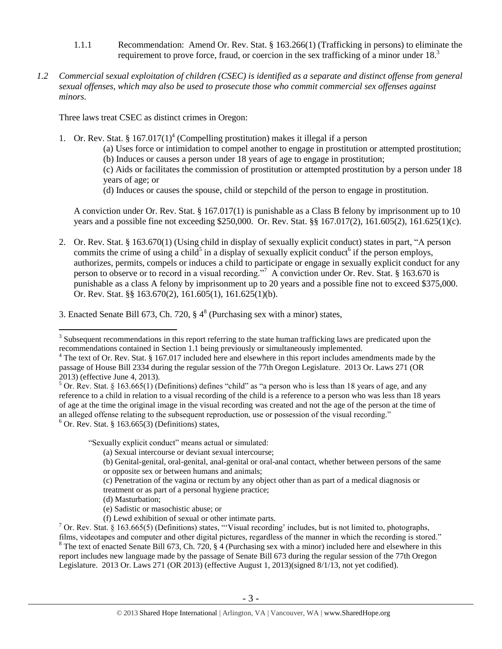- 1.1.1 Recommendation: Amend Or. Rev. Stat. § 163.266(1) (Trafficking in persons) to eliminate the requirement to prove force, fraud, or coercion in the sex trafficking of a minor under  $18<sup>3</sup>$
- *1.2 Commercial sexual exploitation of children (CSEC) is identified as a separate and distinct offense from general sexual offenses, which may also be used to prosecute those who commit commercial sex offenses against minors.*

Three laws treat CSEC as distinct crimes in Oregon:

1. Or. Rev. Stat. § 167.017(1)<sup>4</sup> (Compelling prostitution) makes it illegal if a person

<span id="page-2-0"></span>(a) Uses force or intimidation to compel another to engage in prostitution or attempted prostitution; (b) Induces or causes a person under 18 years of age to engage in prostitution;

(c) Aids or facilitates the commission of prostitution or attempted prostitution by a person under 18 years of age; or

<span id="page-2-4"></span><span id="page-2-3"></span><span id="page-2-2"></span>(d) Induces or causes the spouse, child or stepchild of the person to engage in prostitution.

A conviction under Or. Rev. Stat. § 167.017(1) is punishable as a Class B felony by imprisonment up to 10 years and a possible fine not exceeding \$250,000. Or. Rev. Stat. §§ 167.017(2), 161.605(2), 161.625(1)(c).

- 2. Or. Rev. Stat. § 163.670(1) (Using child in display of sexually explicit conduct) states in part, "A person commits the crime of using a child<sup>5</sup> in a display of sexually explicit conduct<sup>6</sup> if the person employs, authorizes, permits, compels or induces a child to participate or engage in sexually explicit conduct for any person to observe or to record in a visual recording."<sup>7</sup> A conviction under Or. Rev. Stat. § 163.670 is punishable as a class A felony by imprisonment up to 20 years and a possible fine not to exceed \$375,000. Or. Rev. Stat. §§ 163.670(2), 161.605(1), 161.625(1)(b).
- 3. Enacted Senate Bill 673, Ch. 720,  $\S 4^8$  (Purchasing sex with a minor) states,

"Sexually explicit conduct" means actual or simulated:

(a) Sexual intercourse or deviant sexual intercourse;

- or opposite sex or between humans and animals;
- (c) Penetration of the vagina or rectum by any object other than as part of a medical diagnosis or treatment or as part of a personal hygiene practice;
- (d) Masturbation;

<span id="page-2-1"></span> $\overline{a}$ 

- (e) Sadistic or masochistic abuse; or
- (f) Lewd exhibition of sexual or other intimate parts.

 $8$  The text of enacted Senate Bill 673, Ch. 720, § 4 (Purchasing sex with a minor) included here and elsewhere in this report includes new language made by the passage of Senate Bill 673 during the regular session of the 77th Oregon Legislature. 2013 Or. Laws 271 (OR 2013) (effective August 1, 2013)(signed 8/1/13, not yet codified).

 $3$  Subsequent recommendations in this report referring to the state human trafficking laws are predicated upon the recommendations contained in Section 1.1 being previously or simultaneously implemented.

 $4$  The text of Or. Rev. Stat. § 167.017 included here and elsewhere in this report includes amendments made by the passage of House Bill 2334 during the regular session of the 77th Oregon Legislature. 2013 Or. Laws 271 (OR 2013) (effective June 4, 2013).

 $5$  Or. Rev. Stat. § 163.665(1) (Definitions) defines "child" as "a person who is less than 18 years of age, and any reference to a child in relation to a visual recording of the child is a reference to a person who was less than 18 years of age at the time the original image in the visual recording was created and not the age of the person at the time of an alleged offense relating to the subsequent reproduction, use or possession of the visual recording."  $6$  Or. Rev. Stat. § 163.665(3) (Definitions) states,

<sup>(</sup>b) Genital-genital, oral-genital, anal-genital or oral-anal contact, whether between persons of the same

<sup>&</sup>lt;sup>7</sup> Or. Rev. Stat. § 163.665(5) (Definitions) states, "'Visual recording' includes, but is not limited to, photographs, films, videotapes and computer and other digital pictures, regardless of the manner in which the recording is stored."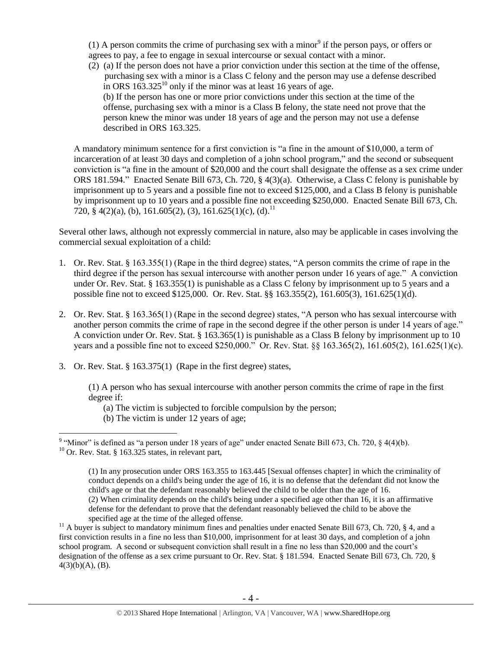(1) A person commits the crime of purchasing sex with a minor<sup>9</sup> if the person pays, or offers or agrees to pay, a fee to engage in sexual intercourse or sexual contact with a minor.

<span id="page-3-0"></span>(2) (a) If the person does not have a prior conviction under this section at the time of the offense, purchasing sex with a minor is a Class C felony and the person may use a defense described in ORS  $163.325^{10}$  only if the minor was at least 16 years of age. (b) If the person has one or more prior convictions under this section at the time of the offense, purchasing sex with a minor is a Class B felony, the state need not prove that the person knew the minor was under 18 years of age and the person may not use a defense described in ORS 163.325.

<span id="page-3-1"></span>A mandatory minimum sentence for a first conviction is "a fine in the amount of \$10,000, a term of incarceration of at least 30 days and completion of a john school program," and the second or subsequent conviction is "a fine in the amount of \$20,000 and the court shall designate the offense as a sex crime under ORS 181.594." Enacted Senate Bill 673, Ch. 720, § 4(3)(a). Otherwise, a Class C felony is punishable by imprisonment up to 5 years and a possible fine not to exceed \$125,000, and a Class B felony is punishable by imprisonment up to 10 years and a possible fine not exceeding \$250,000. Enacted Senate Bill 673, Ch. 720, § 4(2)(a), (b), 161.605(2), (3), 161.625(1)(c), (d).<sup>11</sup>

Several other laws, although not expressly commercial in nature, also may be applicable in cases involving the commercial sexual exploitation of a child:

- 1. Or. Rev. Stat. § 163.355(1) (Rape in the third degree) states, "A person commits the crime of rape in the third degree if the person has sexual intercourse with another person under 16 years of age." A conviction under Or. Rev. Stat. § 163.355(1) is punishable as a Class C felony by imprisonment up to 5 years and a possible fine not to exceed \$125,000. Or. Rev. Stat. §§ 163.355(2), 161.605(3), 161.625(1)(d).
- 2. Or. Rev. Stat. § 163.365(1) (Rape in the second degree) states, "A person who has sexual intercourse with another person commits the crime of rape in the second degree if the other person is under 14 years of age." A conviction under Or. Rev. Stat. § 163.365(1) is punishable as a Class B felony by imprisonment up to 10 years and a possible fine not to exceed \$250,000." Or. Rev. Stat. §§ 163.365(2), 161.605(2), 161.625(1)(c).
- 3. Or. Rev. Stat. § 163.375(1) (Rape in the first degree) states,

(1) A person who has sexual intercourse with another person commits the crime of rape in the first degree if:

- (a) The victim is subjected to forcible compulsion by the person;
- (b) The victim is under 12 years of age;

<sup>&</sup>lt;sup>9</sup> "Minor" is defined as "a person under 18 years of age" under enacted Senate Bill 673, Ch. 720,  $\S$  4(4)(b).  $10$  Or. Rev. Stat. § 163.325 states, in relevant part,

<sup>(1)</sup> In any prosecution under [ORS 163.355](https://a.next.westlaw.com/Link/Document/FullText?findType=L&pubNum=1000534&cite=ORSTS163.355&originatingDoc=NDBCF4B80B52311DB8E46AD894CF6FAAB&refType=LQ&originationContext=document&transitionType=DocumentItem&contextData=(sc.DocLink)) to [163.445](https://a.next.westlaw.com/Link/Document/FullText?findType=L&pubNum=1000534&cite=ORSTS163.445&originatingDoc=NDBCF4B80B52311DB8E46AD894CF6FAAB&refType=LQ&originationContext=document&transitionType=DocumentItem&contextData=(sc.DocLink)) [Sexual offenses chapter] in which the criminality of conduct depends on a child's being under the age of 16, it is no defense that the defendant did not know the child's age or that the defendant reasonably believed the child to be older than the age of 16. (2) When criminality depends on the child's being under a specified age other than 16, it is an affirmative defense for the defendant to prove that the defendant reasonably believed the child to be above the specified age at the time of the alleged offense.

<sup>&</sup>lt;sup>11</sup> A buver is subject to mandatory minimum fines and penalties under enacted Senate Bill 673, Ch. 720, § 4, and a first conviction results in a fine no less than \$10,000, imprisonment for at least 30 days, and completion of a john school program. A second or subsequent conviction shall result in a fine no less than \$20,000 and the court's designation of the offense as a sex crime pursuant to Or. Rev. Stat. § 181.594. Enacted Senate Bill 673, Ch. 720, §  $4(3)(b)(A), (B).$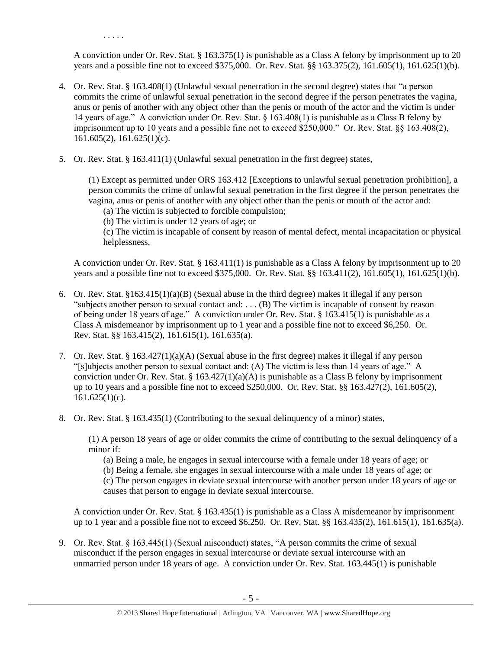. . . . .

A conviction under Or. Rev. Stat. § 163.375(1) is punishable as a Class A felony by imprisonment up to 20 years and a possible fine not to exceed \$375,000. Or. Rev. Stat. §§ 163.375(2), 161.605(1), 161.625(1)(b).

- 4. Or. Rev. Stat. § 163.408(1) (Unlawful sexual penetration in the second degree) states that "a person commits the crime of unlawful sexual penetration in the second degree if the person penetrates the vagina, anus or penis of another with any object other than the penis or mouth of the actor and the victim is under 14 years of age." A conviction under Or. Rev. Stat. § 163.408(1) is punishable as a Class B felony by imprisonment up to 10 years and a possible fine not to exceed \$250,000." Or. Rev. Stat. §§ 163.408(2), 161.605(2), 161.625(1)(c).
- 5. Or. Rev. Stat. § 163.411(1) (Unlawful sexual penetration in the first degree) states,

(1) Except as permitted under ORS 163.412 [Exceptions to unlawful sexual penetration prohibition], a person commits the crime of unlawful sexual penetration in the first degree if the person penetrates the vagina, anus or penis of another with any object other than the penis or mouth of the actor and:

- (a) The victim is subjected to forcible compulsion;
- (b) The victim is under 12 years of age; or

(c) The victim is incapable of consent by reason of mental defect, mental incapacitation or physical helplessness.

A conviction under Or. Rev. Stat. § 163.411(1) is punishable as a Class A felony by imprisonment up to 20 years and a possible fine not to exceed \$375,000. Or. Rev. Stat. §§ 163.411(2), 161.605(1), 161.625(1)(b).

- 6. Or. Rev. Stat. §163.415(1)(a)(B) (Sexual abuse in the third degree) makes it illegal if any person "subjects another person to sexual contact and: . . . (B) The victim is incapable of consent by reason of being under 18 years of age." A conviction under Or. Rev. Stat. § 163.415(1) is punishable as a Class A misdemeanor by imprisonment up to 1 year and a possible fine not to exceed \$6,250. Or. Rev. Stat. §§ 163.415(2), 161.615(1), 161.635(a).
- 7. Or. Rev. Stat. § 163.427(1)(a)(A) (Sexual abuse in the first degree) makes it illegal if any person "[s]ubjects another person to sexual contact and: (A) The victim is less than 14 years of age." A conviction under Or. Rev. Stat. § 163.427(1)(a)(A) is punishable as a Class B felony by imprisonment up to 10 years and a possible fine not to exceed \$250,000. Or. Rev. Stat. §§ 163.427(2), 161.605(2),  $161.625(1)(c)$ .
- 8. Or. Rev. Stat. § 163.435(1) (Contributing to the sexual delinquency of a minor) states,

(1) A person 18 years of age or older commits the crime of contributing to the sexual delinquency of a minor if:

(a) Being a male, he engages in sexual intercourse with a female under 18 years of age; or

(b) Being a female, she engages in sexual intercourse with a male under 18 years of age; or

(c) The person engages in deviate sexual intercourse with another person under 18 years of age or causes that person to engage in deviate sexual intercourse.

A conviction under Or. Rev. Stat. § 163.435(1) is punishable as a Class A misdemeanor by imprisonment up to 1 year and a possible fine not to exceed \$6,250. Or. Rev. Stat. §§ 163.435(2), 161.615(1), 161.635(a).

9. Or. Rev. Stat. § 163.445(1) (Sexual misconduct) states, "A person commits the crime of sexual misconduct if the person engages in sexual intercourse or deviate sexual intercourse with an unmarried person under 18 years of age. A conviction under Or. Rev. Stat. 163.445(1) is punishable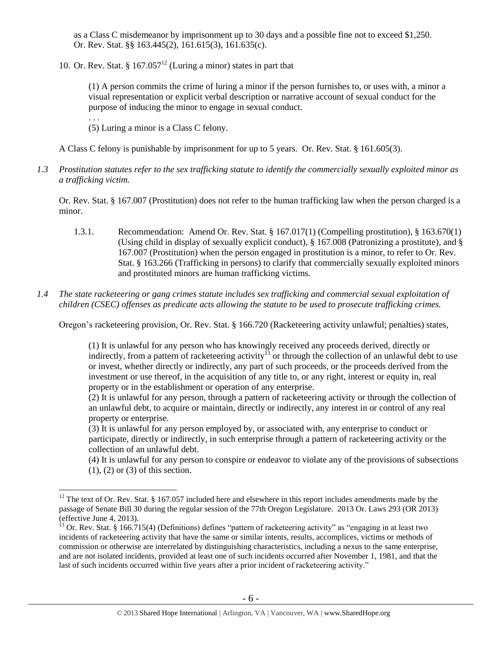as a Class C misdemeanor by imprisonment up to 30 days and a possible fine not to exceed \$1,250. Or. Rev. Stat. §§ 163.445(2), 161.615(3), 161.635(c).

10. Or. Rev. Stat. §  $167.057<sup>12</sup>$  (Luring a minor) states in part that

(1) A person commits the crime of luring a minor if the person furnishes to, or uses with, a minor a visual representation or explicit verbal description or narrative account of sexual conduct for the purpose of inducing the minor to engage in sexual conduct.

(5) Luring a minor is a Class C felony.

. . .

 $\overline{a}$ 

A Class C felony is punishable by imprisonment for up to 5 years. Or. Rev. Stat. § 161.605(3).

*1.3 Prostitution statutes refer to the sex trafficking statute to identify the commercially sexually exploited minor as a trafficking victim.* 

Or. Rev. Stat. § 167.007 (Prostitution) does not refer to the human trafficking law when the person charged is a minor.

- 1.3.1. Recommendation: Amend Or. Rev. Stat. § 167.017(1) (Compelling prostitution), § 163.670(1) (Using child in display of sexually explicit conduct), § 167.008 (Patronizing a prostitute), and § 167.007 (Prostitution) when the person engaged in prostitution is a minor, to refer to Or. Rev. Stat. § 163.266 (Trafficking in persons) to clarify that commercially sexually exploited minors and prostituted minors are human trafficking victims.
- *1.4 The state racketeering or gang crimes statute includes sex trafficking and commercial sexual exploitation of children (CSEC) offenses as predicate acts allowing the statute to be used to prosecute trafficking crimes.*

Oregon's racketeering provision, Or. Rev. Stat. § 166.720 (Racketeering activity unlawful; penalties) states,

(1) It is unlawful for any person who has knowingly received any proceeds derived, directly or indirectly, from a pattern of racketeering activity<sup>13</sup> or through the collection of an unlawful debt to use or invest, whether directly or indirectly, any part of such proceeds, or the proceeds derived from the investment or use thereof, in the acquisition of any title to, or any right, interest or equity in, real property or in the establishment or operation of any enterprise.

(2) It is unlawful for any person, through a pattern of racketeering activity or through the collection of an unlawful debt, to acquire or maintain, directly or indirectly, any interest in or control of any real property or enterprise.

 $(3)$  It is unlawful for any person employed by, or associated with, any enterprise to conduct or participate, directly or indirectly, in such enterprise through a pattern of racketeering activity or the collection of an unlawful debt.

(4) It is unlawful for any person to conspire or endeavor to violate any of the provisions of subsections (1), (2) or (3) of this section.

 $12$  The text of Or. Rev. Stat. § 167.057 included here and elsewhere in this report includes amendments made by the passage of Senate Bill 30 during the regular session of the 77th Oregon Legislature. 2013 Or. Laws 293 (OR 2013) (effective June 4, 2013).

 $^{13}$  Or. Rev. Stat. § 166.715(4) (Definitions) defines "pattern of racketeering activity" as "engaging in at least two incidents of racketeering activity that have the same or similar intents, results, accomplices, victims or methods of commission or otherwise are interrelated by distinguishing characteristics, including a nexus to the same enterprise, and are not isolated incidents, provided at least one of such incidents occurred after November 1, 1981, and that the last of such incidents occurred within five years after a prior incident of racketeering activity."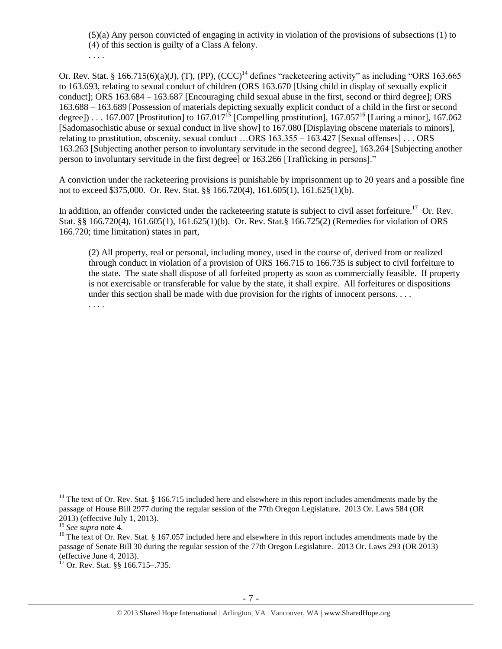(5)(a) Any person convicted of engaging in activity in violation of the provisions of subsections (1) to (4) of this section is guilty of a Class A felony.

<span id="page-6-1"></span><span id="page-6-0"></span>. . . .

Or. Rev. Stat. § 166.715(6)(a)(J), (T), (PP),  $(CCC)^{14}$  defines "racketeering activity" as including "ORS 163.665 to 163.693, relating to sexual conduct of children (ORS 163.670 [Using child in display of sexually explicit conduct]; ORS 163.684 – 163.687 [Encouraging child sexual abuse in the first, second or third degree]; ORS 163.688 – 163.689 [Possession of materials depicting sexually explicit conduct of a child in the first or second degree]) . . . 167.007 [Prostitution] to 167.017<sup>15</sup> [Compelling prostitution], 167.057<sup>16</sup> [Luring a minor], 167.062 [Sadomasochistic abuse or sexual conduct in live show] to 167.080 [Displaying obscene materials to minors], relating to prostitution, obscenity, sexual conduct …ORS 163.355 – 163.427 [Sexual offenses] . . . ORS 163.263 [Subjecting another person to involuntary servitude in the second degree], 163.264 [Subjecting another person to involuntary servitude in the first degree] or 163.266 [Trafficking in persons]."

A conviction under the racketeering provisions is punishable by imprisonment up to 20 years and a possible fine not to exceed \$375,000. Or. Rev. Stat. §§ 166.720(4), 161.605(1), 161.625(1)(b).

In addition, an offender convicted under the racketeering statute is subject to civil asset forfeiture.<sup>17</sup> Or. Rev. Stat. §§ 166.720(4), 161.605(1), 161.625(1)(b). Or. Rev. Stat.§ 166.725(2) (Remedies for violation of ORS 166.720; time limitation) states in part,

(2) All property, real or personal, including money, used in the course of, derived from or realized through conduct in violation of a provision of ORS 166.715 to 166.735 is subject to civil forfeiture to the state. The state shall dispose of all forfeited property as soon as commercially feasible. If property is not exercisable or transferable for value by the state, it shall expire. All forfeitures or dispositions under this section shall be made with due provision for the rights of innocent persons. . . . . . . .

 $14$  The text of Or. Rev. Stat. § 166.715 included here and elsewhere in this report includes amendments made by the passage of House Bill 2977 during the regular session of the 77th Oregon Legislature. 2013 Or. Laws 584 (OR 2013) (effective July 1, 2013).

<sup>15</sup> *See supra* note [4.](#page-2-0)

<sup>&</sup>lt;sup>16</sup> The text of Or. Rev. Stat. § 167.057 included here and elsewhere in this report includes amendments made by the passage of Senate Bill 30 during the regular session of the 77th Oregon Legislature. 2013 Or. Laws 293 (OR 2013) (effective June 4, 2013).

 $17$  Or. Rev. Stat. §§ 166.715–.735.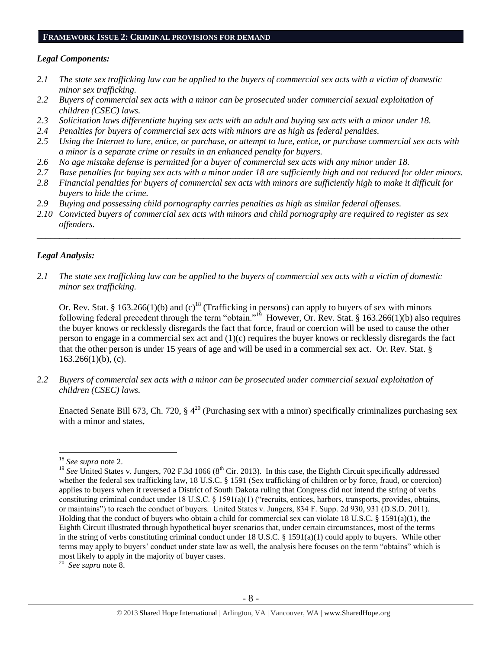#### **FRAMEWORK ISSUE 2: CRIMINAL PROVISIONS FOR DEMAND**

### *Legal Components:*

- *2.1 The state sex trafficking law can be applied to the buyers of commercial sex acts with a victim of domestic minor sex trafficking.*
- *2.2 Buyers of commercial sex acts with a minor can be prosecuted under commercial sexual exploitation of children (CSEC) laws.*
- *2.3 Solicitation laws differentiate buying sex acts with an adult and buying sex acts with a minor under 18.*
- *2.4 Penalties for buyers of commercial sex acts with minors are as high as federal penalties.*
- *2.5 Using the Internet to lure, entice, or purchase, or attempt to lure, entice, or purchase commercial sex acts with a minor is a separate crime or results in an enhanced penalty for buyers.*
- *2.6 No age mistake defense is permitted for a buyer of commercial sex acts with any minor under 18.*
- *2.7 Base penalties for buying sex acts with a minor under 18 are sufficiently high and not reduced for older minors.*
- *2.8 Financial penalties for buyers of commercial sex acts with minors are sufficiently high to make it difficult for buyers to hide the crime.*
- *2.9 Buying and possessing child pornography carries penalties as high as similar federal offenses.*
- *2.10 Convicted buyers of commercial sex acts with minors and child pornography are required to register as sex offenders.*

\_\_\_\_\_\_\_\_\_\_\_\_\_\_\_\_\_\_\_\_\_\_\_\_\_\_\_\_\_\_\_\_\_\_\_\_\_\_\_\_\_\_\_\_\_\_\_\_\_\_\_\_\_\_\_\_\_\_\_\_\_\_\_\_\_\_\_\_\_\_\_\_\_\_\_\_\_\_\_\_\_\_\_\_\_\_\_\_\_\_\_\_\_\_

#### *Legal Analysis:*

*2.1 The state sex trafficking law can be applied to the buyers of commercial sex acts with a victim of domestic minor sex trafficking.*

Or. Rev. Stat. § 163.266(1)(b) and (c)<sup>18</sup> (Trafficking in persons) can apply to buyers of sex with minors following federal precedent through the term "obtain."<sup>19</sup> However, Or. Rev. Stat. § 163.266(1)(b) also requires the buyer knows or recklessly disregards the fact that force, fraud or coercion will be used to cause the other person to engage in a commercial sex act and (1)(c) requires the buyer knows or recklessly disregards the fact that the other person is under 15 years of age and will be used in a commercial sex act. Or. Rev. Stat. §  $163.266(1)(b)$ , (c).

*2.2 Buyers of commercial sex acts with a minor can be prosecuted under commercial sexual exploitation of children (CSEC) laws.*

Enacted Senate Bill 673, Ch. 720,  $\S 4^{20}$  (Purchasing sex with a minor) specifically criminalizes purchasing sex with a minor and states,

<sup>18</sup> *See supra* note [2.](#page-0-0)

<sup>&</sup>lt;sup>19</sup> See United States v. Jungers, 702 F.3d 1066 ( $8<sup>th</sup>$  Cir. 2013). In this case, the Eighth Circuit specifically addressed whether the federal sex trafficking law, 18 U.S.C. § 1591 (Sex trafficking of children or by force, fraud, or coercion) applies to buyers when it reversed a District of South Dakota ruling that Congress did not intend the string of verbs constituting criminal conduct under 18 U.S.C. § 1591(a)(1) ("recruits, entices, harbors, transports, provides, obtains, or maintains") to reach the conduct of buyers. United States v. Jungers, 834 F. Supp. 2d 930, 931 (D.S.D. 2011). Holding that the conduct of buyers who obtain a child for commercial sex can violate 18 U.S.C. § 1591(a)(1), the Eighth Circuit illustrated through hypothetical buyer scenarios that, under certain circumstances, most of the terms in the string of verbs constituting criminal conduct under 18 U.S.C. § 1591(a)(1) could apply to buyers. While other terms may apply to buyers' conduct under state law as well, the analysis here focuses on the term "obtains" which is most likely to apply in the majority of buyer cases.

<sup>20</sup> *See supra* note [8.](#page-2-1)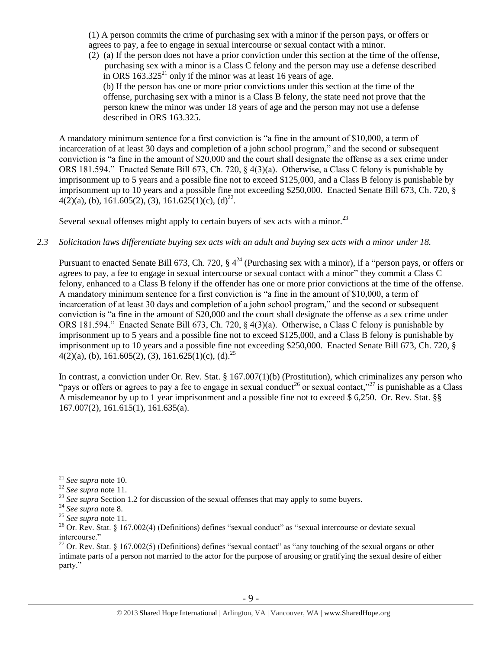(1) A person commits the crime of purchasing sex with a minor if the person pays, or offers or agrees to pay, a fee to engage in sexual intercourse or sexual contact with a minor.

(2) (a) If the person does not have a prior conviction under this section at the time of the offense, purchasing sex with a minor is a Class C felony and the person may use a defense described in ORS  $163.325<sup>21</sup>$  only if the minor was at least 16 years of age. (b) If the person has one or more prior convictions under this section at the time of the offense, purchasing sex with a minor is a Class B felony, the state need not prove that the

person knew the minor was under 18 years of age and the person may not use a defense described in ORS 163.325.

A mandatory minimum sentence for a first conviction is "a fine in the amount of \$10,000, a term of incarceration of at least 30 days and completion of a john school program," and the second or subsequent conviction is "a fine in the amount of \$20,000 and the court shall designate the offense as a sex crime under ORS 181.594." Enacted Senate Bill 673, Ch. 720, § 4(3)(a). Otherwise, a Class C felony is punishable by imprisonment up to 5 years and a possible fine not to exceed \$125,000, and a Class B felony is punishable by imprisonment up to 10 years and a possible fine not exceeding \$250,000. Enacted Senate Bill 673, Ch. 720, §  $4(2)(a)$ , (b), 161.605(2), (3), 161.625(1)(c), (d)<sup>22</sup>.

Several sexual offenses might apply to certain buyers of sex acts with a minor.<sup>23</sup>

# *2.3 Solicitation laws differentiate buying sex acts with an adult and buying sex acts with a minor under 18.*

Pursuant to enacted Senate Bill 673, Ch. 720,  $\S 4^{24}$  (Purchasing sex with a minor), if a "person pays, or offers or agrees to pay, a fee to engage in sexual intercourse or sexual contact with a minor" they commit a Class C felony, enhanced to a Class B felony if the offender has one or more prior convictions at the time of the offense. A mandatory minimum sentence for a first conviction is "a fine in the amount of \$10,000, a term of incarceration of at least 30 days and completion of a john school program," and the second or subsequent conviction is "a fine in the amount of \$20,000 and the court shall designate the offense as a sex crime under ORS 181.594." Enacted Senate Bill 673, Ch. 720, § 4(3)(a). Otherwise, a Class C felony is punishable by imprisonment up to 5 years and a possible fine not to exceed \$125,000, and a Class B felony is punishable by imprisonment up to 10 years and a possible fine not exceeding \$250,000. Enacted Senate Bill 673, Ch. 720, §  $4(2)(a)$ , (b), 161.605(2), (3), 161.625(1)(c), (d).<sup>25</sup>

In contrast, a conviction under Or. Rev. Stat. § 167.007(1)(b) (Prostitution), which criminalizes any person who "pays or offers or agrees to pay a fee to engage in sexual conduct<sup>26</sup> or sexual contact,"<sup>27</sup> is punishable as a Class A misdemeanor by up to 1 year imprisonment and a possible fine not to exceed \$ 6,250. Or. Rev. Stat. §§ 167.007(2), 161.615(1), 161.635(a).

 $\overline{a}$ <sup>21</sup> *See supra* note [10.](#page-3-0)

<sup>22</sup> *See supra* note [11.](#page-3-1)

<sup>&</sup>lt;sup>23</sup> See supra Section 1.2 for discussion of the sexual offenses that may apply to some buyers.

<sup>24</sup> *See supra* note [8.](#page-2-1)

<sup>25</sup> *See supra* note [11.](#page-3-1)

<sup>&</sup>lt;sup>26</sup> Or. Rev. Stat. § 167.002(4) (Definitions) defines "sexual conduct" as "sexual intercourse or deviate sexual intercourse."

<sup>&</sup>lt;sup>27</sup> Or. Rev. Stat. § 167.002(5) (Definitions) defines "sexual contact" as "any touching of the sexual organs or other intimate parts of a person not married to the actor for the purpose of arousing or gratifying the sexual desire of either party."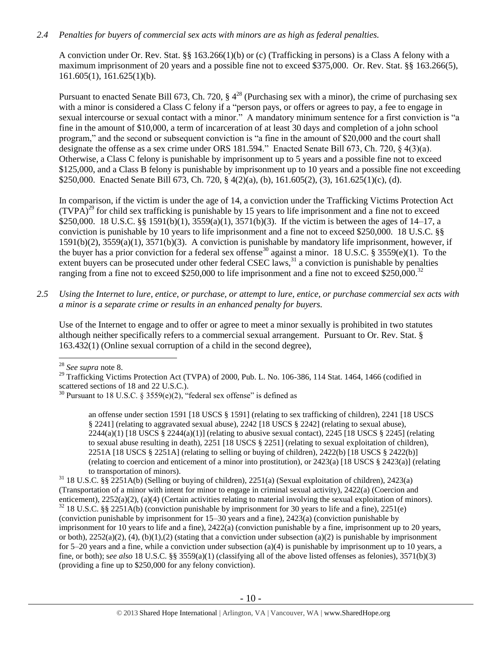# *2.4 Penalties for buyers of commercial sex acts with minors are as high as federal penalties.*

A conviction under Or. Rev. Stat. §§ 163.266(1)(b) or (c) (Trafficking in persons) is a Class A felony with a maximum imprisonment of 20 years and a possible fine not to exceed \$375,000. Or. Rev. Stat. §§ 163.266(5), 161.605(1), 161.625(1)(b).

Pursuant to enacted Senate Bill 673, Ch. 720,  $\S 4^{28}$  (Purchasing sex with a minor), the crime of purchasing sex with a minor is considered a Class C felony if a "person pays, or offers or agrees to pay, a fee to engage in sexual intercourse or sexual contact with a minor." A mandatory minimum sentence for a first conviction is "a fine in the amount of \$10,000, a term of incarceration of at least 30 days and completion of a john school program," and the second or subsequent conviction is "a fine in the amount of \$20,000 and the court shall designate the offense as a sex crime under ORS 181.594." Enacted Senate Bill 673, Ch. 720, § 4(3)(a). Otherwise, a Class C felony is punishable by imprisonment up to 5 years and a possible fine not to exceed \$125,000, and a Class B felony is punishable by imprisonment up to 10 years and a possible fine not exceeding \$250,000. Enacted Senate Bill 673, Ch. 720, § 4(2)(a), (b), 161.605(2), (3), 161.625(1)(c), (d).

<span id="page-9-1"></span><span id="page-9-0"></span>In comparison, if the victim is under the age of 14, a conviction under the Trafficking Victims Protection Act  $(TVPA)^{29}$  for child sex trafficking is punishable by 15 years to life imprisonment and a fine not to exceed \$250,000. 18 U.S.C. §§ 1591(b)(1), 3559(a)(1), 3571(b)(3). If the victim is between the ages of 14–17, a conviction is punishable by 10 years to life imprisonment and a fine not to exceed \$250,000. 18 U.S.C. §§ 1591(b)(2), 3559(a)(1), 3571(b)(3). A conviction is punishable by mandatory life imprisonment, however, if the buyer has a prior conviction for a federal sex offense<sup>30</sup> against a minor. 18 U.S.C. § 3559(e)(1). To the extent buyers can be prosecuted under other federal CSEC laws,  $31$  a conviction is punishable by penalties ranging from a fine not to exceed  $$250,000$  to life imprisonment and a fine not to exceed  $$250,000$ .<sup>32</sup>

*2.5 Using the Internet to lure, entice, or purchase, or attempt to lure, entice, or purchase commercial sex acts with a minor is a separate crime or results in an enhanced penalty for buyers.*

Use of the Internet to engage and to offer or agree to meet a minor sexually is prohibited in two statutes although neither specifically refers to a commercial sexual arrangement. Pursuant to Or. Rev. Stat. § 163.432(1) (Online sexual corruption of a child in the second degree),

 $\overline{a}$ <sup>28</sup> *See supra* note [8.](#page-2-1)

an offense under section 1591 [18 USCS § 1591] (relating to sex trafficking of children), 2241 [18 USCS § 2241] (relating to aggravated sexual abuse), 2242 [18 USCS § 2242] (relating to sexual abuse),  $2244(a)(1)$  [18 USCS § 2244(a)(1)] (relating to abusive sexual contact), 2245 [18 USCS § 2245] (relating to sexual abuse resulting in death), 2251 [18 USCS § 2251] (relating to sexual exploitation of children), 2251A [18 USCS § 2251A] (relating to selling or buying of children), 2422(b) [18 USCS § 2422(b)] (relating to coercion and enticement of a minor into prostitution), or 2423(a) [18 USCS § 2423(a)] (relating to transportation of minors).

<sup>31</sup> 18 U.S.C. §§ 2251A(b) (Selling or buying of children), 2251(a) (Sexual exploitation of children), 2423(a) (Transportation of a minor with intent for minor to engage in criminal sexual activity), 2422(a) (Coercion and enticement), 2252(a)(2), (a)(4) (Certain activities relating to material involving the sexual exploitation of minors).  $32$  18 U.S.C. §§ 2251A(b) (conviction punishable by imprisonment for 30 years to life and a fine), 2251(e) (conviction punishable by imprisonment for 15–30 years and a fine), 2423(a) (conviction punishable by imprisonment for 10 years to life and a fine), 2422(a) (conviction punishable by a fine, imprisonment up to 20 years, or both),  $2252(a)(2)$ , (4), (b)(1),(2) (stating that a conviction under subsection (a)(2) is punishable by imprisonment for 5–20 years and a fine, while a conviction under subsection (a)(4) is punishable by imprisonment up to 10 years, a fine, or both); s*ee also* 18 U.S.C. §§ 3559(a)(1) (classifying all of the above listed offenses as felonies), 3571(b)(3) (providing a fine up to \$250,000 for any felony conviction).

<sup>&</sup>lt;sup>29</sup> Trafficking Victims Protection Act (TVPA) of 2000, Pub. L. No. 106-386, 114 Stat. 1464, 1466 (codified in scattered sections of 18 and 22 U.S.C.).

<sup>&</sup>lt;sup>30</sup> Pursuant to 18 U.S.C. § 3559(e)(2), "federal sex offense" is defined as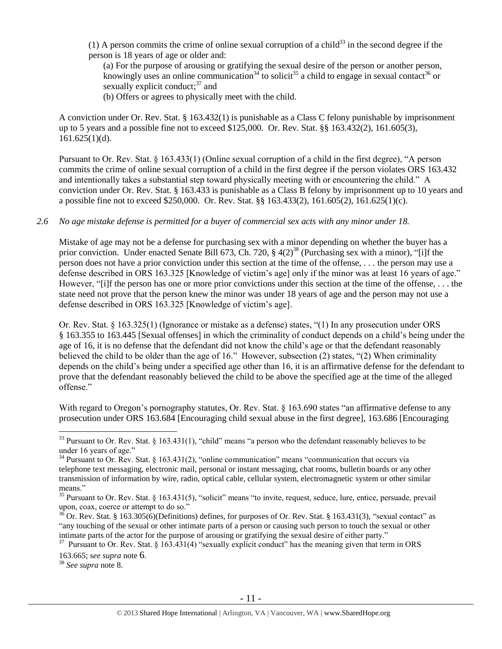(1) A person commits the crime of online sexual corruption of a child<sup>33</sup> in the second degree if the person is 18 years of age or older and:

<span id="page-10-0"></span>(a) For the purpose of arousing or gratifying the sexual desire of the person or another person, knowingly uses an online communication<sup>34</sup> to solicit<sup>35</sup> a child to engage in sexual contact<sup>36</sup> or sexually explicit conduct; $37$  and

<span id="page-10-4"></span><span id="page-10-3"></span><span id="page-10-2"></span><span id="page-10-1"></span>(b) Offers or agrees to physically meet with the child.

A conviction under Or. Rev. Stat. § 163.432(1) is punishable as a Class C felony punishable by imprisonment up to 5 years and a possible fine not to exceed \$125,000. Or. Rev. Stat. §§ 163.432(2), 161.605(3),  $161.625(1)(d)$ .

Pursuant to Or. Rev. Stat. § 163.433(1) (Online sexual corruption of a child in the first degree), "A person commits the crime of online sexual corruption of a child in the first degree if the person violates ORS 163.432 and intentionally takes a substantial step toward physically meeting with or encountering the child." A conviction under Or. Rev. Stat. § 163.433 is punishable as a Class B felony by imprisonment up to 10 years and a possible fine not to exceed \$250,000. Or. Rev. Stat. §§ 163.433(2), 161.605(2), 161.625(1)(c).

## *2.6 No age mistake defense is permitted for a buyer of commercial sex acts with any minor under 18.*

Mistake of age may not be a defense for purchasing sex with a minor depending on whether the buyer has a prior conviction. Under enacted Senate Bill 673, Ch. 720,  $\S 4(2)^{38}$  (Purchasing sex with a minor), "[i]f the person does not have a prior conviction under this section at the time of the offense, . . . the person may use a defense described in ORS 163.325 [Knowledge of victim's age] only if the minor was at least 16 years of age." However, "[i]f the person has one or more prior convictions under this section at the time of the offense, . . . the state need not prove that the person knew the minor was under 18 years of age and the person may not use a defense described in ORS 163.325 [Knowledge of victim's age].

Or. Rev. Stat. § 163.325(1) (Ignorance or mistake as a defense) states, "(1) In any prosecution under ORS § 163.355 to 163.445 [Sexual offenses] in which the criminality of conduct depends on a child's being under the age of 16, it is no defense that the defendant did not know the child's age or that the defendant reasonably believed the child to be older than the age of 16." However, subsection (2) states, "(2) When criminality depends on the child's being under a specified age other than 16, it is an affirmative defense for the defendant to prove that the defendant reasonably believed the child to be above the specified age at the time of the alleged offense."

With regard to Oregon's pornography statutes, Or. Rev. Stat. § 163.690 states "an affirmative defense to any prosecution under ORS 163.684 [Encouraging child sexual abuse in the first degree], 163.686 [Encouraging

<sup>38</sup> *See supra* note [8.](#page-2-1)

 $33$  Pursuant to Or. Rev. Stat. § 163.431(1), "child" means "a person who the defendant reasonably believes to be under 16 years of age."

<sup>&</sup>lt;sup>34</sup> Pursuant to Or. Rev. Stat. § 163.431(2), "online communication" means "communication that occurs via telephone text messaging, electronic mail, personal or instant messaging, chat rooms, bulletin boards or any other transmission of information by wire, radio, optical cable, cellular system, electromagnetic system or other similar means."

 $35$  Pursuant to Or. Rev. Stat. § 163.431(5), "solicit" means "to invite, request, seduce, lure, entice, persuade, prevail upon, coax, coerce or attempt to do so."

 $36$  Or. Rev. Stat. § 163.305(6)(Definitions) defines, for purposes of Or. Rev. Stat. § 163.431(3), "sexual contact" as "any touching of the sexual or other intimate parts of a person or causing such person to touch the sexual or other intimate parts of the actor for the purpose of arousing or gratifying the sexual desire of either party."

<sup>&</sup>lt;sup>37</sup> Pursuant to Or. Rev. Stat. § 163.431(4) "sexually explicit conduct" has the meaning given that term in ORS 163.665; s*ee supra* note [6](#page-2-2).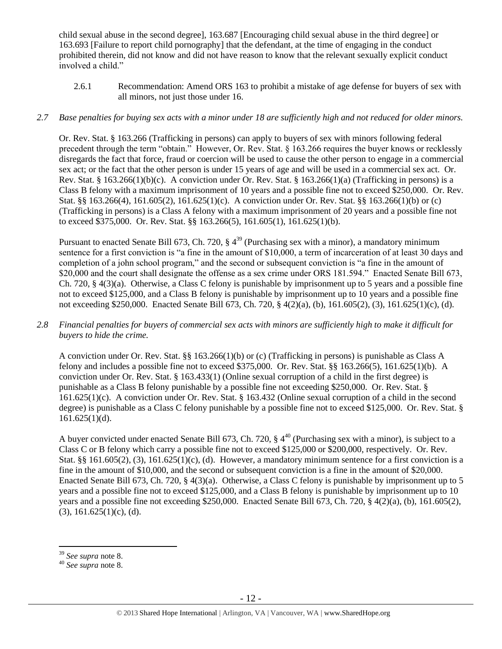child sexual abuse in the second degree], 163.687 [Encouraging child sexual abuse in the third degree] or 163.693 [Failure to report child pornography] that the defendant, at the time of engaging in the conduct prohibited therein, did not know and did not have reason to know that the relevant sexually explicit conduct involved a child."

2.6.1 Recommendation: Amend ORS 163 to prohibit a mistake of age defense for buyers of sex with all minors, not just those under 16.

# *2.7 Base penalties for buying sex acts with a minor under 18 are sufficiently high and not reduced for older minors.*

Or. Rev. Stat. § 163.266 (Trafficking in persons) can apply to buyers of sex with minors following federal precedent through the term "obtain." However, Or. Rev. Stat. § 163.266 requires the buyer knows or recklessly disregards the fact that force, fraud or coercion will be used to cause the other person to engage in a commercial sex act; or the fact that the other person is under 15 years of age and will be used in a commercial sex act. Or. Rev. Stat. § 163.266(1)(b)(c). A conviction under Or. Rev. Stat. § 163.266(1)(a) (Trafficking in persons) is a Class B felony with a maximum imprisonment of 10 years and a possible fine not to exceed \$250,000. Or. Rev. Stat. §§ 163.266(4), 161.605(2), 161.625(1)(c). A conviction under Or. Rev. Stat. §§ 163.266(1)(b) or (c) (Trafficking in persons) is a Class A felony with a maximum imprisonment of 20 years and a possible fine not to exceed \$375,000. Or. Rev. Stat. §§ 163.266(5), 161.605(1), 161.625(1)(b).

Pursuant to enacted Senate Bill 673, Ch. 720,  $\S 4^{39}$  (Purchasing sex with a minor), a mandatory minimum sentence for a first conviction is "a fine in the amount of \$10,000, a term of incarceration of at least 30 days and completion of a john school program," and the second or subsequent conviction is "a fine in the amount of \$20,000 and the court shall designate the offense as a sex crime under ORS 181.594." Enacted Senate Bill 673, Ch. 720, § 4(3)(a). Otherwise, a Class C felony is punishable by imprisonment up to 5 years and a possible fine not to exceed \$125,000, and a Class B felony is punishable by imprisonment up to 10 years and a possible fine not exceeding \$250,000. Enacted Senate Bill 673, Ch. 720, § 4(2)(a), (b), 161.605(2), (3), 161.625(1)(c), (d).

*2.8 Financial penalties for buyers of commercial sex acts with minors are sufficiently high to make it difficult for buyers to hide the crime.* 

A conviction under Or. Rev. Stat. §§ 163.266(1)(b) or (c) (Trafficking in persons) is punishable as Class A felony and includes a possible fine not to exceed \$375,000. Or. Rev. Stat. §§ 163.266(5), 161.625(1)(b). A conviction under Or. Rev. Stat. § 163.433(1) (Online sexual corruption of a child in the first degree) is punishable as a Class B felony punishable by a possible fine not exceeding \$250,000. Or. Rev. Stat. § 161.625(1)(c). A conviction under Or. Rev. Stat. § 163.432 (Online sexual corruption of a child in the second degree) is punishable as a Class C felony punishable by a possible fine not to exceed \$125,000. Or. Rev. Stat. §  $161.625(1)(d)$ .

A buyer convicted under enacted Senate Bill 673, Ch. 720,  $\S$  4<sup>40</sup> (Purchasing sex with a minor), is subject to a Class C or B felony which carry a possible fine not to exceed \$125,000 or \$200,000, respectively. Or. Rev. Stat. §§ 161.605(2), (3), 161.625(1)(c), (d). However, a mandatory minimum sentence for a first conviction is a fine in the amount of \$10,000, and the second or subsequent conviction is a fine in the amount of \$20,000. Enacted Senate Bill 673, Ch. 720, § 4(3)(a). Otherwise, a Class C felony is punishable by imprisonment up to 5 years and a possible fine not to exceed \$125,000, and a Class B felony is punishable by imprisonment up to 10 years and a possible fine not exceeding \$250,000. Enacted Senate Bill 673, Ch. 720, § 4(2)(a), (b), 161.605(2),  $(3)$ , 161.625 $(1)(c)$ ,  $(d)$ .

 $\overline{a}$ <sup>39</sup> *See supra* note [8.](#page-2-1)

<sup>40</sup> *See supra* note [8.](#page-2-1)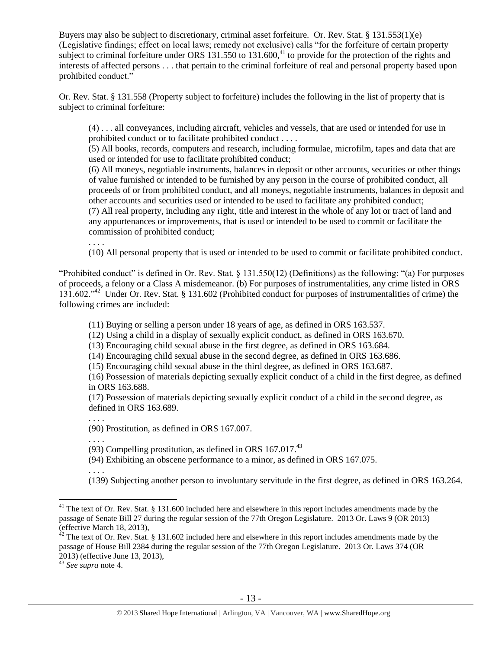Buyers may also be subject to discretionary, criminal asset forfeiture. Or. Rev. Stat. § 131.553(1)(e) (Legislative findings; effect on local laws; remedy not exclusive) calls "for the forfeiture of certain property subject to criminal forfeiture under ORS  $131.550$  to  $131.600$ ,<sup>41</sup> to provide for the protection of the rights and interests of affected persons . . . that pertain to the criminal forfeiture of real and personal property based upon prohibited conduct."

Or. Rev. Stat. § 131.558 (Property subject to forfeiture) includes the following in the list of property that is subject to criminal forfeiture:

<span id="page-12-0"></span>(4) . . . all conveyances, including aircraft, vehicles and vessels, that are used or intended for use in prohibited conduct or to facilitate prohibited conduct . . . .

(5) All books, records, computers and research, including formulae, microfilm, tapes and data that are used or intended for use to facilitate prohibited conduct;

(6) All moneys, negotiable instruments, balances in deposit or other accounts, securities or other things of value furnished or intended to be furnished by any person in the course of prohibited conduct, all proceeds of or from prohibited conduct, and all moneys, negotiable instruments, balances in deposit and other accounts and securities used or intended to be used to facilitate any prohibited conduct; (7) All real property, including any right, title and interest in the whole of any lot or tract of land and any appurtenances or improvements, that is used or intended to be used to commit or facilitate the commission of prohibited conduct;

. . . .

(10) All personal property that is used or intended to be used to commit or facilitate prohibited conduct.

"Prohibited conduct" is defined in Or. Rev. Stat. § 131.550(12) (Definitions) as the following: "(a) For purposes of proceeds, a felony or a Class A misdemeanor. (b) For purposes of instrumentalities, any crime listed in ORS 131.602."<sup>42</sup> Under Or. Rev. Stat. § 131.602 (Prohibited conduct for purposes of instrumentalities of crime) the following crimes are included:

<span id="page-12-1"></span>(11) Buying or selling a person under 18 years of age, as defined in ORS 163.537.

(12) Using a child in a display of sexually explicit conduct, as defined in ORS 163.670.

(13) Encouraging child sexual abuse in the first degree, as defined in ORS 163.684.

(14) Encouraging child sexual abuse in the second degree, as defined in ORS 163.686.

(15) Encouraging child sexual abuse in the third degree, as defined in ORS 163.687.

(16) Possession of materials depicting sexually explicit conduct of a child in the first degree, as defined in ORS 163.688.

(17) Possession of materials depicting sexually explicit conduct of a child in the second degree, as defined in ORS 163.689.

. . . .

(90) Prostitution, as defined in ORS 167.007.

. . . .

. . . .

 $\overline{a}$ 

(93) Compelling prostitution, as defined in ORS  $167.017<sup>43</sup>$ 

(94) Exhibiting an obscene performance to a minor, as defined in ORS 167.075.

(139) Subjecting another person to involuntary servitude in the first degree, as defined in ORS 163.264.

 $41$  The text of Or. Rev. Stat. § 131.600 included here and elsewhere in this report includes amendments made by the passage of Senate Bill 27 during the regular session of the 77th Oregon Legislature. 2013 Or. Laws 9 (OR 2013) (effective March 18, 2013),

 $42$  The text of Or. Rev. Stat. § 131.602 included here and elsewhere in this report includes amendments made by the passage of House Bill 2384 during the regular session of the 77th Oregon Legislature. 2013 Or. Laws 374 (OR 2013) (effective June 13, 2013),

<sup>43</sup> *See supra* note [4.](#page-2-0)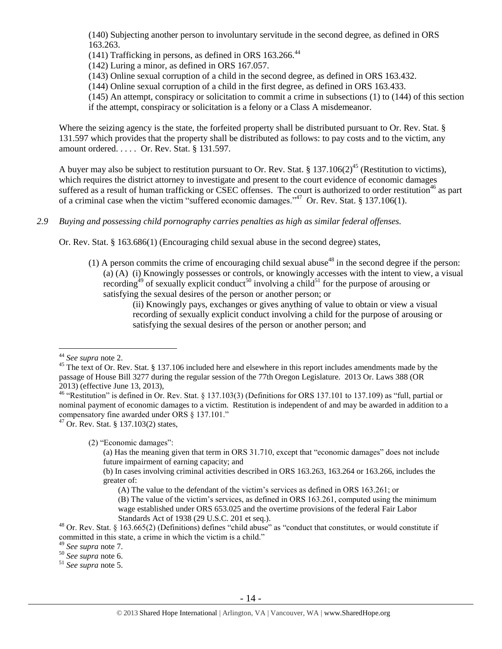(140) Subjecting another person to involuntary servitude in the second degree, as defined in ORS 163.263.

(141) Trafficking in persons, as defined in ORS  $163.266$ .<sup>44</sup>

(142) Luring a minor, as defined in ORS 167.057.

(143) Online sexual corruption of a child in the second degree, as defined in ORS 163.432.

(144) Online sexual corruption of a child in the first degree, as defined in ORS 163.433.

(145) An attempt, conspiracy or solicitation to commit a crime in subsections (1) to (144) of this section if the attempt, conspiracy or solicitation is a felony or a Class A misdemeanor.

Where the seizing agency is the state, the forfeited property shall be distributed pursuant to Or. Rev. Stat. § 131.597 which provides that the property shall be distributed as follows: to pay costs and to the victim, any amount ordered. . . . . Or. Rev. Stat. § 131.597.

A buyer may also be subject to restitution pursuant to Or. Rev. Stat. § 137.106(2)<sup>45</sup> (Restitution to victims), which requires the district attorney to investigate and present to the court evidence of economic damages suffered as a result of human trafficking or CSEC offenses. The court is authorized to order restitution<sup>46</sup> as part of a criminal case when the victim "suffered economic damages."<sup>47</sup> Or. Rev. Stat. § 137.106(1).

# *2.9 Buying and possessing child pornography carries penalties as high as similar federal offenses.*

Or. Rev. Stat. § 163.686(1) (Encouraging child sexual abuse in the second degree) states,

(1) A person commits the crime of encouraging child sexual abuse<sup>48</sup> in the second degree if the person: (a) (A) (i) Knowingly possesses or controls, or knowingly accesses with the intent to view, a visual recording<sup>49</sup> of sexually explicit conduct<sup>50</sup> involving a child<sup>51</sup> for the purpose of arousing or satisfying the sexual desires of the person or another person; or

<span id="page-13-2"></span><span id="page-13-1"></span><span id="page-13-0"></span>(ii) Knowingly pays, exchanges or gives anything of value to obtain or view a visual recording of sexually explicit conduct involving a child for the purpose of arousing or satisfying the sexual desires of the person or another person; and

 $\overline{a}$ 

(2) "Economic damages":

<sup>44</sup> *See supra* note [2.](#page-0-0)

<sup>&</sup>lt;sup>45</sup> The text of Or. Rev. Stat. § 137.106 included here and elsewhere in this report includes amendments made by the passage of House Bill 3277 during the regular session of the 77th Oregon Legislature. 2013 Or. Laws 388 (OR 2013) (effective June 13, 2013),

<sup>&</sup>lt;sup>46</sup> "Restitution" is defined in Or. Rev. Stat. § 137.103(3) (Definitions for ORS 137.101 to 137.109) as "full, partial or nominal payment of economic damages to a victim. Restitution is independent of and may be awarded in addition to a compensatory fine awarded under ORS § 137.101."

<sup>47</sup> Or. Rev. Stat. § 137.103(2) states,

<sup>(</sup>a) Has the meaning given that term in ORS 31.710, except that "economic damages" does not include future impairment of earning capacity; and

<sup>(</sup>b) In cases involving criminal activities described in ORS 163.263, 163.264 or 163.266, includes the greater of:

<sup>(</sup>A) The value to the defendant of the victim's services as defined in ORS 163.261; or (B) The value of the victim's services, as defined in ORS 163.261, computed using the minimum

wage established under ORS 653.025 and the overtime provisions of the federal Fair Labor Standards Act of 1938 (29 U.S.C. 201 et seq.).

<sup>&</sup>lt;sup>48</sup> Or. Rev. Stat. § 163.665(2) (Definitions) defines "child abuse" as "conduct that constitutes, or would constitute if committed in this state, a crime in which the victim is a child."

<sup>49</sup> *See supra* note [7.](#page-2-3)

<sup>50</sup> *See supra* note [6.](#page-2-2)

<sup>51</sup> *See supra* note [5.](#page-2-4)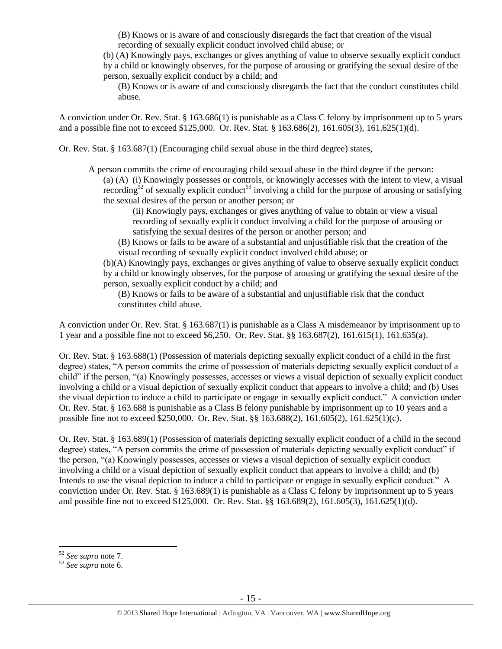(B) Knows or is aware of and consciously disregards the fact that creation of the visual recording of sexually explicit conduct involved child abuse; or

(b) (A) Knowingly pays, exchanges or gives anything of value to observe sexually explicit conduct by a child or knowingly observes, for the purpose of arousing or gratifying the sexual desire of the person, sexually explicit conduct by a child; and

(B) Knows or is aware of and consciously disregards the fact that the conduct constitutes child abuse.

A conviction under Or. Rev. Stat. § 163.686(1) is punishable as a Class C felony by imprisonment up to 5 years and a possible fine not to exceed \$125,000. Or. Rev. Stat. § 163.686(2), 161.605(3), 161.625(1)(d).

Or. Rev. Stat. § 163.687(1) (Encouraging child sexual abuse in the third degree) states,

A person commits the crime of encouraging child sexual abuse in the third degree if the person:

(a) (A) (i) Knowingly possesses or controls, or knowingly accesses with the intent to view, a visual recording<sup>52</sup> of sexually explicit conduct<sup>53</sup> involving a child for the purpose of arousing or satisfying the sexual desires of the person or another person; or

(ii) Knowingly pays, exchanges or gives anything of value to obtain or view a visual recording of sexually explicit conduct involving a child for the purpose of arousing or satisfying the sexual desires of the person or another person; and

(B) Knows or fails to be aware of a substantial and unjustifiable risk that the creation of the visual recording of sexually explicit conduct involved child abuse; or

(b)(A) Knowingly pays, exchanges or gives anything of value to observe sexually explicit conduct by a child or knowingly observes, for the purpose of arousing or gratifying the sexual desire of the person, sexually explicit conduct by a child; and

(B) Knows or fails to be aware of a substantial and unjustifiable risk that the conduct constitutes child abuse.

A conviction under Or. Rev. Stat. § 163.687(1) is punishable as a Class A misdemeanor by imprisonment up to 1 year and a possible fine not to exceed \$6,250. Or. Rev. Stat. §§ 163.687(2), 161.615(1), 161.635(a).

Or. Rev. Stat. § 163.688(1) (Possession of materials depicting sexually explicit conduct of a child in the first degree) states, "A person commits the crime of possession of materials depicting sexually explicit conduct of a child" if the person, "(a) Knowingly possesses, accesses or views a visual depiction of sexually explicit conduct involving a child or a visual depiction of sexually explicit conduct that appears to involve a child; and (b) Uses the visual depiction to induce a child to participate or engage in sexually explicit conduct." A conviction under Or. Rev. Stat. § 163.688 is punishable as a Class B felony punishable by imprisonment up to 10 years and a possible fine not to exceed \$250,000. Or. Rev. Stat. §§ 163.688(2), 161.605(2), 161.625(1)(c).

Or. Rev. Stat. § 163.689(1) (Possession of materials depicting sexually explicit conduct of a child in the second degree) states, "A person commits the crime of possession of materials depicting sexually explicit conduct" if the person, "(a) Knowingly possesses, accesses or views a visual depiction of sexually explicit conduct involving a child or a visual depiction of sexually explicit conduct that appears to involve a child; and (b) Intends to use the visual depiction to induce a child to participate or engage in sexually explicit conduct." A conviction under Or. Rev. Stat. § 163.689(1) is punishable as a Class C felony by imprisonment up to 5 years and possible fine not to exceed \$125,000. Or. Rev. Stat. §§ 163.689(2), 161.605(3), 161.625(1)(d).

 $\overline{a}$ <sup>52</sup> *See supra* note [7.](#page-2-3)

<sup>53</sup> *See supra* note [6.](#page-2-2)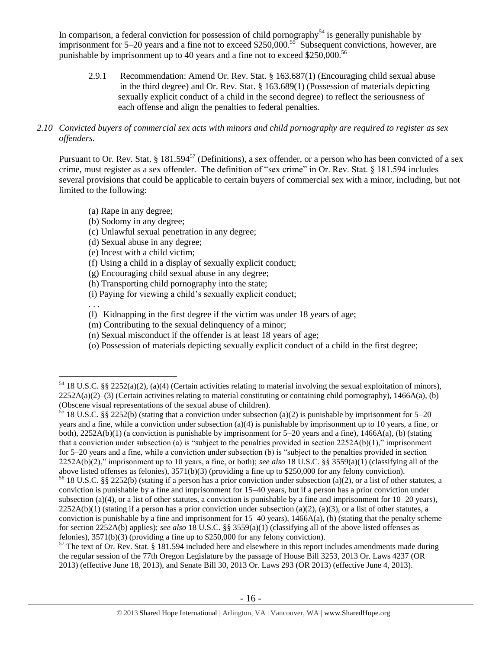In comparison, a federal conviction for possession of child pornography<sup>54</sup> is generally punishable by imprisonment for 5–20 years and a fine not to exceed \$250,000.<sup>55</sup> Subsequent convictions, however, are punishable by imprisonment up to 40 years and a fine not to exceed \$250,000.<sup>56</sup>

2.9.1 Recommendation: Amend Or. Rev. Stat. § 163.687(1) (Encouraging child sexual abuse in the third degree) and Or. Rev. Stat. § 163.689(1) (Possession of materials depicting sexually explicit conduct of a child in the second degree) to reflect the seriousness of each offense and align the penalties to federal penalties.

## *2.10 Convicted buyers of commercial sex acts with minors and child pornography are required to register as sex offenders.*

Pursuant to Or. Rev. Stat. § 181.594<sup>57</sup> (Definitions), a sex offender, or a person who has been convicted of a sex crime, must register as a sex offender. The definition of "sex crime" in Or. Rev. Stat. § 181.594 includes several provisions that could be applicable to certain buyers of commercial sex with a minor, including, but not limited to the following:

<span id="page-15-0"></span>(a) Rape in any degree;

(b) Sodomy in any degree;

(c) Unlawful sexual penetration in any degree;

(d) Sexual abuse in any degree;

(e) Incest with a child victim;

(f) Using a child in a display of sexually explicit conduct;

(g) Encouraging child sexual abuse in any degree;

(h) Transporting child pornography into the state;

(i) Paying for viewing a child's sexually explicit conduct;

. . .

 $\overline{a}$ 

(l) Kidnapping in the first degree if the victim was under 18 years of age;

(m) Contributing to the sexual delinquency of a minor;

(n) Sexual misconduct if the offender is at least 18 years of age;

(o) Possession of materials depicting sexually explicit conduct of a child in the first degree;

<sup>55</sup> 18 U.S.C. §§ 2252(b) (stating that a conviction under subsection (a)(2) is punishable by imprisonment for 5–20 years and a fine, while a conviction under subsection (a)(4) is punishable by imprisonment up to 10 years, a fine, or both),  $2252A(b)(1)$  (a conviction is punishable by imprisonment for  $5-20$  years and a fine),  $1466A(a)$ , (b) (stating that a conviction under subsection (a) is "subject to the penalties provided in section  $2252A(b)(1)$ ," imprisonment for 5–20 years and a fine, while a conviction under subsection (b) is "subject to the penalties provided in section 2252A(b)(2)," imprisonment up to 10 years, a fine, or both); *see also* 18 U.S.C. §§ 3559(a)(1) (classifying all of the above listed offenses as felonies), 3571(b)(3) (providing a fine up to \$250,000 for any felony conviction).

<sup>&</sup>lt;sup>54</sup> 18 U.S.C. §§ 2252(a)(2), (a)(4) (Certain activities relating to material involving the sexual exploitation of minors),  $2252A(a)(2)$ –(3) (Certain activities relating to material constituting or containing child pornography), 1466A(a), (b) (Obscene visual representations of the sexual abuse of children).

<sup>56</sup> 18 U.S.C. §§ 2252(b) (stating if a person has a prior conviction under subsection (a)(2), or a list of other statutes, a conviction is punishable by a fine and imprisonment for 15–40 years, but if a person has a prior conviction under subsection (a)(4), or a list of other statutes, a conviction is punishable by a fine and imprisonment for  $10-20$  years),  $2252A(b)(1)$  (stating if a person has a prior conviction under subsection (a)(2), (a)(3), or a list of other statutes, a conviction is punishable by a fine and imprisonment for  $15-40$  years),  $1466A(a)$ , (b) (stating that the penalty scheme for section 2252A(b) applies); *see also* 18 U.S.C. §§ 3559(a)(1) (classifying all of the above listed offenses as felonies), 3571(b)(3) (providing a fine up to \$250,000 for any felony conviction).

 $57$  The text of Or. Rev. Stat. § 181.594 included here and elsewhere in this report includes amendments made during the regular session of the 77th Oregon Legislature by the passage of House Bill 3253, 2013 Or. Laws 4237 (OR 2013) (effective June 18, 2013), and Senate Bill 30, 2013 Or. Laws 293 (OR 2013) (effective June 4, 2013).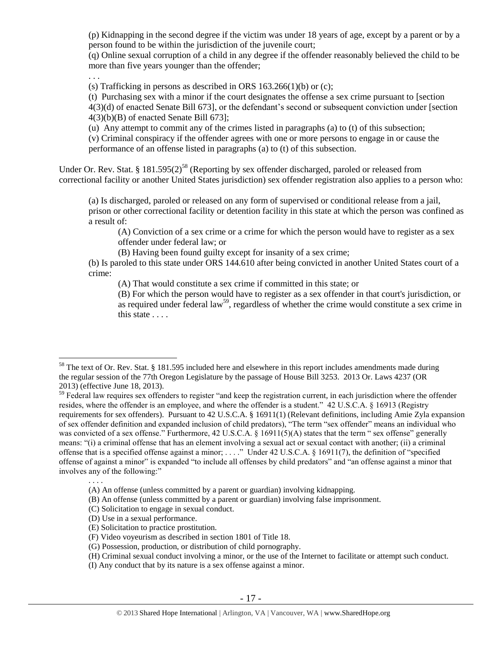(p) Kidnapping in the second degree if the victim was under 18 years of age, except by a parent or by a person found to be within the jurisdiction of the juvenile court;

(q) Online sexual corruption of a child in any degree if the offender reasonably believed the child to be more than five years younger than the offender;

. . .

 $\overline{a}$ 

(s) Trafficking in persons as described in ORS  $163.266(1)(b)$  or (c);

(t) Purchasing sex with a minor if the court designates the offense a sex crime pursuant to [section 4(3)(d) of enacted Senate Bill 673], or the defendant's second or subsequent conviction under [section 4(3)(b)(B) of enacted Senate Bill 673];

(u) Any attempt to commit any of the crimes listed in paragraphs (a) to (t) of this subsection;

(v) Criminal conspiracy if the offender agrees with one or more persons to engage in or cause the performance of an offense listed in paragraphs (a) to (t) of this subsection.

Under Or. Rev. Stat. §  $181.595(2)^{58}$  (Reporting by sex offender discharged, paroled or released from correctional facility or another United States jurisdiction) sex offender registration also applies to a person who:

(a) Is discharged, paroled or released on any form of supervised or conditional release from a jail, prison or other correctional facility or detention facility in this state at which the person was confined as a result of:

<span id="page-16-0"></span>(A) Conviction of a sex crime or a crime for which the person would have to register as a sex offender under federal law; or

(B) Having been found guilty except for insanity of a sex crime;

(b) Is paroled to this state under ORS 144.610 after being convicted in another United States court of a crime:

(A) That would constitute a sex crime if committed in this state; or

<span id="page-16-1"></span>(B) For which the person would have to register as a sex offender in that court's jurisdiction, or as required under federal law<sup>59</sup>, regardless of whether the crime would constitute a sex crime in this state . . . .

. . . .

<sup>&</sup>lt;sup>58</sup> The text of Or. Rev. Stat. § 181.595 included here and elsewhere in this report includes amendments made during the regular session of the 77th Oregon Legislature by the passage of House Bill 3253. 2013 Or. Laws 4237 (OR 2013) (effective June 18, 2013).

 $59$  Federal law requires sex offenders to register "and keep the registration current, in each jurisdiction where the offender resides, where the offender is an employee, and where the offender is a student." 42 U.S.C.A. § 16913 (Registry requirements for sex offenders). Pursuant to 42 U.S.C.A. § 16911(1) (Relevant definitions, including Amie Zyla expansion of sex offender definition and expanded inclusion of child predators), "The term "sex offender" means an individual who was convicted of a sex offense." Furthermore, 42 U.S.C.A. § 16911(5)(A) states that the term " sex offense" generally means: "(i) a criminal offense that has an element involving a sexual act or sexual contact with another; (ii) a criminal offense that is a specified offense against a minor; . . . ." Under 42 U.S.C.A. § 16911(7), the definition of "specified offense of against a minor" is expanded "to include all offenses by child predators" and "an offense against a minor that involves any of the following:"

<sup>(</sup>A) An offense (unless committed by a parent or guardian) involving kidnapping.

<sup>(</sup>B) An offense (unless committed by a parent or guardian) involving false imprisonment.

<sup>(</sup>C) Solicitation to engage in sexual conduct.

<sup>(</sup>D) Use in a sexual performance.

<sup>(</sup>E) Solicitation to practice prostitution.

<sup>(</sup>F) Video voyeurism as described in [section 1801 of Title 18.](https://1.next.westlaw.com/Link/Document/FullText?findType=L&pubNum=1000546&cite=18USCAS1801&originatingDoc=N61E9B1E02C9B11DBB179FACF3E96AFAD&refType=LQ&originationContext=document&transitionType=DocumentItem&contextData=(sc.Search))

<sup>(</sup>G) Possession, production, or distribution of child pornography.

<sup>(</sup>H) Criminal sexual conduct involving a minor, or the use of the Internet to facilitate or attempt such conduct.

<sup>(</sup>I) Any conduct that by its nature is a sex offense against a minor.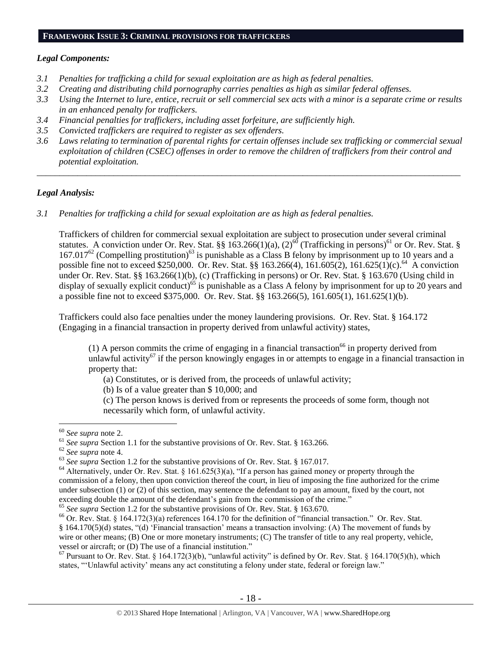#### **FRAMEWORK ISSUE 3: CRIMINAL PROVISIONS FOR TRAFFICKERS**

## *Legal Components:*

- *3.1 Penalties for trafficking a child for sexual exploitation are as high as federal penalties.*
- *3.2 Creating and distributing child pornography carries penalties as high as similar federal offenses.*
- *3.3 Using the Internet to lure, entice, recruit or sell commercial sex acts with a minor is a separate crime or results in an enhanced penalty for traffickers.*
- *3.4 Financial penalties for traffickers, including asset forfeiture, are sufficiently high.*
- *3.5 Convicted traffickers are required to register as sex offenders.*
- *3.6 Laws relating to termination of parental rights for certain offenses include sex trafficking or commercial sexual exploitation of children (CSEC) offenses in order to remove the children of traffickers from their control and potential exploitation.*

*\_\_\_\_\_\_\_\_\_\_\_\_\_\_\_\_\_\_\_\_\_\_\_\_\_\_\_\_\_\_\_\_\_\_\_\_\_\_\_\_\_\_\_\_\_\_\_\_\_\_\_\_\_\_\_\_\_\_\_\_\_\_\_\_\_\_\_\_\_\_\_\_\_\_\_\_\_\_\_\_\_\_\_\_\_\_\_\_\_\_\_\_\_\_*

## *Legal Analysis:*

*3.1 Penalties for trafficking a child for sexual exploitation are as high as federal penalties.* 

Traffickers of children for commercial sexual exploitation are subject to prosecution under several criminal statutes. A conviction under Or. Rev. Stat. §§ 163.266(1)(a), (2)<sup>60</sup> (Trafficking in persons)<sup>61</sup> or Or. Rev. Stat. §  $167.017<sup>62</sup>$  (Compelling prostitution)<sup>63</sup> is punishable as a Class B felony by imprisonment up to 10 years and a possible fine not to exceed \$250,000. Or. Rev. Stat. §§ 163.266(4), 161.605(2), 161.625(1)(c).<sup>64</sup> A conviction under Or. Rev. Stat. §§ 163.266(1)(b), (c) (Trafficking in persons) or Or. Rev. Stat. § 163.670 (Using child in display of sexually explicit conduct)<sup>65</sup> is punishable as a Class A felony by imprisonment for up to 20 years and a possible fine not to exceed \$375,000. Or. Rev. Stat. §§ 163.266(5), 161.605(1), 161.625(1)(b).

Traffickers could also face penalties under the money laundering provisions. Or. Rev. Stat. § 164.172 (Engaging in a financial transaction in property derived from unlawful activity) states,

(1) A person commits the crime of engaging in a financial transaction<sup>66</sup> in property derived from unlawful activity<sup>67</sup> if the person knowingly engages in or attempts to engage in a financial transaction in property that:

<span id="page-17-2"></span><span id="page-17-1"></span><span id="page-17-0"></span>(a) Constitutes, or is derived from, the proceeds of unlawful activity;

(b) Is of a value greater than \$ 10,000; and

(c) The person knows is derived from or represents the proceeds of some form, though not necessarily which form, of unlawful activity.

 $\overline{a}$ 

<sup>62</sup> *See supra* note [4.](#page-2-0)

<sup>60</sup> *See supra* note [2.](#page-0-0)

<sup>&</sup>lt;sup>61</sup> *See supra* Section 1.1 for the substantive provisions of Or. Rev. Stat. § 163.266.

<sup>&</sup>lt;sup>63</sup> See supra Section 1.2 for the substantive provisions of Or. Rev. Stat. § 167.017.

<sup>&</sup>lt;sup>64</sup> Alternatively, under Or. Rev. Stat. § 161.625(3)(a), "If a person has gained money or property through the commission of a felony, then upon conviction thereof the court, in lieu of imposing the fine authorized for the crime under subsection (1) or (2) of this section, may sentence the defendant to pay an amount, fixed by the court, not exceeding double the amount of the defendant's gain from the commission of the crime."

<sup>65</sup> *See supra* Section 1.2 for the substantive provisions of Or. Rev. Stat. § 163.670.

<sup>&</sup>lt;sup>66</sup> Or. Rev. Stat. § 164.172(3)(a) references 164.170 for the definition of "financial transaction." Or. Rev. Stat. § 164.170(5)(d) states, "(d) 'Financial transaction' means a transaction involving: (A) The movement of funds by wire or other means; (B) One or more monetary instruments; (C) The transfer of title to any real property, vehicle, vessel or aircraft; or (D) The use of a financial institution."

 $67$  Pursuant to Or. Rev. Stat. § 164.172(3)(b), "unlawful activity" is defined by Or. Rev. Stat. § 164.170(5)(h), which states, "'Unlawful activity' means any act constituting a felony under state, federal or foreign law."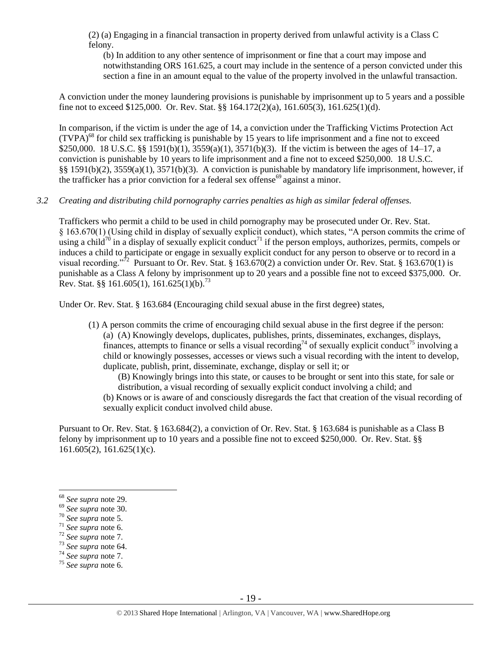(2) (a) Engaging in a financial transaction in property derived from unlawful activity is a Class C felony.

(b) In addition to any other sentence of imprisonment or fine that a court may impose and notwithstanding ORS 161.625, a court may include in the sentence of a person convicted under this section a fine in an amount equal to the value of the property involved in the unlawful transaction.

A conviction under the money laundering provisions is punishable by imprisonment up to 5 years and a possible fine not to exceed \$125,000. Or. Rev. Stat. §§ 164.172(2)(a), 161.605(3), 161.625(1)(d).

In comparison, if the victim is under the age of 14, a conviction under the Trafficking Victims Protection Act  $(TVPA)<sup>68</sup>$  for child sex trafficking is punishable by 15 years to life imprisonment and a fine not to exceed \$250,000. 18 U.S.C. §§ 1591(b)(1), 3559(a)(1), 3571(b)(3). If the victim is between the ages of 14–17, a conviction is punishable by 10 years to life imprisonment and a fine not to exceed \$250,000. 18 U.S.C. §§ 1591(b)(2), 3559(a)(1), 3571(b)(3). A conviction is punishable by mandatory life imprisonment, however, if the trafficker has a prior conviction for a federal sex offense<sup>69</sup> against a minor.

## *3.2 Creating and distributing child pornography carries penalties as high as similar federal offenses.*

Traffickers who permit a child to be used in child pornography may be prosecuted under Or. Rev. Stat. § 163.670(1) (Using child in display of sexually explicit conduct), which states, "A person commits the crime of using a child<sup>70</sup> in a display of sexually explicit conduct<sup>71</sup> if the person employs, authorizes, permits, compels or induces a child to participate or engage in sexually explicit conduct for any person to observe or to record in a visual recording."<sup>72</sup> Pursuant to Or. Rev. Stat. § 163.670(2) a conviction under Or. Rev. Stat. § 163.670(1) is punishable as a Class A felony by imprisonment up to 20 years and a possible fine not to exceed \$375,000. Or. Rev. Stat. §§ 161.605(1), 161.625(1)(b).<sup>73</sup>

Under Or. Rev. Stat. § 163.684 (Encouraging child sexual abuse in the first degree) states,

(1) A person commits the crime of encouraging child sexual abuse in the first degree if the person: (a) (A) Knowingly develops, duplicates, publishes, prints, disseminates, exchanges, displays, finances, attempts to finance or sells a visual recording<sup>74</sup> of sexually explicit conduct<sup>75</sup> involving a child or knowingly possesses, accesses or views such a visual recording with the intent to develop, duplicate, publish, print, disseminate, exchange, display or sell it; or

(B) Knowingly brings into this state, or causes to be brought or sent into this state, for sale or distribution, a visual recording of sexually explicit conduct involving a child; and

(b) Knows or is aware of and consciously disregards the fact that creation of the visual recording of sexually explicit conduct involved child abuse.

Pursuant to Or. Rev. Stat. § 163.684(2), a conviction of Or. Rev. Stat. § 163.684 is punishable as a Class B felony by imprisonment up to 10 years and a possible fine not to exceed \$250,000. Or. Rev. Stat. §§  $161.605(2)$ ,  $161.625(1)(c)$ .

 $\overline{a}$ 

<sup>74</sup> *See supra* note [7.](#page-2-3)

<sup>68</sup> *See supra* note [29.](#page-9-0)

<sup>69</sup> *See supra* note [30.](#page-9-1)

<sup>70</sup> *See supra* note [5.](#page-2-4)

<sup>71</sup> *See supra* note [6.](#page-2-2)

<sup>72</sup> *See supra* note [7.](#page-2-3)

<sup>73</sup> *See supra* note [64.](#page-17-0)

<sup>75</sup> *See supra* note [6.](#page-2-2)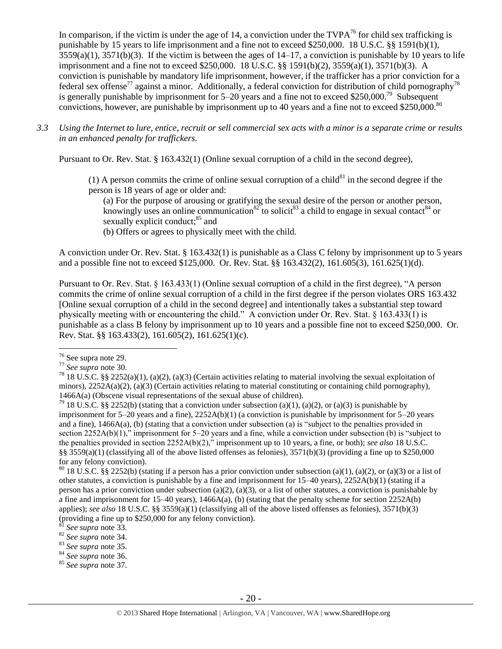In comparison, if the victim is under the age of 14, a conviction under the  $TVPA^{76}$  for child sex trafficking is punishable by 15 years to life imprisonment and a fine not to exceed \$250,000. 18 U.S.C. §§ 1591(b)(1),  $3559(a)(1)$ ,  $3571(b)(3)$ . If the victim is between the ages of  $14-17$ , a conviction is punishable by 10 years to life imprisonment and a fine not to exceed \$250,000. 18 U.S.C. §§ 1591(b)(2), 3559(a)(1), 3571(b)(3). A conviction is punishable by mandatory life imprisonment, however, if the trafficker has a prior conviction for a federal sex offense<sup>77</sup> against a minor. Additionally, a federal conviction for distribution of child pornography<sup>78</sup> is generally punishable by imprisonment for  $5-20$  years and a fine not to exceed \$250,000.<sup>79</sup> Subsequent convictions, however, are punishable by imprisonment up to 40 years and a fine not to exceed \$250,000.<sup>80</sup>

*3.3 Using the Internet to lure, entice, recruit or sell commercial sex acts with a minor is a separate crime or results in an enhanced penalty for traffickers.*

Pursuant to Or. Rev. Stat. § 163.432(1) (Online sexual corruption of a child in the second degree),

(1) A person commits the crime of online sexual corruption of a child $^{81}$  in the second degree if the person is 18 years of age or older and:

(a) For the purpose of arousing or gratifying the sexual desire of the person or another person, knowingly uses an online communication<sup>82</sup> to solicit<sup>83</sup> a child to engage in sexual contact<sup>84</sup> or sexually explicit conduct; $^{85}$  and

(b) Offers or agrees to physically meet with the child.

A conviction under Or. Rev. Stat. § 163.432(1) is punishable as a Class C felony by imprisonment up to 5 years and a possible fine not to exceed \$125,000. Or. Rev. Stat. §§ 163.432(2), 161.605(3), 161.625(1)(d).

Pursuant to Or. Rev. Stat. § 163.433(1) (Online sexual corruption of a child in the first degree), "A person commits the crime of online sexual corruption of a child in the first degree if the person violates ORS 163.432 [Online sexual corruption of a child in the second degree] and intentionally takes a substantial step toward physically meeting with or encountering the child." A conviction under Or. Rev. Stat. § 163.433(1) is punishable as a class B felony by imprisonment up to 10 years and a possible fine not to exceed \$250,000. Or. Rev. Stat. §§ 163.433(2), 161.605(2), 161.625(1)(c).

<sup>&</sup>lt;sup>76</sup> See supra note [29.](#page-9-0)

<sup>77</sup> *See supra* note [30.](#page-9-1)

<sup>&</sup>lt;sup>78</sup> 18 U.S.C. §§ 2252(a)(1), (a)(2), (a)(3) (Certain activities relating to material involving the sexual exploitation of minors),  $2252A(a)(2)$ , (a)(3) (Certain activities relating to material constituting or containing child pornography), 1466A(a) (Obscene visual representations of the sexual abuse of children).

<sup>&</sup>lt;sup>79</sup> 18 U.S.C. §§ 2252(b) (stating that a conviction under subsection (a)(1), (a)(2), or (a)(3) is punishable by imprisonment for 5–20 years and a fine), 2252A(b)(1) (a conviction is punishable by imprisonment for 5–20 years and a fine), 1466A(a), (b) (stating that a conviction under subsection (a) is "subject to the penalties provided in section 2252A(b)(1)," imprisonment for 5–20 years and a fine, while a conviction under subsection (b) is "subject to the penalties provided in section 2252A(b)(2)," imprisonment up to 10 years, a fine, or both); *see also* 18 U.S.C. §§ 3559(a)(1) (classifying all of the above listed offenses as felonies),  $3571(b)(3)$  (providing a fine up to \$250,000 for any felony conviction).

<sup>&</sup>lt;sup>80</sup> 18 U.S.C. §§ 2252(b) (stating if a person has a prior conviction under subsection (a)(1), (a)(2), or (a)(3) or a list of other statutes, a conviction is punishable by a fine and imprisonment for 15–40 years), 2252A(b)(1) (stating if a person has a prior conviction under subsection (a)(2), (a)(3), or a list of other statutes, a conviction is punishable by a fine and imprisonment for  $15-40$  years),  $1466A(a)$ , (b) (stating that the penalty scheme for section  $2252A(b)$ applies); *see also* 18 U.S.C. §§ 3559(a)(1) (classifying all of the above listed offenses as felonies), 3571(b)(3) (providing a fine up to \$250,000 for any felony conviction).

See supra note [33.](#page-10-0)

<sup>82</sup> *See supra* note [34.](#page-10-1)

<sup>83</sup> *See supra* note [35.](#page-10-2)

<sup>84</sup> *See supra* note [36.](#page-10-3)

<sup>85</sup> *See supra* note [37.](#page-10-4)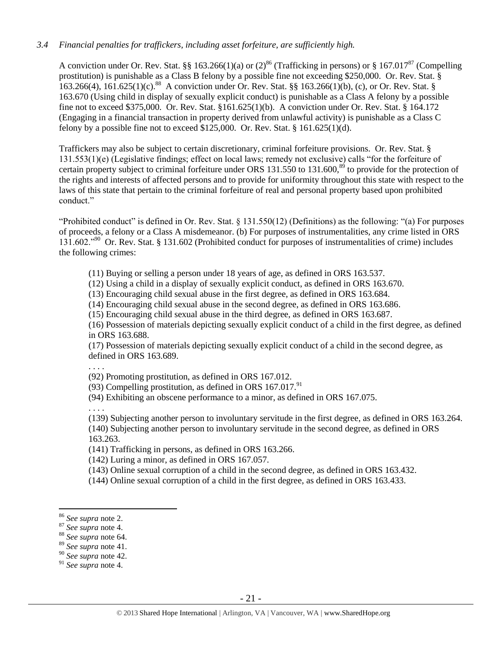# *3.4 Financial penalties for traffickers, including asset forfeiture, are sufficiently high.*

A conviction under Or. Rev. Stat. §§ 163.266(1)(a) or  $(2)^{86}$  (Trafficking in persons) or § 167.017<sup>87</sup> (Compelling prostitution) is punishable as a Class B felony by a possible fine not exceeding \$250,000. Or. Rev. Stat. § 163.266(4), 161.625(1)(c).<sup>88</sup> A conviction under Or. Rev. Stat. §§ 163.266(1)(b), (c), or Or. Rev. Stat. § 163.670 (Using child in display of sexually explicit conduct) is punishable as a Class A felony by a possible fine not to exceed \$375,000. Or. Rev. Stat. §161.625(1)(b). A conviction under Or. Rev. Stat. § 164.172 (Engaging in a financial transaction in property derived from unlawful activity) is punishable as a Class C felony by a possible fine not to exceed \$125,000. Or. Rev. Stat. § 161.625(1)(d).

Traffickers may also be subject to certain discretionary, criminal forfeiture provisions. Or. Rev. Stat. § 131.553(1)(e) (Legislative findings; effect on local laws; remedy not exclusive) calls "for the forfeiture of certain property subject to criminal forfeiture under ORS  $131.550$  to  $131.600$ ,<sup>89</sup> to provide for the protection of the rights and interests of affected persons and to provide for uniformity throughout this state with respect to the laws of this state that pertain to the criminal forfeiture of real and personal property based upon prohibited conduct."

"Prohibited conduct" is defined in Or. Rev. Stat. § 131.550(12) (Definitions) as the following: "(a) For purposes of proceeds, a felony or a Class A misdemeanor. (b) For purposes of instrumentalities, any crime listed in ORS 131.602."<sup>90</sup> Or. Rev. Stat. § 131.602 (Prohibited conduct for purposes of instrumentalities of crime) includes the following crimes:

(11) Buying or selling a person under 18 years of age, as defined in ORS 163.537.

(12) Using a child in a display of sexually explicit conduct, as defined in ORS 163.670.

(13) Encouraging child sexual abuse in the first degree, as defined in ORS 163.684.

(14) Encouraging child sexual abuse in the second degree, as defined in ORS 163.686.

(15) Encouraging child sexual abuse in the third degree, as defined in ORS 163.687.

(16) Possession of materials depicting sexually explicit conduct of a child in the first degree, as defined in ORS 163.688.

(17) Possession of materials depicting sexually explicit conduct of a child in the second degree, as defined in ORS 163.689.

. . . .

(92) Promoting prostitution, as defined in ORS 167.012.

(93) Compelling prostitution, as defined in ORS  $167.017$ .<sup>91</sup>

(94) Exhibiting an obscene performance to a minor, as defined in ORS 167.075.

. . . .

(139) Subjecting another person to involuntary servitude in the first degree, as defined in ORS 163.264. (140) Subjecting another person to involuntary servitude in the second degree, as defined in ORS 163.263.

(141) Trafficking in persons, as defined in ORS 163.266.

(142) Luring a minor, as defined in ORS 167.057.

- (143) Online sexual corruption of a child in the second degree, as defined in ORS 163.432.
- (144) Online sexual corruption of a child in the first degree, as defined in ORS 163.433.

 $\overline{a}$ 

<sup>89</sup> *See supra* note [41.](#page-12-0)

<sup>86</sup> *See supra* note [2.](#page-0-0)

<sup>87</sup> *See supra* note [4.](#page-2-0)

<sup>88</sup> *See supra* note [64.](#page-17-0)

<sup>90</sup> *See supra* note [42.](#page-12-1)

<sup>91</sup> *See supra* note [4.](#page-2-0)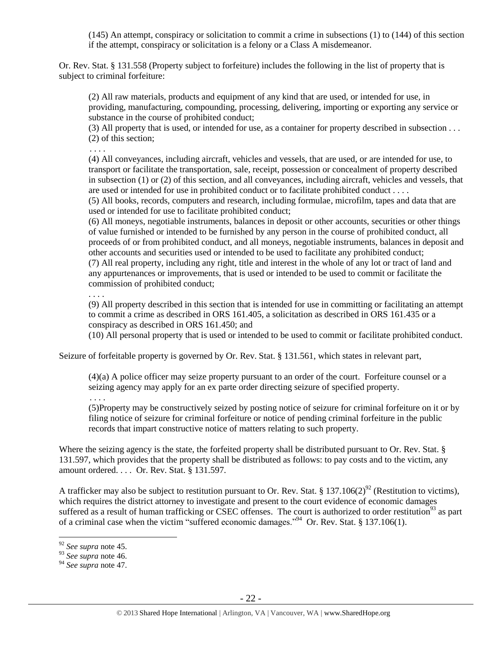(145) An attempt, conspiracy or solicitation to commit a crime in subsections (1) to (144) of this section if the attempt, conspiracy or solicitation is a felony or a Class A misdemeanor.

Or. Rev. Stat. § 131.558 (Property subject to forfeiture) includes the following in the list of property that is subject to criminal forfeiture:

(2) All raw materials, products and equipment of any kind that are used, or intended for use, in providing, manufacturing, compounding, processing, delivering, importing or exporting any service or substance in the course of prohibited conduct;

(3) All property that is used, or intended for use, as a container for property described in subsection . . . (2) of this section;

. . . .

(4) All conveyances, including aircraft, vehicles and vessels, that are used, or are intended for use, to transport or facilitate the transportation, sale, receipt, possession or concealment of property described in subsection (1) or (2) of this section, and all conveyances, including aircraft, vehicles and vessels, that are used or intended for use in prohibited conduct or to facilitate prohibited conduct . . . .

(5) All books, records, computers and research, including formulae, microfilm, tapes and data that are used or intended for use to facilitate prohibited conduct;

(6) All moneys, negotiable instruments, balances in deposit or other accounts, securities or other things of value furnished or intended to be furnished by any person in the course of prohibited conduct, all proceeds of or from prohibited conduct, and all moneys, negotiable instruments, balances in deposit and other accounts and securities used or intended to be used to facilitate any prohibited conduct; (7) All real property, including any right, title and interest in the whole of any lot or tract of land and any appurtenances or improvements, that is used or intended to be used to commit or facilitate the commission of prohibited conduct;

. . . .

(9) All property described in this section that is intended for use in committing or facilitating an attempt to commit a crime as described in ORS 161.405, a solicitation as described in ORS 161.435 or a conspiracy as described in ORS 161.450; and

(10) All personal property that is used or intended to be used to commit or facilitate prohibited conduct.

Seizure of forfeitable property is governed by Or. Rev. Stat. § 131.561, which states in relevant part,

(4)(a) A police officer may seize property pursuant to an order of the court. Forfeiture counsel or a seizing agency may apply for an ex parte order directing seizure of specified property.

. . . .

(5)Property may be constructively seized by posting notice of seizure for criminal forfeiture on it or by filing notice of seizure for criminal forfeiture or notice of pending criminal forfeiture in the public records that impart constructive notice of matters relating to such property.

Where the seizing agency is the state, the forfeited property shall be distributed pursuant to Or. Rev. Stat. § 131.597, which provides that the property shall be distributed as follows: to pay costs and to the victim, any amount ordered. . . . Or. Rev. Stat. § 131.597.

A trafficker may also be subject to restitution pursuant to Or. Rev. Stat. § 137.106(2)<sup>92</sup> (Restitution to victims), which requires the district attorney to investigate and present to the court evidence of economic damages suffered as a result of human trafficking or CSEC offenses. The court is authorized to order restitution<sup>93</sup> as part of a criminal case when the victim "suffered economic damages."<sup>94</sup> Or. Rev. Stat. § 137.106(1).

<sup>92</sup> *See supra* note [45.](#page-13-0)

<sup>93</sup> *See supra* note [46.](#page-13-1) 

<sup>94</sup> *See supra* note [47.](#page-13-2)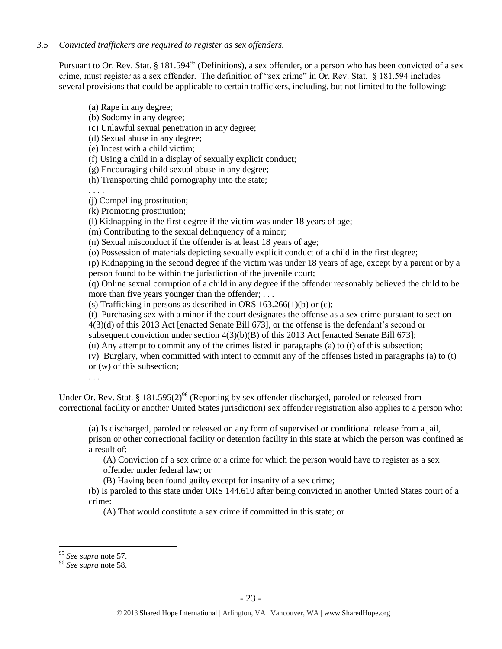*3.5 Convicted traffickers are required to register as sex offenders.*

Pursuant to Or. Rev. Stat. § 181.594<sup>95</sup> (Definitions), a sex offender, or a person who has been convicted of a sex crime, must register as a sex offender. The definition of "sex crime" in Or. Rev. Stat. § 181.594 includes several provisions that could be applicable to certain traffickers, including, but not limited to the following:

(a) Rape in any degree;

(b) Sodomy in any degree;

(c) Unlawful sexual penetration in any degree;

(d) Sexual abuse in any degree;

(e) Incest with a child victim;

(f) Using a child in a display of sexually explicit conduct;

(g) Encouraging child sexual abuse in any degree;

(h) Transporting child pornography into the state;

. . . .

(j) Compelling prostitution;

(k) Promoting prostitution;

(l) Kidnapping in the first degree if the victim was under 18 years of age;

(m) Contributing to the sexual delinquency of a minor;

(n) Sexual misconduct if the offender is at least 18 years of age;

(o) Possession of materials depicting sexually explicit conduct of a child in the first degree;

(p) Kidnapping in the second degree if the victim was under 18 years of age, except by a parent or by a person found to be within the jurisdiction of the juvenile court;

(q) Online sexual corruption of a child in any degree if the offender reasonably believed the child to be more than five years younger than the offender; ...

(s) Trafficking in persons as described in ORS  $163.266(1)(b)$  or (c);

(t) Purchasing sex with a minor if the court designates the offense as a sex crime pursuant to section 4(3)(d) of this 2013 Act [enacted Senate Bill 673], or the offense is the defendant's second or subsequent conviction under section  $4(3)(b)(B)$  of this 2013 Act [enacted Senate Bill 673];

(u) Any attempt to commit any of the crimes listed in paragraphs (a) to (t) of this subsection;

(v) Burglary, when committed with intent to commit any of the offenses listed in paragraphs (a) to (t) or (w) of this subsection;

. . . .

Under Or. Rev. Stat. § 181.595(2)<sup>96</sup> (Reporting by sex offender discharged, paroled or released from correctional facility or another United States jurisdiction) sex offender registration also applies to a person who:

(a) Is discharged, paroled or released on any form of supervised or conditional release from a jail, prison or other correctional facility or detention facility in this state at which the person was confined as a result of:

(A) Conviction of a sex crime or a crime for which the person would have to register as a sex offender under federal law; or

(B) Having been found guilty except for insanity of a sex crime;

(b) Is paroled to this state under ORS 144.610 after being convicted in another United States court of a crime:

(A) That would constitute a sex crime if committed in this state; or

<sup>95</sup> *See supra* note [57.](#page-15-0)

<sup>96</sup> *See supra* note [58.](#page-16-0)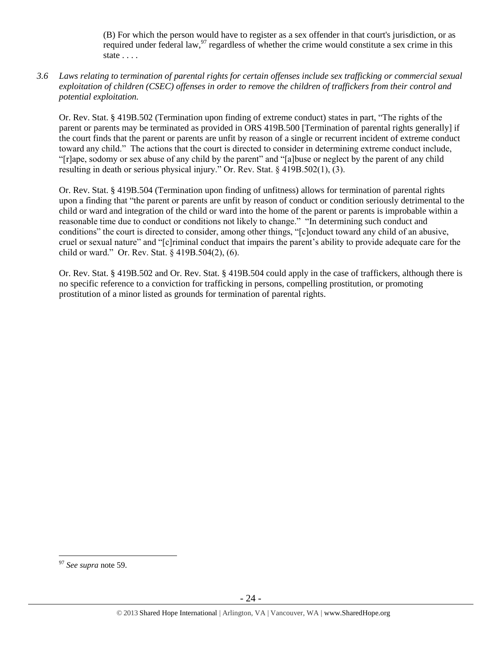(B) For which the person would have to register as a sex offender in that court's jurisdiction, or as required under federal law,<sup>97</sup> regardless of whether the crime would constitute a sex crime in this state . . . .

*3.6 Laws relating to termination of parental rights for certain offenses include sex trafficking or commercial sexual exploitation of children (CSEC) offenses in order to remove the children of traffickers from their control and potential exploitation.* 

Or. Rev. Stat. § 419B.502 (Termination upon finding of extreme conduct) states in part, "The rights of the parent or parents may be terminated as provided in ORS 419B.500 [Termination of parental rights generally] if the court finds that the parent or parents are unfit by reason of a single or recurrent incident of extreme conduct toward any child." The actions that the court is directed to consider in determining extreme conduct include, "[r]ape, sodomy or sex abuse of any child by the parent" and "[a]buse or neglect by the parent of any child resulting in death or serious physical injury." Or. Rev. Stat. § 419B.502(1), (3).

Or. Rev. Stat. § 419B.504 (Termination upon finding of unfitness) allows for termination of parental rights upon a finding that "the parent or parents are unfit by reason of conduct or condition seriously detrimental to the child or ward and integration of the child or ward into the home of the parent or parents is improbable within a reasonable time due to conduct or conditions not likely to change." "In determining such conduct and conditions" the court is directed to consider, among other things, "[c]onduct toward any child of an abusive, cruel or sexual nature" and "[c]riminal conduct that impairs the parent's ability to provide adequate care for the child or ward." Or. Rev. Stat. § 419B.504(2), (6).

Or. Rev. Stat. § 419B.502 and Or. Rev. Stat. § 419B.504 could apply in the case of traffickers, although there is no specific reference to a conviction for trafficking in persons, compelling prostitution, or promoting prostitution of a minor listed as grounds for termination of parental rights.

<sup>97</sup> *See supra* note [59.](#page-16-1)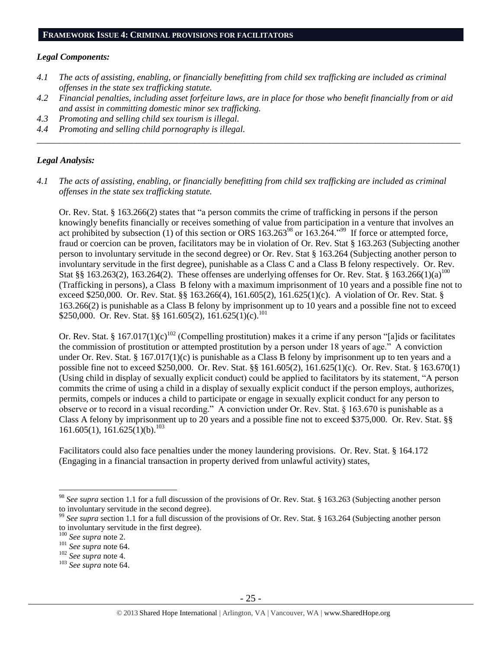#### **FRAMEWORK ISSUE 4: CRIMINAL PROVISIONS FOR FACILITATORS**

#### *Legal Components:*

- *4.1 The acts of assisting, enabling, or financially benefitting from child sex trafficking are included as criminal offenses in the state sex trafficking statute.*
- *4.2 Financial penalties, including asset forfeiture laws, are in place for those who benefit financially from or aid and assist in committing domestic minor sex trafficking.*

*\_\_\_\_\_\_\_\_\_\_\_\_\_\_\_\_\_\_\_\_\_\_\_\_\_\_\_\_\_\_\_\_\_\_\_\_\_\_\_\_\_\_\_\_\_\_\_\_\_\_\_\_\_\_\_\_\_\_\_\_\_\_\_\_\_\_\_\_\_\_\_\_\_\_\_\_\_\_\_\_\_\_\_\_\_\_\_\_\_\_\_\_\_\_*

- *4.3 Promoting and selling child sex tourism is illegal.*
- *4.4 Promoting and selling child pornography is illegal.*

## *Legal Analysis:*

*4.1 The acts of assisting, enabling, or financially benefitting from child sex trafficking are included as criminal offenses in the state sex trafficking statute.*

Or. Rev. Stat. § 163.266(2) states that "a person commits the crime of trafficking in persons if the person knowingly benefits financially or receives something of value from participation in a venture that involves an act prohibited by subsection (1) of this section or ORS  $163.263^{98}$  or  $163.264.^{99}$  If force or attempted force, fraud or coercion can be proven, facilitators may be in violation of Or. Rev. Stat § 163.263 (Subjecting another person to involuntary servitude in the second degree) or Or. Rev. Stat § 163.264 (Subjecting another person to involuntary servitude in the first degree), punishable as a Class C and a Class B felony respectively. Or. Rev. Stat §§ 163.263(2), 163.264(2). These offenses are underlying offenses for Or. Rev. Stat. § 163.266(1)(a)<sup>100</sup> (Trafficking in persons), a Class B felony with a maximum imprisonment of 10 years and a possible fine not to exceed \$250,000. Or. Rev. Stat. §§ 163.266(4), 161.605(2), 161.625(1)(c). A violation of Or. Rev. Stat. § 163.266(2) is punishable as a Class B felony by imprisonment up to 10 years and a possible fine not to exceed \$250,000. Or. Rev. Stat. §§ 161.605(2), 161.625(1)(c).<sup>101</sup>

Or. Rev. Stat. § 167.017(1)(c)<sup>102</sup> (Compelling prostitution) makes it a crime if any person "[a]ids or facilitates the commission of prostitution or attempted prostitution by a person under 18 years of age." A conviction under Or. Rev. Stat. § 167.017(1)(c) is punishable as a Class B felony by imprisonment up to ten years and a possible fine not to exceed \$250,000. Or. Rev. Stat. §§ 161.605(2), 161.625(1)(c). Or. Rev. Stat. § 163.670(1) (Using child in display of sexually explicit conduct) could be applied to facilitators by its statement, "A person commits the crime of using a child in a display of sexually explicit conduct if the person employs, authorizes, permits, compels or induces a child to participate or engage in sexually explicit conduct for any person to observe or to record in a visual recording." A conviction under Or. Rev. Stat. § 163.670 is punishable as a Class A felony by imprisonment up to 20 years and a possible fine not to exceed \$375,000. Or. Rev. Stat. §§ 161.605(1), 161.625(1)(b).<sup>103</sup>

Facilitators could also face penalties under the money laundering provisions. Or. Rev. Stat. § 164.172 (Engaging in a financial transaction in property derived from unlawful activity) states,

<sup>98</sup> *See supra* section 1.1 for a full discussion of the provisions of Or. Rev. Stat. § 163.263 (Subjecting another person to involuntary servitude in the second degree).

<sup>&</sup>lt;sup>99</sup> See supra section 1.1 for a full discussion of the provisions of Or. Rev. Stat. § 163.264 (Subjecting another person to involuntary servitude in the first degree).

<sup>100</sup> *See supra* not[e 2.](#page-0-0)

<sup>101</sup> *See supra* not[e 64.](#page-17-0)

<sup>102</sup> *See supra* not[e 4.](#page-2-0)

<sup>103</sup> *See supra* not[e 64.](#page-17-0)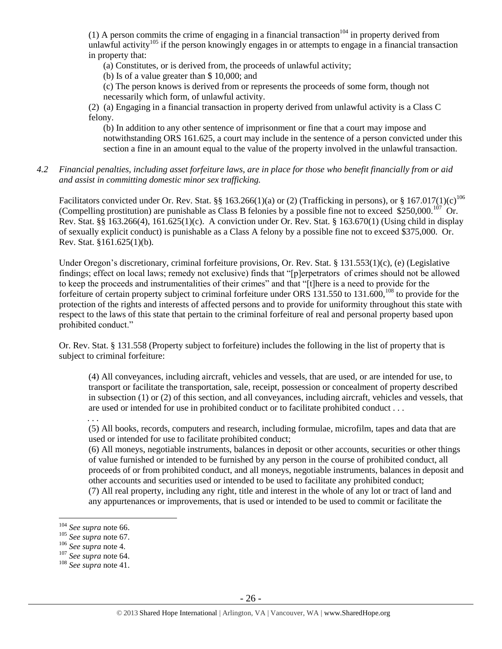(1) A person commits the crime of engaging in a financial transaction<sup>104</sup> in property derived from unlawful activity<sup>105</sup> if the person knowingly engages in or attempts to engage in a financial transaction in property that:

(a) Constitutes, or is derived from, the proceeds of unlawful activity;

(b) Is of a value greater than \$ 10,000; and

(c) The person knows is derived from or represents the proceeds of some form, though not necessarily which form, of unlawful activity.

(2) (a) Engaging in a financial transaction in property derived from unlawful activity is a Class C felony.

(b) In addition to any other sentence of imprisonment or fine that a court may impose and notwithstanding ORS 161.625, a court may include in the sentence of a person convicted under this section a fine in an amount equal to the value of the property involved in the unlawful transaction.

*4.2 Financial penalties, including asset forfeiture laws, are in place for those who benefit financially from or aid and assist in committing domestic minor sex trafficking.*

Facilitators convicted under Or. Rev. Stat. §§ 163.266(1)(a) or (2) (Trafficking in persons), or § 167.017(1)(c)<sup>106</sup> (Compelling prostitution) are punishable as Class B felonies by a possible fine not to exceed \$250,000.<sup>107</sup> Or. Rev. Stat. §§ 163.266(4), 161.625(1)(c). A conviction under Or. Rev. Stat. § 163.670(1) (Using child in display of sexually explicit conduct) is punishable as a Class A felony by a possible fine not to exceed \$375,000. Or. Rev. Stat. §161.625(1)(b).

Under Oregon's discretionary, criminal forfeiture provisions, Or. Rev. Stat. § 131.553(1)(c), (e) (Legislative findings; effect on local laws; remedy not exclusive) finds that "[p]erpetrators of crimes should not be allowed to keep the proceeds and instrumentalities of their crimes" and that "[t]here is a need to provide for the forfeiture of certain property subject to criminal forfeiture under ORS 131.550 to 131.600,<sup>108</sup> to provide for the protection of the rights and interests of affected persons and to provide for uniformity throughout this state with respect to the laws of this state that pertain to the criminal forfeiture of real and personal property based upon prohibited conduct."

Or. Rev. Stat. § 131.558 (Property subject to forfeiture) includes the following in the list of property that is subject to criminal forfeiture:

(4) All conveyances, including aircraft, vehicles and vessels, that are used, or are intended for use, to transport or facilitate the transportation, sale, receipt, possession or concealment of property described in subsection (1) or (2) of this section, and all conveyances, including aircraft, vehicles and vessels, that are used or intended for use in prohibited conduct or to facilitate prohibited conduct . . .

. . .

(5) All books, records, computers and research, including formulae, microfilm, tapes and data that are used or intended for use to facilitate prohibited conduct;

(6) All moneys, negotiable instruments, balances in deposit or other accounts, securities or other things of value furnished or intended to be furnished by any person in the course of prohibited conduct, all proceeds of or from prohibited conduct, and all moneys, negotiable instruments, balances in deposit and other accounts and securities used or intended to be used to facilitate any prohibited conduct; (7) All real property, including any right, title and interest in the whole of any lot or tract of land and any appurtenances or improvements, that is used or intended to be used to commit or facilitate the

<sup>104</sup> *See supra* not[e 66.](#page-17-1)

<sup>105</sup> *See supra* not[e 67.](#page-17-2)

<sup>106</sup> *See supra* not[e 4.](#page-2-0)

<sup>107</sup> *See supra* not[e 64.](#page-17-0)

<sup>108</sup> *See supra* not[e 41.](#page-12-0)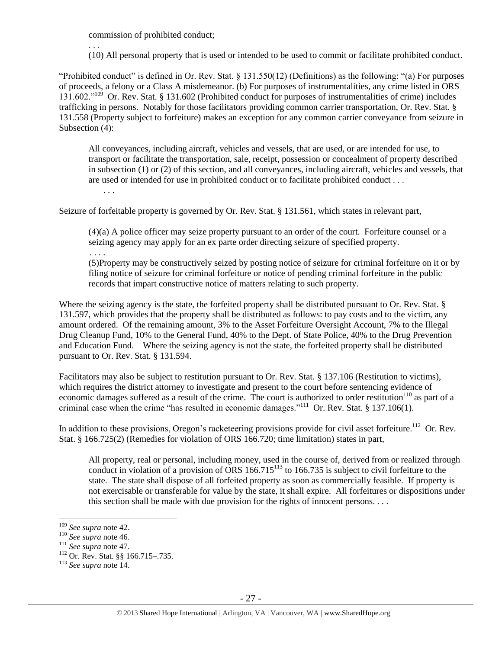commission of prohibited conduct;

. . .

(10) All personal property that is used or intended to be used to commit or facilitate prohibited conduct.

"Prohibited conduct" is defined in Or. Rev. Stat. § 131.550(12) (Definitions) as the following: "(a) For purposes of proceeds, a felony or a Class A misdemeanor. (b) For purposes of instrumentalities, any crime listed in ORS 131.602."<sup>109</sup> Or. Rev. Stat. § 131.602 (Prohibited conduct for purposes of instrumentalities of crime) includes trafficking in persons. Notably for those facilitators providing common carrier transportation, Or. Rev. Stat. § 131.558 (Property subject to forfeiture) makes an exception for any common carrier conveyance from seizure in Subsection (4):

All conveyances, including aircraft, vehicles and vessels, that are used, or are intended for use, to transport or facilitate the transportation, sale, receipt, possession or concealment of property described in subsection (1) or (2) of this section, and all conveyances, including aircraft, vehicles and vessels, that are used or intended for use in prohibited conduct or to facilitate prohibited conduct . . .

. . .

Seizure of forfeitable property is governed by Or. Rev. Stat. § 131.561, which states in relevant part,

(4)(a) A police officer may seize property pursuant to an order of the court. Forfeiture counsel or a seizing agency may apply for an ex parte order directing seizure of specified property.

. . . .

(5)Property may be constructively seized by posting notice of seizure for criminal forfeiture on it or by filing notice of seizure for criminal forfeiture or notice of pending criminal forfeiture in the public records that impart constructive notice of matters relating to such property.

Where the seizing agency is the state, the forfeited property shall be distributed pursuant to Or. Rev. Stat. § 131.597, which provides that the property shall be distributed as follows: to pay costs and to the victim, any amount ordered. Of the remaining amount, 3% to the Asset Forfeiture Oversight Account, 7% to the Illegal Drug Cleanup Fund, 10% to the General Fund, 40% to the Dept. of State Police, 40% to the Drug Prevention and Education Fund. Where the seizing agency is not the state, the forfeited property shall be distributed pursuant to Or. Rev. Stat. § 131.594.

Facilitators may also be subject to restitution pursuant to Or. Rev. Stat. § 137.106 (Restitution to victims), which requires the district attorney to investigate and present to the court before sentencing evidence of economic damages suffered as a result of the crime. The court is authorized to order restitution<sup>110</sup> as part of a criminal case when the crime "has resulted in economic damages."<sup>111</sup> Or. Rev. Stat. § 137.106(1).

In addition to these provisions, Oregon's racketeering provisions provide for civil asset forfeiture.<sup>112</sup> Or. Rev. Stat. § 166.725(2) (Remedies for violation of ORS 166.720; time limitation) states in part,

All property, real or personal, including money, used in the course of, derived from or realized through conduct in violation of a provision of  $\overline{ORS}$  166.715<sup>113</sup> to 166.735 is subject to civil forfeiture to the state. The state shall dispose of all forfeited property as soon as commercially feasible. If property is not exercisable or transferable for value by the state, it shall expire. All forfeitures or dispositions under this section shall be made with due provision for the rights of innocent persons. . . .

 $\overline{a}$ 

<sup>113</sup> *See supra* not[e 14.](#page-6-0)

<sup>109</sup> *See supra* not[e 42.](#page-12-1)

<sup>110</sup> *See supra* not[e 46.](#page-13-1)

<sup>111</sup> *See supra* not[e 47.](#page-13-2)

<sup>112</sup> Or. Rev. Stat. §§ 166.715–.735.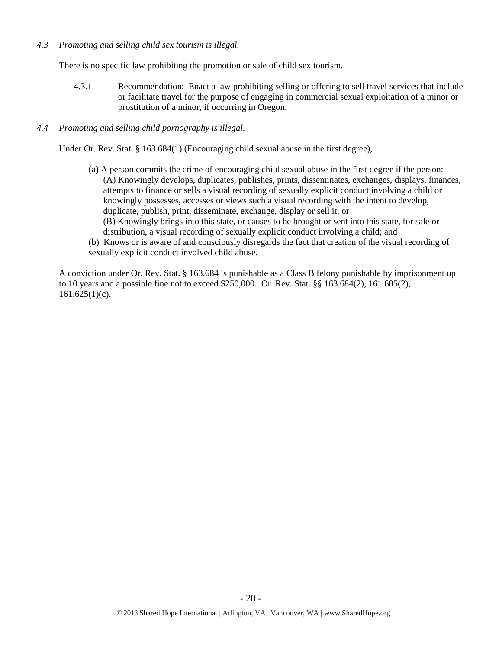## *4.3 Promoting and selling child sex tourism is illegal.*

There is no specific law prohibiting the promotion or sale of child sex tourism.

4.3.1 Recommendation: Enact a law prohibiting selling or offering to sell travel services that include or facilitate travel for the purpose of engaging in commercial sexual exploitation of a minor or prostitution of a minor, if occurring in Oregon.

## *4.4 Promoting and selling child pornography is illegal.*

Under Or. Rev. Stat. § 163.684(1) (Encouraging child sexual abuse in the first degree),

- (a) A person commits the crime of encouraging child sexual abuse in the first degree if the person: (A) Knowingly develops, duplicates, publishes, prints, disseminates, exchanges, displays, finances, attempts to finance or sells a visual recording of sexually explicit conduct involving a child or knowingly possesses, accesses or views such a visual recording with the intent to develop, duplicate, publish, print, disseminate, exchange, display or sell it; or (B) Knowingly brings into this state, or causes to be brought or sent into this state, for sale or
	- distribution, a visual recording of sexually explicit conduct involving a child; and
- (b) Knows or is aware of and consciously disregards the fact that creation of the visual recording of sexually explicit conduct involved child abuse.

A conviction under Or. Rev. Stat. § 163.684 is punishable as a Class B felony punishable by imprisonment up to 10 years and a possible fine not to exceed \$250,000. Or. Rev. Stat. §§ 163.684(2), 161.605(2),  $161.625(1)(c)$ .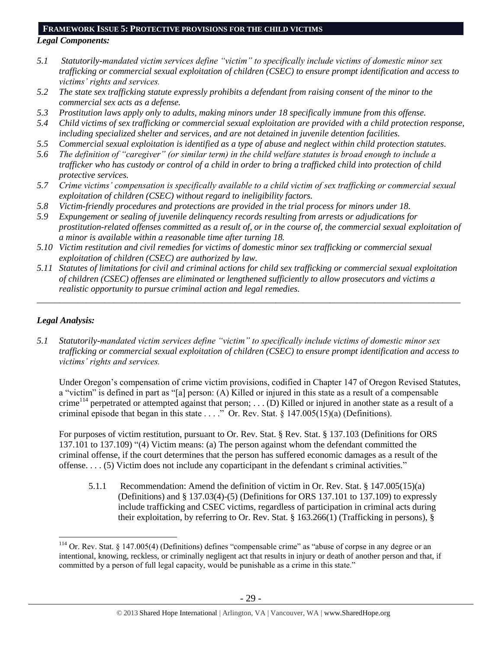#### **FRAMEWORK ISSUE 5: PROTECTIVE PROVISIONS FOR THE CHILD VICTIMS**

#### *Legal Components:*

- *5.1 Statutorily-mandated victim services define "victim" to specifically include victims of domestic minor sex trafficking or commercial sexual exploitation of children (CSEC) to ensure prompt identification and access to victims' rights and services.*
- *5.2 The state sex trafficking statute expressly prohibits a defendant from raising consent of the minor to the commercial sex acts as a defense.*
- *5.3 Prostitution laws apply only to adults, making minors under 18 specifically immune from this offense.*
- *5.4 Child victims of sex trafficking or commercial sexual exploitation are provided with a child protection response, including specialized shelter and services, and are not detained in juvenile detention facilities.*
- *5.5 Commercial sexual exploitation is identified as a type of abuse and neglect within child protection statutes.*
- *5.6 The definition of "caregiver" (or similar term) in the child welfare statutes is broad enough to include a trafficker who has custody or control of a child in order to bring a trafficked child into protection of child protective services.*
- *5.7 Crime victims' compensation is specifically available to a child victim of sex trafficking or commercial sexual exploitation of children (CSEC) without regard to ineligibility factors.*
- *5.8 Victim-friendly procedures and protections are provided in the trial process for minors under 18.*
- *5.9 Expungement or sealing of juvenile delinquency records resulting from arrests or adjudications for prostitution-related offenses committed as a result of, or in the course of, the commercial sexual exploitation of a minor is available within a reasonable time after turning 18.*
- *5.10 Victim restitution and civil remedies for victims of domestic minor sex trafficking or commercial sexual exploitation of children (CSEC) are authorized by law.*
- *5.11 Statutes of limitations for civil and criminal actions for child sex trafficking or commercial sexual exploitation of children (CSEC) offenses are eliminated or lengthened sufficiently to allow prosecutors and victims a realistic opportunity to pursue criminal action and legal remedies.*

*\_\_\_\_\_\_\_\_\_\_\_\_\_\_\_\_\_\_\_\_\_\_\_\_\_\_\_\_\_\_\_\_\_\_\_\_\_\_\_\_\_\_\_\_\_\_\_\_\_\_\_\_\_\_\_\_\_\_\_\_\_\_\_\_\_\_\_\_\_\_\_\_\_\_\_\_\_\_\_\_\_\_\_\_\_\_\_\_\_\_\_\_\_\_*

# *Legal Analysis:*

 $\overline{a}$ 

*5.1 Statutorily-mandated victim services define "victim" to specifically include victims of domestic minor sex trafficking or commercial sexual exploitation of children (CSEC) to ensure prompt identification and access to victims' rights and services.* 

Under Oregon's compensation of crime victim provisions, codified in Chapter 147 of Oregon Revised Statutes, a "victim" is defined in part as "[a] person: (A) Killed or injured in this state as a result of a compensable crime<sup>114</sup> perpetrated or attempted against that person; . . . (D) Killed or injured in another state as a result of a criminal episode that began in this state . . . ." Or. Rev. Stat. § 147.005(15)(a) (Definitions).

For purposes of victim restitution, pursuant to Or. Rev. Stat. § Rev. Stat. § 137.103 (Definitions for ORS 137.101 to 137.109) "(4) Victim means: (a) The person against whom the defendant committed the criminal offense, if the court determines that the person has suffered economic damages as a result of the offense. . . . (5) Victim does not include any coparticipant in the defendant s criminal activities."

5.1.1 Recommendation: Amend the definition of victim in Or. Rev. Stat. § 147.005(15)(a) (Definitions) and § 137.03(4)-(5) (Definitions for ORS 137.101 to 137.109) to expressly include trafficking and CSEC victims, regardless of participation in criminal acts during their exploitation, by referring to Or. Rev. Stat. § 163.266(1) (Trafficking in persons), §

 $114$  Or. Rev. Stat. § 147.005(4) (Definitions) defines "compensable crime" as "abuse of corpse in any degree or an intentional, knowing, reckless, or criminally negligent act that results in injury or death of another person and that, if committed by a person of full legal capacity, would be punishable as a crime in this state."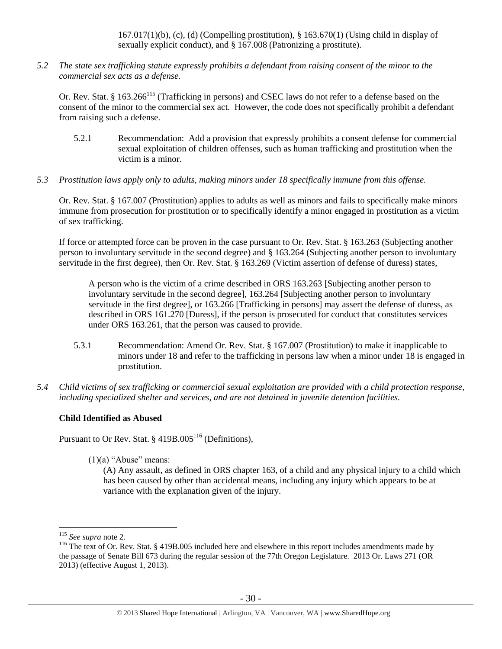$167.017(1)(b)$ , (c), (d) (Compelling prostitution), § 163.670(1) (Using child in display of sexually explicit conduct), and § 167.008 (Patronizing a prostitute).

*5.2 The state sex trafficking statute expressly prohibits a defendant from raising consent of the minor to the commercial sex acts as a defense.*

Or. Rev. Stat. § 163.266<sup>115</sup> (Trafficking in persons) and CSEC laws do not refer to a defense based on the consent of the minor to the commercial sex act. However, the code does not specifically prohibit a defendant from raising such a defense.

- 5.2.1 Recommendation: Add a provision that expressly prohibits a consent defense for commercial sexual exploitation of children offenses, such as human trafficking and prostitution when the victim is a minor.
- *5.3 Prostitution laws apply only to adults, making minors under 18 specifically immune from this offense.*

Or. Rev. Stat. § 167.007 (Prostitution) applies to adults as well as minors and fails to specifically make minors immune from prosecution for prostitution or to specifically identify a minor engaged in prostitution as a victim of sex trafficking.

If force or attempted force can be proven in the case pursuant to Or. Rev. Stat. § 163.263 (Subjecting another person to involuntary servitude in the second degree) and § 163.264 (Subjecting another person to involuntary servitude in the first degree), then Or. Rev. Stat. § 163.269 (Victim assertion of defense of duress) states,

A person who is the victim of a crime described in ORS 163.263 [Subjecting another person to involuntary servitude in the second degree], 163.264 [Subjecting another person to involuntary servitude in the first degree], or 163.266 [Trafficking in persons] may assert the defense of duress, as described in ORS 161.270 [Duress], if the person is prosecuted for conduct that constitutes services under ORS 163.261, that the person was caused to provide.

- 5.3.1 Recommendation: Amend Or. Rev. Stat. § 167.007 (Prostitution) to make it inapplicable to minors under 18 and refer to the trafficking in persons law when a minor under 18 is engaged in prostitution.
- *5.4 Child victims of sex trafficking or commercial sexual exploitation are provided with a child protection response, including specialized shelter and services, and are not detained in juvenile detention facilities.*

# **Child Identified as Abused**

Pursuant to Or Rev. Stat.  $\S$  419B.005<sup>116</sup> (Definitions),

 $(1)(a)$  "Abuse" means:

<span id="page-29-0"></span>(A) Any assault, as defined in ORS chapter 163, of a child and any physical injury to a child which has been caused by other than accidental means, including any injury which appears to be at variance with the explanation given of the injury.

<sup>115</sup> *See supra* not[e 2.](#page-0-0)

<sup>&</sup>lt;sup>116</sup> The text of Or. Rev. Stat. § 419B.005 included here and elsewhere in this report includes amendments made by the passage of Senate Bill 673 during the regular session of the 77th Oregon Legislature. 2013 Or. Laws 271 (OR 2013) (effective August 1, 2013).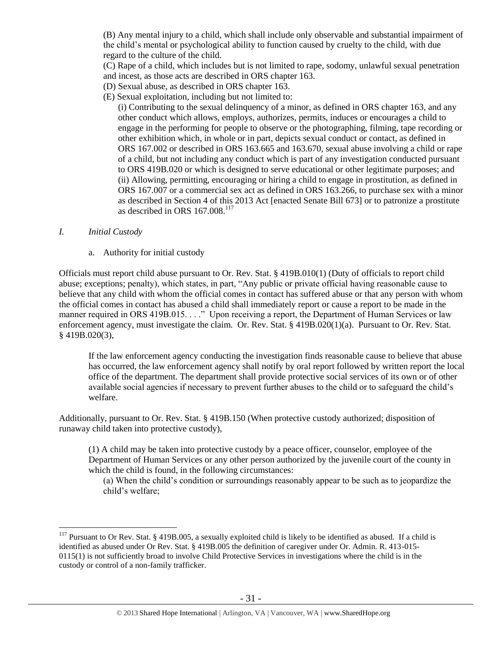(B) Any mental injury to a child, which shall include only observable and substantial impairment of the child's mental or psychological ability to function caused by cruelty to the child, with due regard to the culture of the child.

(C) Rape of a child, which includes but is not limited to rape, sodomy, unlawful sexual penetration and incest, as those acts are described in ORS chapter 163.

- (D) Sexual abuse, as described in ORS chapter 163.
- (E) Sexual exploitation, including but not limited to:

(i) Contributing to the sexual delinquency of a minor, as defined in ORS chapter 163, and any other conduct which allows, employs, authorizes, permits, induces or encourages a child to engage in the performing for people to observe or the photographing, filming, tape recording or other exhibition which, in whole or in part, depicts sexual conduct or contact, as defined in ORS 167.002 or described in ORS 163.665 and 163.670, sexual abuse involving a child or rape of a child, but not including any conduct which is part of any investigation conducted pursuant to ORS 419B.020 or which is designed to serve educational or other legitimate purposes; and (ii) Allowing, permitting, encouraging or hiring a child to engage in prostitution, as defined in ORS 167.007 or a commercial sex act as defined in ORS 163.266, to purchase sex with a minor as described in Section 4 of this 2013 Act [enacted Senate Bill 673] or to patronize a prostitute as described in ORS  $167.008$ <sup>117</sup>

## *I. Initial Custody*

 $\overline{a}$ 

a. Authority for initial custody

Officials must report child abuse pursuant to Or. Rev. Stat. § 419B.010(1) (Duty of officials to report child abuse; exceptions; penalty), which states, in part, "Any public or private official having reasonable cause to believe that any child with whom the official comes in contact has suffered abuse or that any person with whom the official comes in contact has abused a child shall immediately report or cause a report to be made in the manner required in ORS 419B.015. . . ." Upon receiving a report, the Department of Human Services or law enforcement agency, must investigate the claim. Or. Rev. Stat. § 419B.020(1)(a). Pursuant to Or. Rev. Stat. § 419B.020(3),

If the law enforcement agency conducting the investigation finds reasonable cause to believe that abuse has occurred, the law enforcement agency shall notify by oral report followed by written report the local office of the department. The department shall provide protective social services of its own or of other available social agencies if necessary to prevent further abuses to the child or to safeguard the child's welfare.

Additionally, pursuant to Or. Rev. Stat. § 419B.150 (When protective custody authorized; disposition of runaway child taken into protective custody),

(1) A child may be taken into protective custody by a peace officer, counselor, employee of the Department of Human Services or any other person authorized by the juvenile court of the county in which the child is found, in the following circumstances:

(a) When the child's condition or surroundings reasonably appear to be such as to jeopardize the child's welfare;

 $117$  Pursuant to Or Rev. Stat. § 419B.005, a sexually exploited child is likely to be identified as abused. If a child is identified as abused under Or Rev. Stat. § 419B.005 the definition of caregiver under Or. Admin. R. 413-015- 0115(1) is not sufficiently broad to involve Child Protective Services in investigations where the child is in the custody or control of a non-family trafficker.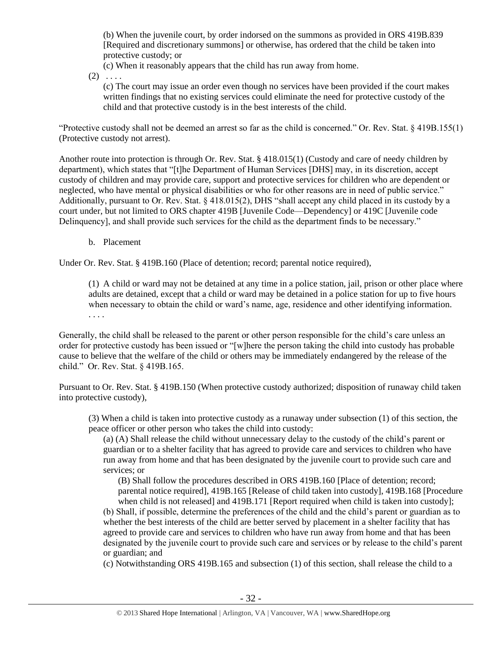(b) When the juvenile court, by order indorsed on the summons as provided in ORS 419B.839 [Required and discretionary summons] or otherwise, has ordered that the child be taken into protective custody; or

(c) When it reasonably appears that the child has run away from home.

 $(2) \ldots$ 

(c) The court may issue an order even though no services have been provided if the court makes written findings that no existing services could eliminate the need for protective custody of the child and that protective custody is in the best interests of the child.

"Protective custody shall not be deemed an arrest so far as the child is concerned." Or. Rev. Stat. § 419B.155(1) (Protective custody not arrest).

Another route into protection is through Or. Rev. Stat. § 418.015(1) (Custody and care of needy children by department), which states that "[t]he Department of Human Services [DHS] may, in its discretion, accept custody of children and may provide care, support and protective services for children who are dependent or neglected, who have mental or physical disabilities or who for other reasons are in need of public service." Additionally, pursuant to Or. Rev. Stat. § 418.015(2), DHS "shall accept any child placed in its custody by a court under, but not limited to ORS chapter 419B [Juvenile Code—Dependency] or 419C [Juvenile code Delinquency], and shall provide such services for the child as the department finds to be necessary."

b. Placement

Under Or. Rev. Stat. § 419B.160 (Place of detention; record; parental notice required),

(1) A child or ward may not be detained at any time in a police station, jail, prison or other place where adults are detained, except that a child or ward may be detained in a police station for up to five hours when necessary to obtain the child or ward's name, age, residence and other identifying information. . . . .

Generally, the child shall be released to the parent or other person responsible for the child's care unless an order for protective custody has been issued or "[w]here the person taking the child into custody has probable cause to believe that the welfare of the child or others may be immediately endangered by the release of the child." Or. Rev. Stat. § 419B.165.

Pursuant to Or. Rev. Stat. § 419B.150 (When protective custody authorized; disposition of runaway child taken into protective custody),

(3) When a child is taken into protective custody as a runaway under subsection (1) of this section, the peace officer or other person who takes the child into custody:

(a) (A) Shall release the child without unnecessary delay to the custody of the child's parent or guardian or to a shelter facility that has agreed to provide care and services to children who have run away from home and that has been designated by the juvenile court to provide such care and services; or

(B) Shall follow the procedures described in ORS 419B.160 [Place of detention; record; parental notice required], 419B.165 [Release of child taken into custody], 419B.168 [Procedure when child is not released] and 419B.171 [Report required when child is taken into custody];

(b) Shall, if possible, determine the preferences of the child and the child's parent or guardian as to whether the best interests of the child are better served by placement in a shelter facility that has agreed to provide care and services to children who have run away from home and that has been designated by the juvenile court to provide such care and services or by release to the child's parent or guardian; and

(c) Notwithstanding ORS 419B.165 and subsection (1) of this section, shall release the child to a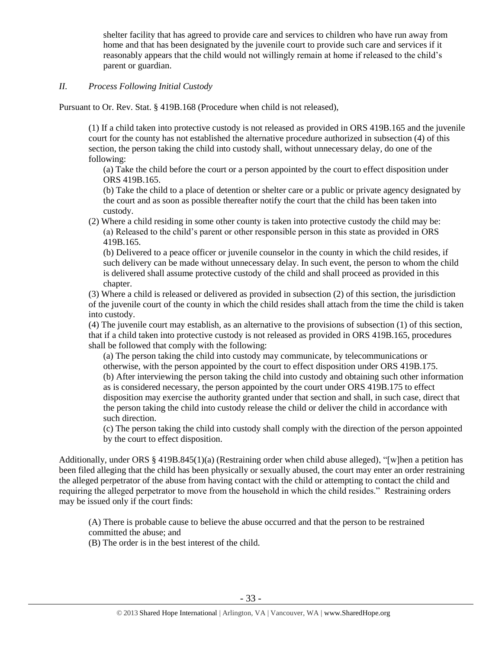shelter facility that has agreed to provide care and services to children who have run away from home and that has been designated by the juvenile court to provide such care and services if it reasonably appears that the child would not willingly remain at home if released to the child's parent or guardian.

## *II. Process Following Initial Custody*

Pursuant to Or. Rev. Stat. § 419B.168 (Procedure when child is not released),

(1) If a child taken into protective custody is not released as provided in ORS 419B.165 and the juvenile court for the county has not established the alternative procedure authorized in subsection (4) of this section, the person taking the child into custody shall, without unnecessary delay, do one of the following:

(a) Take the child before the court or a person appointed by the court to effect disposition under ORS 419B.165.

(b) Take the child to a place of detention or shelter care or a public or private agency designated by the court and as soon as possible thereafter notify the court that the child has been taken into custody.

(2) Where a child residing in some other county is taken into protective custody the child may be: (a) Released to the child's parent or other responsible person in this state as provided in ORS 419B.165.

(b) Delivered to a peace officer or juvenile counselor in the county in which the child resides, if such delivery can be made without unnecessary delay. In such event, the person to whom the child is delivered shall assume protective custody of the child and shall proceed as provided in this chapter.

(3) Where a child is released or delivered as provided in subsection (2) of this section, the jurisdiction of the juvenile court of the county in which the child resides shall attach from the time the child is taken into custody.

(4) The juvenile court may establish, as an alternative to the provisions of subsection (1) of this section, that if a child taken into protective custody is not released as provided in ORS 419B.165, procedures shall be followed that comply with the following:

(a) The person taking the child into custody may communicate, by telecommunications or otherwise, with the person appointed by the court to effect disposition under ORS 419B.175. (b) After interviewing the person taking the child into custody and obtaining such other information as is considered necessary, the person appointed by the court under ORS 419B.175 to effect disposition may exercise the authority granted under that section and shall, in such case, direct that the person taking the child into custody release the child or deliver the child in accordance with such direction.

(c) The person taking the child into custody shall comply with the direction of the person appointed by the court to effect disposition.

Additionally, under ORS § 419B.845(1)(a) (Restraining order when child abuse alleged), "[w]hen a petition has been filed alleging that the child has been physically or sexually abused, the court may enter an order restraining the alleged perpetrator of the abuse from having contact with the child or attempting to contact the child and requiring the alleged perpetrator to move from the household in which the child resides." Restraining orders may be issued only if the court finds:

(A) There is probable cause to believe the abuse occurred and that the person to be restrained committed the abuse; and

(B) The order is in the best interest of the child.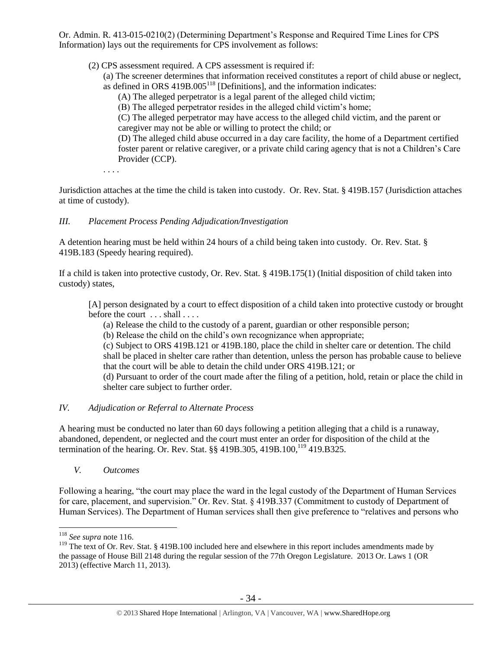Or. Admin. R. 413-015-0210(2) (Determining Department's Response and Required Time Lines for CPS Information) lays out the requirements for CPS involvement as follows:

(2) CPS assessment required. A CPS assessment is required if:

(a) The screener determines that information received constitutes a report of child abuse or neglect, as defined in ORS  $419B.005^{118}$  [Definitions], and the information indicates:

(A) The alleged perpetrator is a legal parent of the alleged child victim;

(B) The alleged perpetrator resides in the alleged child victim's home;

(C) The alleged perpetrator may have access to the alleged child victim, and the parent or caregiver may not be able or willing to protect the child; or

(D) The alleged child abuse occurred in a day care facility, the home of a Department certified foster parent or relative caregiver, or a private child caring agency that is not a Children's Care Provider (CCP).

. . . .

Jurisdiction attaches at the time the child is taken into custody. Or. Rev. Stat. § 419B.157 (Jurisdiction attaches at time of custody).

# *III. Placement Process Pending Adjudication/Investigation*

A detention hearing must be held within 24 hours of a child being taken into custody. Or. Rev. Stat. § 419B.183 (Speedy hearing required).

If a child is taken into protective custody, Or. Rev. Stat. § 419B.175(1) (Initial disposition of child taken into custody) states,

[A] person designated by a court to effect disposition of a child taken into protective custody or brought before the court ... shall ....

(a) Release the child to the custody of a parent, guardian or other responsible person;

(b) Release the child on the child's own recognizance when appropriate;

(c) Subject to ORS 419B.121 or 419B.180, place the child in shelter care or detention. The child shall be placed in shelter care rather than detention, unless the person has probable cause to believe that the court will be able to detain the child under ORS 419B.121; or

<span id="page-33-0"></span>(d) Pursuant to order of the court made after the filing of a petition, hold, retain or place the child in shelter care subject to further order.

# *IV. Adjudication or Referral to Alternate Process*

A hearing must be conducted no later than 60 days following a petition alleging that a child is a runaway, abandoned, dependent, or neglected and the court must enter an order for disposition of the child at the termination of the hearing. Or. Rev. Stat.  $\S$ § 419B.305, 419B.100,<sup>119</sup> 419.B325.

*V. Outcomes*

Following a hearing, "the court may place the ward in the legal custody of the Department of Human Services for care, placement, and supervision." Or. Rev. Stat. § 419B.337 (Commitment to custody of Department of Human Services). The Department of Human services shall then give preference to "relatives and persons who

<sup>118</sup> *See supra* not[e 116.](#page-29-0)

<sup>&</sup>lt;sup>119</sup> The text of Or. Rev. Stat. § 419B.100 included here and elsewhere in this report includes amendments made by the passage of House Bill 2148 during the regular session of the 77th Oregon Legislature. 2013 Or. Laws 1 (OR 2013) (effective March 11, 2013).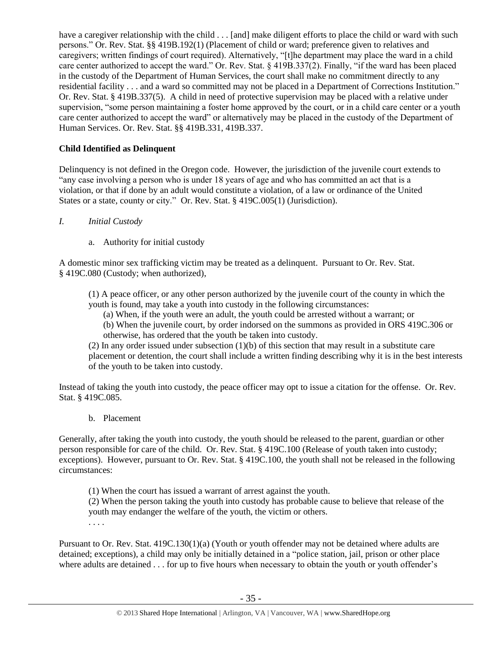have a caregiver relationship with the child . . . [and] make diligent efforts to place the child or ward with such persons." Or. Rev. Stat. §§ 419B.192(1) (Placement of child or ward; preference given to relatives and caregivers; written findings of court required). Alternatively, "[t]he department may place the ward in a child care center authorized to accept the ward." Or. Rev. Stat. § 419B.337(2). Finally, "if the ward has been placed in the custody of the Department of Human Services, the court shall make no commitment directly to any residential facility . . . and a ward so committed may not be placed in a Department of Corrections Institution." Or. Rev. Stat. § 419B.337(5). A child in need of protective supervision may be placed with a relative under supervision, "some person maintaining a foster home approved by the court, or in a child care center or a youth care center authorized to accept the ward" or alternatively may be placed in the custody of the Department of Human Services. Or. Rev. Stat. §§ 419B.331, 419B.337.

# **Child Identified as Delinquent**

Delinquency is not defined in the Oregon code. However, the jurisdiction of the juvenile court extends to "any case involving a person who is under 18 years of age and who has committed an act that is a violation, or that if done by an adult would constitute a violation, of a law or ordinance of the United States or a state, county or city." Or. Rev. Stat. § 419C.005(1) (Jurisdiction).

- *I. Initial Custody*
	- a. Authority for initial custody

A domestic minor sex trafficking victim may be treated as a delinquent. Pursuant to Or. Rev. Stat. § 419C.080 (Custody; when authorized),

(1) A peace officer, or any other person authorized by the juvenile court of the county in which the youth is found, may take a youth into custody in the following circumstances:

- (a) When, if the youth were an adult, the youth could be arrested without a warrant; or
- (b) When the juvenile court, by order indorsed on the summons as provided in ORS 419C.306 or otherwise, has ordered that the youth be taken into custody.

(2) In any order issued under subsection (1)(b) of this section that may result in a substitute care placement or detention, the court shall include a written finding describing why it is in the best interests of the youth to be taken into custody.

Instead of taking the youth into custody, the peace officer may opt to issue a citation for the offense. Or. Rev. Stat. § 419C.085.

b. Placement

Generally, after taking the youth into custody, the youth should be released to the parent, guardian or other person responsible for care of the child. Or. Rev. Stat. § 419C.100 (Release of youth taken into custody; exceptions). However, pursuant to Or. Rev. Stat. § 419C.100, the youth shall not be released in the following circumstances:

(1) When the court has issued a warrant of arrest against the youth.

(2) When the person taking the youth into custody has probable cause to believe that release of the youth may endanger the welfare of the youth, the victim or others.

. . . .

Pursuant to Or. Rev. Stat. 419C.130(1)(a) (Youth or youth offender may not be detained where adults are detained; exceptions), a child may only be initially detained in a "police station, jail, prison or other place where adults are detained . . . for up to five hours when necessary to obtain the youth or youth offender's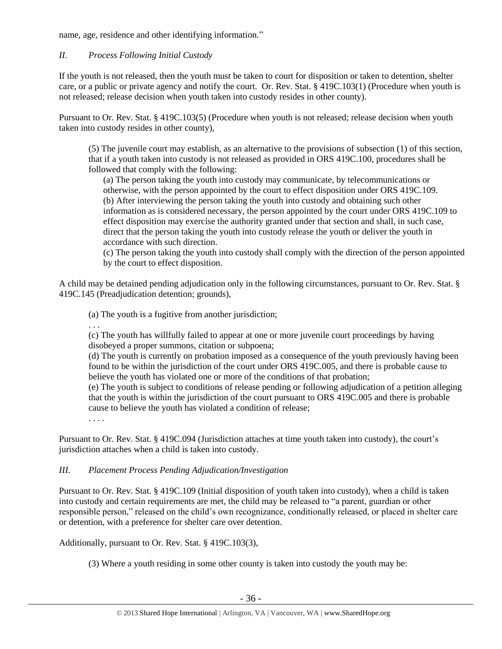name, age, residence and other identifying information."

# *II. Process Following Initial Custody*

If the youth is not released, then the youth must be taken to court for disposition or taken to detention, shelter care, or a public or private agency and notify the court. Or. Rev. Stat. § 419C.103(1) (Procedure when youth is not released; release decision when youth taken into custody resides in other county).

Pursuant to Or. Rev. Stat. § 419C.103(5) (Procedure when youth is not released; release decision when youth taken into custody resides in other county),

(5) The juvenile court may establish, as an alternative to the provisions of subsection (1) of this section, that if a youth taken into custody is not released as provided in ORS 419C.100, procedures shall be followed that comply with the following:

(a) The person taking the youth into custody may communicate, by telecommunications or otherwise, with the person appointed by the court to effect disposition under ORS 419C.109. (b) After interviewing the person taking the youth into custody and obtaining such other information as is considered necessary, the person appointed by the court under ORS 419C.109 to effect disposition may exercise the authority granted under that section and shall, in such case, direct that the person taking the youth into custody release the youth or deliver the youth in accordance with such direction.

(c) The person taking the youth into custody shall comply with the direction of the person appointed by the court to effect disposition.

A child may be detained pending adjudication only in the following circumstances, pursuant to Or. Rev. Stat. § 419C.145 (Preadjudication detention; grounds),

(a) The youth is a fugitive from another jurisdiction;

. . .

(c) The youth has willfully failed to appear at one or more juvenile court proceedings by having disobeyed a proper summons, citation or subpoena;

(d) The youth is currently on probation imposed as a consequence of the youth previously having been found to be within the jurisdiction of the court under ORS 419C.005, and there is probable cause to believe the youth has violated one or more of the conditions of that probation;

(e) The youth is subject to conditions of release pending or following adjudication of a petition alleging that the youth is within the jurisdiction of the court pursuant to ORS 419C.005 and there is probable cause to believe the youth has violated a condition of release;

. . . .

Pursuant to Or. Rev. Stat. § 419C.094 (Jurisdiction attaches at time youth taken into custody), the court's jurisdiction attaches when a child is taken into custody.

# *III. Placement Process Pending Adjudication/Investigation*

Pursuant to Or. Rev. Stat. § 419C.109 (Initial disposition of youth taken into custody), when a child is taken into custody and certain requirements are met, the child may be released to "a parent, guardian or other responsible person," released on the child's own recognizance, conditionally released, or placed in shelter care or detention, with a preference for shelter care over detention.

Additionally, pursuant to Or. Rev. Stat. § 419C.103(3),

(3) Where a youth residing in some other county is taken into custody the youth may be: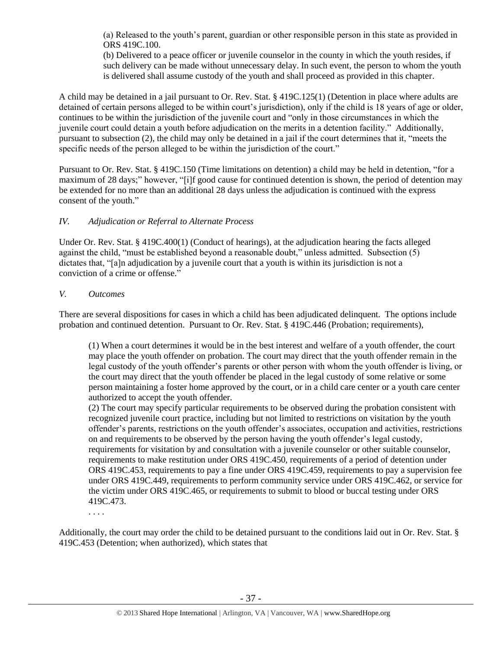(a) Released to the youth's parent, guardian or other responsible person in this state as provided in ORS 419C.100.

(b) Delivered to a peace officer or juvenile counselor in the county in which the youth resides, if such delivery can be made without unnecessary delay. In such event, the person to whom the youth is delivered shall assume custody of the youth and shall proceed as provided in this chapter.

A child may be detained in a jail pursuant to Or. Rev. Stat. § 419C.125(1) (Detention in place where adults are detained of certain persons alleged to be within court's jurisdiction), only if the child is 18 years of age or older, continues to be within the jurisdiction of the juvenile court and "only in those circumstances in which the juvenile court could detain a youth before adjudication on the merits in a detention facility." Additionally, pursuant to subsection (2), the child may only be detained in a jail if the court determines that it, "meets the specific needs of the person alleged to be within the jurisdiction of the court."

Pursuant to Or. Rev. Stat. § 419C.150 (Time limitations on detention) a child may be held in detention, "for a maximum of 28 days;" however, "[i]f good cause for continued detention is shown, the period of detention may be extended for no more than an additional 28 days unless the adjudication is continued with the express consent of the youth."

# *IV. Adjudication or Referral to Alternate Process*

Under Or. Rev. Stat. § 419C.400(1) (Conduct of hearings), at the adjudication hearing the facts alleged against the child, "must be established beyond a reasonable doubt," unless admitted. Subsection (5) dictates that, "[a]n adjudication by a juvenile court that a youth is within its jurisdiction is not a conviction of a crime or offense."

## *V. Outcomes*

There are several dispositions for cases in which a child has been adjudicated delinquent. The options include probation and continued detention. Pursuant to Or. Rev. Stat. § 419C.446 (Probation; requirements),

(1) When a court determines it would be in the best interest and welfare of a youth offender, the court may place the youth offender on probation. The court may direct that the youth offender remain in the legal custody of the youth offender's parents or other person with whom the youth offender is living, or the court may direct that the youth offender be placed in the legal custody of some relative or some person maintaining a foster home approved by the court, or in a child care center or a youth care center authorized to accept the youth offender.

(2) The court may specify particular requirements to be observed during the probation consistent with recognized juvenile court practice, including but not limited to restrictions on visitation by the youth offender's parents, restrictions on the youth offender's associates, occupation and activities, restrictions on and requirements to be observed by the person having the youth offender's legal custody, requirements for visitation by and consultation with a juvenile counselor or other suitable counselor, requirements to make restitution under ORS 419C.450, requirements of a period of detention under ORS 419C.453, requirements to pay a fine under ORS 419C.459, requirements to pay a supervision fee under ORS 419C.449, requirements to perform community service under ORS 419C.462, or service for the victim under ORS 419C.465, or requirements to submit to blood or buccal testing under ORS 419C.473.

. . . .

Additionally, the court may order the child to be detained pursuant to the conditions laid out in Or. Rev. Stat. § 419C.453 (Detention; when authorized), which states that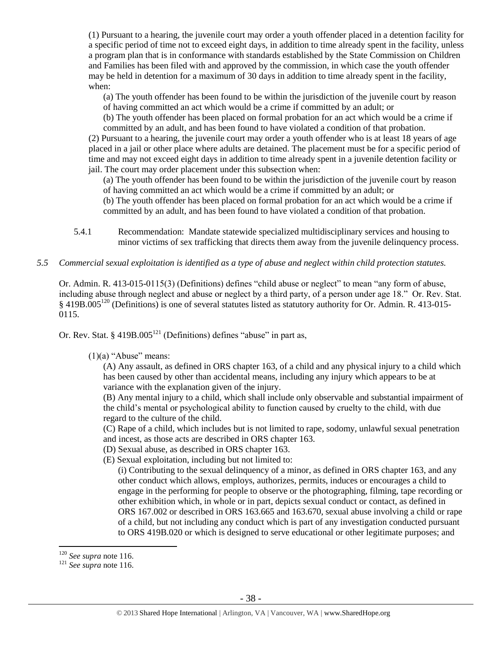(1) Pursuant to a hearing, the juvenile court may order a youth offender placed in a detention facility for a specific period of time not to exceed eight days, in addition to time already spent in the facility, unless a program plan that is in conformance with standards established by the State Commission on Children and Families has been filed with and approved by the commission, in which case the youth offender may be held in detention for a maximum of 30 days in addition to time already spent in the facility, when:

(a) The youth offender has been found to be within the jurisdiction of the juvenile court by reason of having committed an act which would be a crime if committed by an adult; or

(b) The youth offender has been placed on formal probation for an act which would be a crime if committed by an adult, and has been found to have violated a condition of that probation.

(2) Pursuant to a hearing, the juvenile court may order a youth offender who is at least 18 years of age placed in a jail or other place where adults are detained. The placement must be for a specific period of time and may not exceed eight days in addition to time already spent in a juvenile detention facility or jail. The court may order placement under this subsection when:

(a) The youth offender has been found to be within the jurisdiction of the juvenile court by reason of having committed an act which would be a crime if committed by an adult; or

(b) The youth offender has been placed on formal probation for an act which would be a crime if committed by an adult, and has been found to have violated a condition of that probation.

- 5.4.1 Recommendation: Mandate statewide specialized multidisciplinary services and housing to minor victims of sex trafficking that directs them away from the juvenile delinquency process.
- *5.5 Commercial sexual exploitation is identified as a type of abuse and neglect within child protection statutes.*

Or. Admin. R. 413-015-0115(3) (Definitions) defines "child abuse or neglect" to mean "any form of abuse, including abuse through neglect and abuse or neglect by a third party, of a person under age 18." Or. Rev. Stat. § 419B.005<sup>120</sup> (Definitions) is one of several statutes listed as statutory authority for Or. Admin. R. 413-015- 0115.

Or. Rev. Stat.  $§$  419B.005<sup>121</sup> (Definitions) defines "abuse" in part as,

 $(1)(a)$  "Abuse" means:

(A) Any assault, as defined in ORS chapter 163, of a child and any physical injury to a child which has been caused by other than accidental means, including any injury which appears to be at variance with the explanation given of the injury.

(B) Any mental injury to a child, which shall include only observable and substantial impairment of the child's mental or psychological ability to function caused by cruelty to the child, with due regard to the culture of the child.

(C) Rape of a child, which includes but is not limited to rape, sodomy, unlawful sexual penetration and incest, as those acts are described in ORS chapter 163.

- (D) Sexual abuse, as described in ORS chapter 163.
- (E) Sexual exploitation, including but not limited to:

(i) Contributing to the sexual delinquency of a minor, as defined in ORS chapter 163, and any other conduct which allows, employs, authorizes, permits, induces or encourages a child to engage in the performing for people to observe or the photographing, filming, tape recording or other exhibition which, in whole or in part, depicts sexual conduct or contact, as defined in ORS 167.002 or described in ORS 163.665 and 163.670, sexual abuse involving a child or rape of a child, but not including any conduct which is part of any investigation conducted pursuant to ORS 419B.020 or which is designed to serve educational or other legitimate purposes; and

 $\overline{a}$ <sup>120</sup> *See supra* not[e 116.](#page-29-0)

<sup>121</sup> *See supra* not[e 116.](#page-29-0)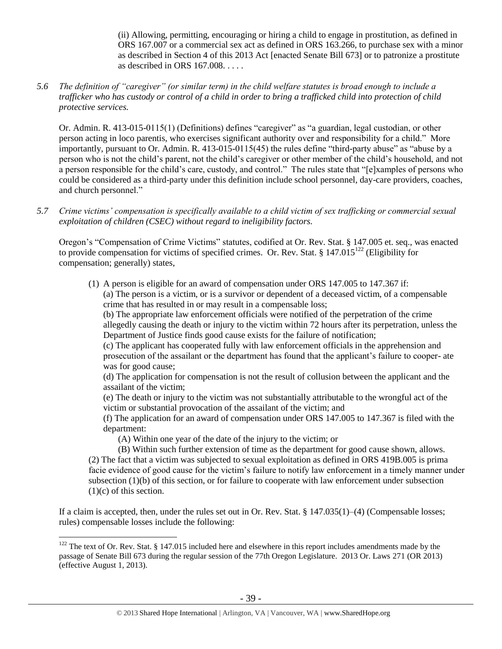(ii) Allowing, permitting, encouraging or hiring a child to engage in prostitution, as defined in ORS 167.007 or a commercial sex act as defined in ORS 163.266, to purchase sex with a minor as described in Section 4 of this 2013 Act [enacted Senate Bill 673] or to patronize a prostitute as described in ORS 167.008. . . . .

*5.6 The definition of "caregiver" (or similar term) in the child welfare statutes is broad enough to include a trafficker who has custody or control of a child in order to bring a trafficked child into protection of child protective services.*

Or. Admin. R. 413-015-0115(1) (Definitions) defines "caregiver" as "a guardian, legal custodian, or other person acting in loco parentis, who exercises significant authority over and responsibility for a child." More importantly, pursuant to Or. Admin. R. 413-015-0115(45) the rules define "third-party abuse" as "abuse by a person who is not the child's parent, not the child's caregiver or other member of the child's household, and not a person responsible for the child's care, custody, and control." The rules state that "[e]xamples of persons who could be considered as a third-party under this definition include school personnel, day-care providers, coaches, and church personnel."

*5.7 Crime victims' compensation is specifically available to a child victim of sex trafficking or commercial sexual exploitation of children (CSEC) without regard to ineligibility factors.*

Oregon's "Compensation of Crime Victims" statutes, codified at Or. Rev. Stat. § 147.005 et. seq., was enacted to provide compensation for victims of specified crimes. Or. Rev. Stat. §  $147.015^{122}$  (Eligibility for compensation; generally) states,

(1) A person is eligible for an award of compensation under ORS 147.005 to 147.367 if: (a) The person is a victim, or is a survivor or dependent of a deceased victim, of a compensable crime that has resulted in or may result in a compensable loss;

(b) The appropriate law enforcement officials were notified of the perpetration of the crime allegedly causing the death or injury to the victim within 72 hours after its perpetration, unless the Department of Justice finds good cause exists for the failure of notification;

(c) The applicant has cooperated fully with law enforcement officials in the apprehension and prosecution of the assailant or the department has found that the applicant's failure to cooper- ate was for good cause;

(d) The application for compensation is not the result of collusion between the applicant and the assailant of the victim;

(e) The death or injury to the victim was not substantially attributable to the wrongful act of the victim or substantial provocation of the assailant of the victim; and

(f) The application for an award of compensation under ORS 147.005 to 147.367 is filed with the department:

(A) Within one year of the date of the injury to the victim; or

 $\overline{a}$ 

(B) Within such further extension of time as the department for good cause shown, allows. (2) The fact that a victim was subjected to sexual exploitation as defined in ORS 419B.005 is prima facie evidence of good cause for the victim's failure to notify law enforcement in a timely manner under subsection (1)(b) of this section, or for failure to cooperate with law enforcement under subsection  $(1)(c)$  of this section.

If a claim is accepted, then, under the rules set out in Or. Rev. Stat. § 147.035(1)–(4) (Compensable losses; rules) compensable losses include the following:

 $122$  The text of Or. Rev. Stat. § 147.015 included here and elsewhere in this report includes amendments made by the passage of Senate Bill 673 during the regular session of the 77th Oregon Legislature. 2013 Or. Laws 271 (OR 2013) (effective August 1, 2013).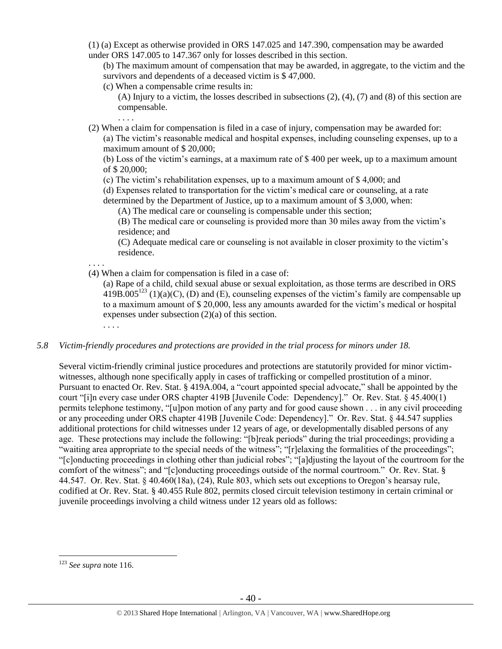(1) (a) Except as otherwise provided in ORS 147.025 and 147.390, compensation may be awarded under ORS 147.005 to 147.367 only for losses described in this section.

(b) The maximum amount of compensation that may be awarded, in aggregate, to the victim and the survivors and dependents of a deceased victim is \$47,000.

- (c) When a compensable crime results in:
	- (A) Injury to a victim, the losses described in subsections (2), (4), (7) and (8) of this section are compensable.

(2) When a claim for compensation is filed in a case of injury, compensation may be awarded for: (a) The victim's reasonable medical and hospital expenses, including counseling expenses, up to a maximum amount of \$ 20,000;

(b) Loss of the victim's earnings, at a maximum rate of \$ 400 per week, up to a maximum amount of \$ 20,000;

(c) The victim's rehabilitation expenses, up to a maximum amount of \$ 4,000; and

(d) Expenses related to transportation for the victim's medical care or counseling, at a rate

determined by the Department of Justice, up to a maximum amount of \$ 3,000, when:

(A) The medical care or counseling is compensable under this section;

(B) The medical care or counseling is provided more than 30 miles away from the victim's residence; and

(C) Adequate medical care or counseling is not available in closer proximity to the victim's residence.

. . . . (4) When a claim for compensation is filed in a case of:

(a) Rape of a child, child sexual abuse or sexual exploitation, as those terms are described in ORS 419B.005<sup>123</sup> (1)(a)(C), (D) and (E), counseling expenses of the victim's family are compensable up to a maximum amount of \$ 20,000, less any amounts awarded for the victim's medical or hospital expenses under subsection (2)(a) of this section.

. . . .

. . . .

## *5.8 Victim-friendly procedures and protections are provided in the trial process for minors under 18.*

Several victim-friendly criminal justice procedures and protections are statutorily provided for minor victimwitnesses, although none specifically apply in cases of trafficking or compelled prostitution of a minor. Pursuant to enacted Or. Rev. Stat. § 419A.004, a "court appointed special advocate," shall be appointed by the court "[i]n every case under ORS chapter 419B [Juvenile Code: Dependency]." Or. Rev. Stat. § 45.400(1) permits telephone testimony, "[u]pon motion of any party and for good cause shown . . . in any civil proceeding or any proceeding under ORS chapter 419B [Juvenile Code: Dependency]." Or. Rev. Stat. § 44.547 supplies additional protections for child witnesses under 12 years of age, or developmentally disabled persons of any age. These protections may include the following: "[b]reak periods" during the trial proceedings; providing a "waiting area appropriate to the special needs of the witness"; "[r]elaxing the formalities of the proceedings"; "[c]onducting proceedings in clothing other than judicial robes"; "[a]djusting the layout of the courtroom for the comfort of the witness"; and "[c]onducting proceedings outside of the normal courtroom." Or. Rev. Stat. § 44.547. Or. Rev. Stat. § 40.460(18a), (24), Rule 803, which sets out exceptions to Oregon's hearsay rule, codified at Or. Rev. Stat. § 40.455 Rule 802, permits closed circuit television testimony in certain criminal or juvenile proceedings involving a child witness under 12 years old as follows:

<sup>123</sup> *See supra* not[e 116.](#page-29-0)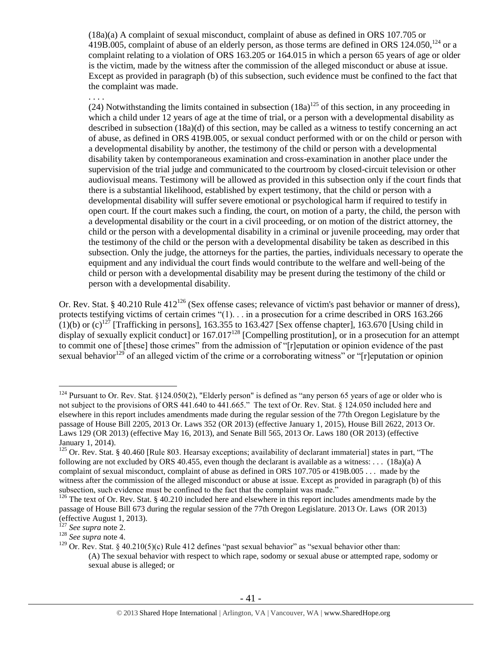(18a)(a) A complaint of sexual misconduct, complaint of abuse as defined in ORS 107.705 or 419B.005, complaint of abuse of an elderly person, as those terms are defined in ORS  $124.050$ ,  $124.050$ , complaint relating to a violation of ORS 163.205 or 164.015 in which a person 65 years of age or older is the victim, made by the witness after the commission of the alleged misconduct or abuse at issue. Except as provided in paragraph (b) of this subsection, such evidence must be confined to the fact that the complaint was made.

#### . . . .

(24) Notwithstanding the limits contained in subsection  $(18a)^{125}$  of this section, in any proceeding in which a child under 12 years of age at the time of trial, or a person with a developmental disability as described in subsection (18a)(d) of this section, may be called as a witness to testify concerning an act of abuse, as defined in ORS 419B.005, or sexual conduct performed with or on the child or person with a developmental disability by another, the testimony of the child or person with a developmental disability taken by contemporaneous examination and cross-examination in another place under the supervision of the trial judge and communicated to the courtroom by closed-circuit television or other audiovisual means. Testimony will be allowed as provided in this subsection only if the court finds that there is a substantial likelihood, established by expert testimony, that the child or person with a developmental disability will suffer severe emotional or psychological harm if required to testify in open court. If the court makes such a finding, the court, on motion of a party, the child, the person with a developmental disability or the court in a civil proceeding, or on motion of the district attorney, the child or the person with a developmental disability in a criminal or juvenile proceeding, may order that the testimony of the child or the person with a developmental disability be taken as described in this subsection. Only the judge, the attorneys for the parties, the parties, individuals necessary to operate the equipment and any individual the court finds would contribute to the welfare and well-being of the child or person with a developmental disability may be present during the testimony of the child or person with a developmental disability.

Or. Rev. Stat. § 40.210 Rule  $412^{126}$  (Sex offense cases; relevance of victim's past behavior or manner of dress), protects testifying victims of certain crimes "(1). . . in a prosecution for a crime described in ORS 163.266  $(1)(b)$  or  $(c)^{127}$  [Trafficking in persons], 163.355 to 163.427 [Sex offense chapter], 163.670 [Using child in display of sexually explicit conduct] or  $167.017^{128}$  [Compelling prostitution], or in a prosecution for an attempt to commit one of [these] those crimes" from the admission of "[r]eputation or opinion evidence of the past sexual behavior<sup>129</sup> of an alleged victim of the crime or a corroborating witness" or "[r]eputation or opinion

 $\overline{a}$ <sup>124</sup> Pursuant to Or. Rev. Stat. §124.050(2), "Elderly person" is defined as "any person 65 years of age or older who is not subject to the provisions of ORS 441.640 to 441.665." The text of Or. Rev. Stat. § 124.050 included here and elsewhere in this report includes amendments made during the regular session of the 77th Oregon Legislature by the passage of House Bill 2205, 2013 Or. Laws 352 (OR 2013) (effective January 1, 2015), House Bill 2622, 2013 Or. Laws 129 (OR 2013) (effective May 16, 2013), and Senate Bill 565, 2013 Or. Laws 180 (OR 2013) (effective January 1, 2014).

 $125$  Or. Rev. Stat. § 40.460 [Rule 803. Hearsay exceptions; availability of declarant immaterial] states in part, "The following are not excluded by ORS 40.455, even though the declarant is available as a witness: . . .  $(18a)(a)$  A complaint of sexual misconduct, complaint of abuse as defined in ORS 107.705 or 419B.005 . . . made by the witness after the commission of the alleged misconduct or abuse at issue. Except as provided in paragraph (b) of this subsection, such evidence must be confined to the fact that the complaint was made."

 $126$  The text of Or. Rev. Stat. § 40.210 included here and elsewhere in this report includes amendments made by the passage of House Bill 673 during the regular session of the 77th Oregon Legislature. 2013 Or. Laws (OR 2013) (effective August 1, 2013).

<sup>127</sup> *See supra* not[e 2.](#page-0-0)

<sup>128</sup> *See supra* not[e 4.](#page-2-0)

<sup>&</sup>lt;sup>129</sup> Or. Rev. Stat. § 40.210(5)(c) Rule 412 defines "past sexual behavior" as "sexual behavior other than: (A) The sexual behavior with respect to which rape, sodomy or sexual abuse or attempted rape, sodomy or sexual abuse is alleged; or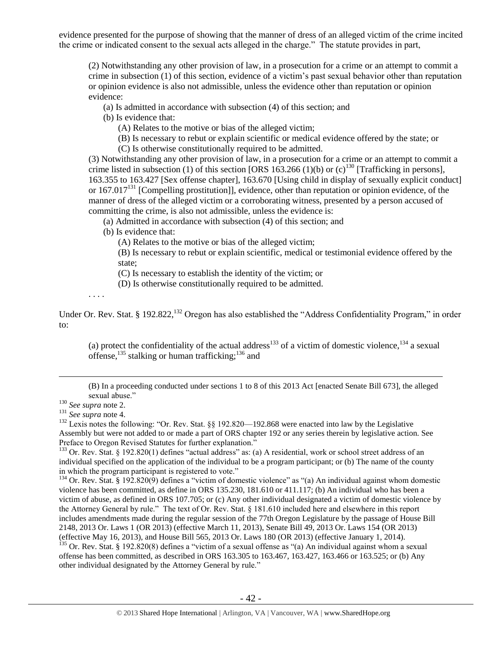evidence presented for the purpose of showing that the manner of dress of an alleged victim of the crime incited the crime or indicated consent to the sexual acts alleged in the charge." The statute provides in part,

(2) Notwithstanding any other provision of law, in a prosecution for a crime or an attempt to commit a crime in subsection (1) of this section, evidence of a victim's past sexual behavior other than reputation or opinion evidence is also not admissible, unless the evidence other than reputation or opinion evidence:

(a) Is admitted in accordance with subsection (4) of this section; and

(b) Is evidence that:

(A) Relates to the motive or bias of the alleged victim;

(B) Is necessary to rebut or explain scientific or medical evidence offered by the state; or

(C) Is otherwise constitutionally required to be admitted.

(3) Notwithstanding any other provision of law, in a prosecution for a crime or an attempt to commit a crime listed in subsection (1) of this section [ORS 163.266 (1)(b) or  $(c)^{130}$  [Trafficking in persons], 163.355 to 163.427 [Sex offense chapter], 163.670 [Using child in display of sexually explicit conduct] or 167.017<sup>131</sup> [Compelling prostitution]], evidence, other than reputation or opinion evidence, of the manner of dress of the alleged victim or a corroborating witness, presented by a person accused of committing the crime, is also not admissible, unless the evidence is:

(a) Admitted in accordance with subsection (4) of this section; and

(b) Is evidence that:

(A) Relates to the motive or bias of the alleged victim;

(B) Is necessary to rebut or explain scientific, medical or testimonial evidence offered by the state;

(C) Is necessary to establish the identity of the victim; or

<span id="page-41-0"></span>(D) Is otherwise constitutionally required to be admitted.

. . . .

Under Or. Rev. Stat. § 192.822,<sup>132</sup> Oregon has also established the "Address Confidentiality Program," in order to:

(a) protect the confidentiality of the actual address<sup>133</sup> of a victim of domestic violence,<sup>134</sup> a sexual offense,  $^{135}$  stalking or human trafficking;  $^{136}$  and

(B) In a proceeding conducted under sections 1 to 8 of this 2013 Act [enacted Senate Bill 673], the alleged sexual abuse."

 $\overline{a}$ 

<sup>132</sup> Lexis notes the following: "Or. Rev. Stat. §§ 192.820—192.868 were enacted into law by the Legislative Assembly but were not added to or made a part of ORS chapter 192 or any series therein by legislative action. See Preface to Oregon Revised Statutes for further explanation."

<sup>133</sup> Or. Rev. Stat. § 192.820(1) defines "actual address" as: (a) A residential, work or school street address of an individual specified on the application of the individual to be a program participant; or (b) The name of the county in which the program participant is registered to vote."

 $134$  Or. Rev. Stat. § 192.820(9) defines a "victim of domestic violence" as "(a) An individual against whom domestic violence has been committed, as define in ORS 135.230, 181.610 or 411.117; (b) An individual who has been a victim of abuse, as defined in ORS 107.705; or (c) Any other individual designated a victim of domestic violence by the Attorney General by rule." The text of Or. Rev. Stat. § 181.610 included here and elsewhere in this report includes amendments made during the regular session of the 77th Oregon Legislature by the passage of House Bill 2148, 2013 Or. Laws 1 (OR 2013) (effective March 11, 2013), Senate Bill 49, 2013 Or. Laws 154 (OR 2013) (effective May 16, 2013), and House Bill 565, 2013 Or. Laws 180 (OR 2013) (effective January 1, 2014).  $135$  Or. Rev. Stat. § 192.820(8) defines a "victim of a sexual offense as "(a) An individual against whom a sexual

offense has been committed, as described in ORS 163.305 to 163.467, 163.427, 163.466 or 163.525; or (b) Any other individual designated by the Attorney General by rule."

<sup>130</sup> *See supra* not[e 2.](#page-0-0)

<sup>131</sup> *See supra* not[e 4.](#page-2-0)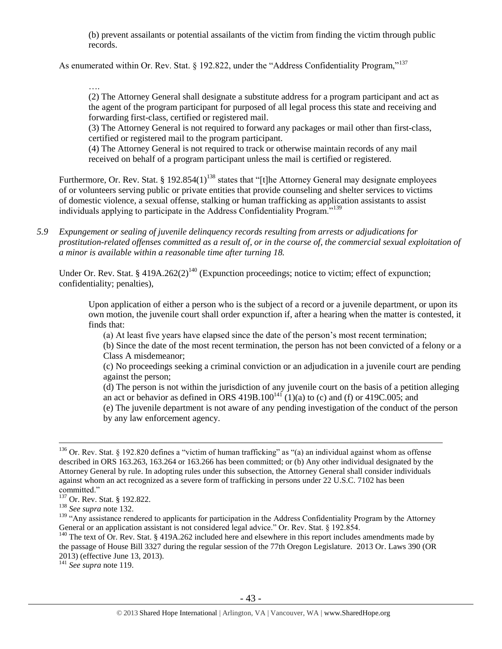(b) prevent assailants or potential assailants of the victim from finding the victim through public records.

As enumerated within Or. Rev. Stat. § 192.822, under the "Address Confidentiality Program,"<sup>137</sup>

…. (2) The Attorney General shall designate a substitute address for a program participant and act as the agent of the program participant for purposed of all legal process this state and receiving and forwarding first-class, certified or registered mail.

(3) The Attorney General is not required to forward any packages or mail other than first-class, certified or registered mail to the program participant.

(4) The Attorney General is not required to track or otherwise maintain records of any mail received on behalf of a program participant unless the mail is certified or registered.

Furthermore, Or. Rev. Stat. § 192.854(1)<sup>138</sup> states that "[t]he Attorney General may designate employees of or volunteers serving public or private entities that provide counseling and shelter services to victims of domestic violence, a sexual offense, stalking or human trafficking as application assistants to assist individuals applying to participate in the Address Confidentiality Program."<sup>139</sup>

*5.9 Expungement or sealing of juvenile delinquency records resulting from arrests or adjudications for prostitution-related offenses committed as a result of, or in the course of, the commercial sexual exploitation of a minor is available within a reasonable time after turning 18.*

Under Or. Rev. Stat. §  $419A.262(2)^{140}$  (Expunction proceedings; notice to victim; effect of expunction; confidentiality; penalties),

Upon application of either a person who is the subject of a record or a juvenile department, or upon its own motion, the juvenile court shall order expunction if, after a hearing when the matter is contested, it finds that:

(a) At least five years have elapsed since the date of the person's most recent termination;

(b) Since the date of the most recent termination, the person has not been convicted of a felony or a Class A misdemeanor;

(c) No proceedings seeking a criminal conviction or an adjudication in a juvenile court are pending against the person;

(d) The person is not within the jurisdiction of any juvenile court on the basis of a petition alleging an act or behavior as defined in ORS  $419B.100^{141}$  (1)(a) to (c) and (f) or  $419C.005$ ; and

(e) The juvenile department is not aware of any pending investigation of the conduct of the person by any law enforcement agency.

 $\overline{a}$ 

<sup>141</sup> *See supra* not[e 119.](#page-33-0)

<sup>&</sup>lt;sup>136</sup> Or. Rev. Stat. § 192.820 defines a "victim of human trafficking" as "(a) an individual against whom as offense described in ORS 163.263, 163.264 or 163.266 has been committed; or (b) Any other individual designated by the Attorney General by rule. In adopting rules under this subsection, the Attorney General shall consider individuals against whom an act recognized as a severe form of trafficking in persons under 22 U.S.C. 7102 has been committed."

<sup>137</sup> Or. Rev. Stat. § 192.822.

<sup>138</sup> *See supra* not[e 132.](#page-41-0)

<sup>&</sup>lt;sup>139</sup> "Any assistance rendered to applicants for participation in the Address Confidentiality Program by the Attorney General or an application assistant is not considered legal advice." Or. Rev. Stat. § 192.854.

<sup>&</sup>lt;sup>140</sup> The text of Or. Rev. Stat. § 419A.262 included here and elsewhere in this report includes amendments made by the passage of House Bill 3327 during the regular session of the 77th Oregon Legislature. 2013 Or. Laws 390 (OR 2013) (effective June 13, 2013).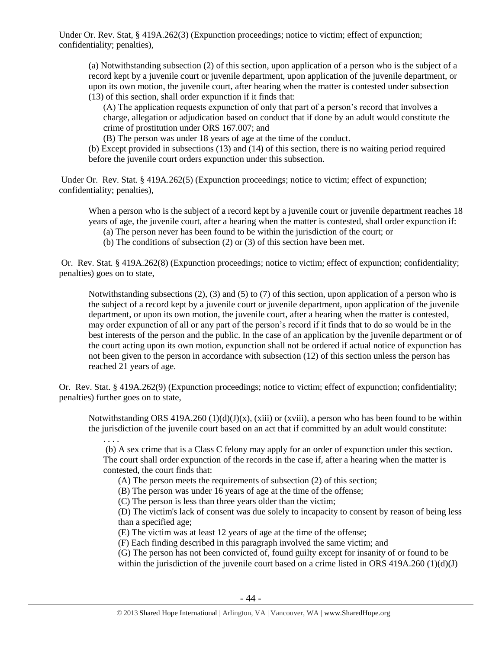Under Or. Rev. Stat, § 419A.262(3) (Expunction proceedings; notice to victim; effect of expunction; confidentiality; penalties),

(a) Notwithstanding subsection (2) of this section, upon application of a person who is the subject of a record kept by a juvenile court or juvenile department, upon application of the juvenile department, or upon its own motion, the juvenile court, after hearing when the matter is contested under subsection (13) of this section, shall order expunction if it finds that:

(A) The application requests expunction of only that part of a person's record that involves a charge, allegation or adjudication based on conduct that if done by an adult would constitute the crime of prostitution under ORS 167.007; and

(B) The person was under 18 years of age at the time of the conduct.

(b) Except provided in subsections (13) and (14) of this section, there is no waiting period required before the juvenile court orders expunction under this subsection.

Under Or. Rev. Stat. § 419A.262(5) (Expunction proceedings; notice to victim; effect of expunction; confidentiality; penalties),

When a person who is the subject of a record kept by a juvenile court or juvenile department reaches 18 years of age, the juvenile court, after a hearing when the matter is contested, shall order expunction if:

- (a) The person never has been found to be within the jurisdiction of the court; or
- (b) The conditions of subsection (2) or (3) of this section have been met.

Or. Rev. Stat. § 419A.262(8) (Expunction proceedings; notice to victim; effect of expunction; confidentiality; penalties) goes on to state,

Notwithstanding subsections  $(2)$ ,  $(3)$  and  $(5)$  to  $(7)$  of this section, upon application of a person who is the subject of a record kept by a juvenile court or juvenile department, upon application of the juvenile department, or upon its own motion, the juvenile court, after a hearing when the matter is contested, may order expunction of all or any part of the person's record if it finds that to do so would be in the best interests of the person and the public. In the case of an application by the juvenile department or of the court acting upon its own motion, expunction shall not be ordered if actual notice of expunction has not been given to the person in accordance with subsection (12) of this section unless the person has reached 21 years of age.

Or. Rev. Stat. § 419A.262(9) (Expunction proceedings; notice to victim; effect of expunction; confidentiality; penalties) further goes on to state,

Notwithstanding ORS 419A.260  $(1)(d)(J)(x)$ , (xiii) or (xviii), a person who has been found to be within the jurisdiction of the juvenile court based on an act that if committed by an adult would constitute:

. . . .

(b) A sex crime that is a Class C felony may apply for an order of expunction under this section. The court shall order expunction of the records in the case if, after a hearing when the matter is contested, the court finds that:

(A) The person meets the requirements of subsection (2) of this section;

(B) The person was under 16 years of age at the time of the offense;

(C) The person is less than three years older than the victim;

(D) The victim's lack of consent was due solely to incapacity to consent by reason of being less than a specified age;

(E) The victim was at least 12 years of age at the time of the offense;

(F) Each finding described in this paragraph involved the same victim; and

(G) The person has not been convicted of, found guilty except for insanity of or found to be within the jurisdiction of the juvenile court based on a crime listed in ORS 419A.260 (1)(d)(J)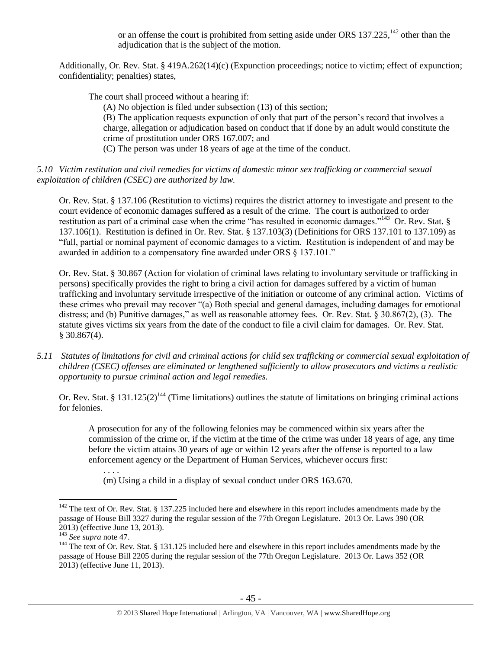or an offense the court is prohibited from setting aside under ORS  $137.225$ ,  $^{142}$  other than the adjudication that is the subject of the motion.

Additionally, Or. Rev. Stat. § 419A.262(14)(c) (Expunction proceedings; notice to victim; effect of expunction; confidentiality; penalties) states,

The court shall proceed without a hearing if:

(A) No objection is filed under subsection (13) of this section;

(B) The application requests expunction of only that part of the person's record that involves a charge, allegation or adjudication based on conduct that if done by an adult would constitute the crime of prostitution under ORS 167.007; and

(C) The person was under 18 years of age at the time of the conduct.

## *5.10 Victim restitution and civil remedies for victims of domestic minor sex trafficking or commercial sexual exploitation of children (CSEC) are authorized by law.*

Or. Rev. Stat. § 137.106 (Restitution to victims) requires the district attorney to investigate and present to the court evidence of economic damages suffered as a result of the crime. The court is authorized to order restitution as part of a criminal case when the crime "has resulted in economic damages."<sup>143</sup> Or. Rev. Stat. § 137.106(1). Restitution is defined in Or. Rev. Stat. § 137.103(3) (Definitions for ORS 137.101 to 137.109) as "full, partial or nominal payment of economic damages to a victim. Restitution is independent of and may be awarded in addition to a compensatory fine awarded under ORS § 137.101."

Or. Rev. Stat. § 30.867 (Action for violation of criminal laws relating to involuntary servitude or trafficking in persons) specifically provides the right to bring a civil action for damages suffered by a victim of human trafficking and involuntary servitude irrespective of the initiation or outcome of any criminal action. Victims of these crimes who prevail may recover "(a) Both special and general damages, including damages for emotional distress; and (b) Punitive damages," as well as reasonable attorney fees. Or. Rev. Stat. § 30.867(2), (3). The statute gives victims six years from the date of the conduct to file a civil claim for damages. Or. Rev. Stat.  $$30.867(4)$ .

*5.11 Statutes of limitations for civil and criminal actions for child sex trafficking or commercial sexual exploitation of children (CSEC) offenses are eliminated or lengthened sufficiently to allow prosecutors and victims a realistic opportunity to pursue criminal action and legal remedies.*

Or. Rev. Stat. § 131.125(2)<sup>144</sup> (Time limitations) outlines the statute of limitations on bringing criminal actions for felonies.

A prosecution for any of the following felonies may be commenced within six years after the commission of the crime or, if the victim at the time of the crime was under 18 years of age, any time before the victim attains 30 years of age or within 12 years after the offense is reported to a law enforcement agency or the Department of Human Services, whichever occurs first:

(m) Using a child in a display of sexual conduct under ORS 163.670.

 $\overline{a}$ 

. . . .

 $142$  The text of Or. Rev. Stat. § 137.225 included here and elsewhere in this report includes amendments made by the passage of House Bill 3327 during the regular session of the 77th Oregon Legislature. 2013 Or. Laws 390 (OR 2013) (effective June 13, 2013).

<sup>143</sup> *See supra* not[e 47.](#page-13-2)

<sup>&</sup>lt;sup>144</sup> The text of Or. Rev. Stat. § 131.125 included here and elsewhere in this report includes amendments made by the passage of House Bill 2205 during the regular session of the 77th Oregon Legislature. 2013 Or. Laws 352 (OR 2013) (effective June 11, 2013).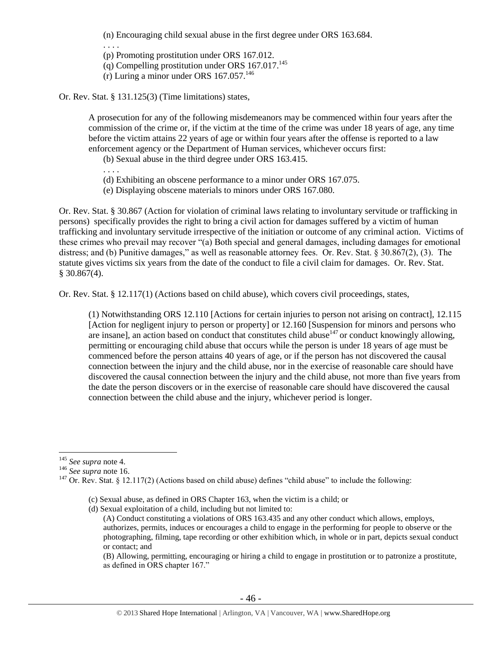(n) Encouraging child sexual abuse in the first degree under ORS 163.684.

. . . .

(p) Promoting prostitution under ORS 167.012.

 $\overline{q}$ ) Compelling prostitution under ORS 167.017.<sup>145</sup>

(r) Luring a minor under ORS  $167.057^{146}$ 

Or. Rev. Stat. § 131.125(3) (Time limitations) states,

A prosecution for any of the following misdemeanors may be commenced within four years after the commission of the crime or, if the victim at the time of the crime was under 18 years of age, any time before the victim attains 22 years of age or within four years after the offense is reported to a law enforcement agency or the Department of Human services, whichever occurs first:

(b) Sexual abuse in the third degree under ORS 163.415.

. . . .

- (d) Exhibiting an obscene performance to a minor under ORS 167.075.
- (e) Displaying obscene materials to minors under ORS 167.080.

Or. Rev. Stat. § 30.867 (Action for violation of criminal laws relating to involuntary servitude or trafficking in persons) specifically provides the right to bring a civil action for damages suffered by a victim of human trafficking and involuntary servitude irrespective of the initiation or outcome of any criminal action. Victims of these crimes who prevail may recover "(a) Both special and general damages, including damages for emotional distress; and (b) Punitive damages," as well as reasonable attorney fees. Or. Rev. Stat. § 30.867(2), (3). The statute gives victims six years from the date of the conduct to file a civil claim for damages. Or. Rev. Stat.  $$30.867(4)$ .

Or. Rev. Stat. § 12.117(1) (Actions based on child abuse), which covers civil proceedings, states,

(1) Notwithstanding ORS 12.110 [Actions for certain injuries to person not arising on contract], 12.115 [Action for negligent injury to person or property] or 12.160 [Suspension for minors and persons who are insane], an action based on conduct that constitutes child abuse $147$  or conduct knowingly allowing, permitting or encouraging child abuse that occurs while the person is under 18 years of age must be commenced before the person attains 40 years of age, or if the person has not discovered the causal connection between the injury and the child abuse, nor in the exercise of reasonable care should have discovered the causal connection between the injury and the child abuse, not more than five years from the date the person discovers or in the exercise of reasonable care should have discovered the causal connection between the child abuse and the injury, whichever period is longer.

 $\overline{a}$ 

(B) Allowing, permitting, encouraging or hiring a child to engage in prostitution or to patronize a prostitute, as defined in ORS chapter 167."

<sup>145</sup> *See supra* not[e 4.](#page-2-0)

<sup>146</sup> *See supra* not[e 16.](#page-6-1)

<sup>&</sup>lt;sup>147</sup> Or. Rev. Stat. § 12.117(2) (Actions based on child abuse) defines "child abuse" to include the following:

<sup>(</sup>c) Sexual abuse, as defined in ORS Chapter 163, when the victim is a child; or

<sup>(</sup>d) Sexual exploitation of a child, including but not limited to:

<sup>(</sup>A) Conduct constituting a violations of ORS 163.435 and any other conduct which allows, employs, authorizes, permits, induces or encourages a child to engage in the performing for people to observe or the photographing, filming, tape recording or other exhibition which, in whole or in part, depicts sexual conduct or contact; and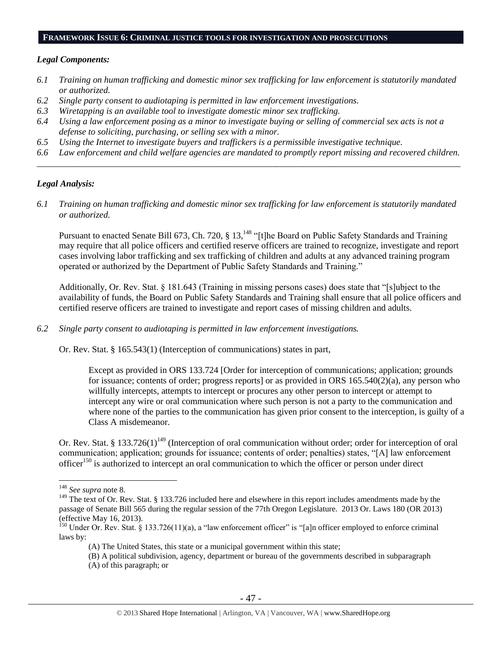#### **FRAMEWORK ISSUE 6: CRIMINAL JUSTICE TOOLS FOR INVESTIGATION AND PROSECUTIONS**

#### *Legal Components:*

- *6.1 Training on human trafficking and domestic minor sex trafficking for law enforcement is statutorily mandated or authorized.*
- *6.2 Single party consent to audiotaping is permitted in law enforcement investigations.*
- *6.3 Wiretapping is an available tool to investigate domestic minor sex trafficking.*
- *6.4 Using a law enforcement posing as a minor to investigate buying or selling of commercial sex acts is not a defense to soliciting, purchasing, or selling sex with a minor.*
- *6.5 Using the Internet to investigate buyers and traffickers is a permissible investigative technique.*
- *6.6 Law enforcement and child welfare agencies are mandated to promptly report missing and recovered children. \_\_\_\_\_\_\_\_\_\_\_\_\_\_\_\_\_\_\_\_\_\_\_\_\_\_\_\_\_\_\_\_\_\_\_\_\_\_\_\_\_\_\_\_\_\_\_\_\_\_\_\_\_\_\_\_\_\_\_\_\_\_\_\_\_\_\_\_\_\_\_\_\_\_\_\_\_\_\_\_\_\_\_\_\_\_\_\_\_\_\_\_\_\_*

#### *Legal Analysis:*

*6.1 Training on human trafficking and domestic minor sex trafficking for law enforcement is statutorily mandated or authorized.*

Pursuant to enacted Senate Bill 673, Ch. 720, § 13,<sup>148</sup> "[t]he Board on Public Safety Standards and Training may require that all police officers and certified reserve officers are trained to recognize, investigate and report cases involving labor trafficking and sex trafficking of children and adults at any advanced training program operated or authorized by the Department of Public Safety Standards and Training."

Additionally, Or. Rev. Stat. § 181.643 (Training in missing persons cases) does state that "[s]ubject to the availability of funds, the Board on Public Safety Standards and Training shall ensure that all police officers and certified reserve officers are trained to investigate and report cases of missing children and adults.

*6.2 Single party consent to audiotaping is permitted in law enforcement investigations.*

Or. Rev. Stat. § 165.543(1) (Interception of communications) states in part,

Except as provided in ORS 133.724 [Order for interception of communications; application; grounds for issuance; contents of order; progress reports] or as provided in ORS 165.540(2)(a), any person who willfully intercepts, attempts to intercept or procures any other person to intercept or attempt to intercept any wire or oral communication where such person is not a party to the communication and where none of the parties to the communication has given prior consent to the interception, is guilty of a Class A misdemeanor.

<span id="page-46-0"></span>Or. Rev. Stat. § 133.726(1)<sup>149</sup> (Interception of oral communication without order; order for interception of oral communication; application; grounds for issuance; contents of order; penalties) states, "[A] law enforcement officer<sup>150</sup> is authorized to intercept an oral communication to which the officer or person under direct

 $\overline{a}$ 

(A) of this paragraph; or

<sup>148</sup> *See supra* not[e 8.](#page-2-1)

<sup>&</sup>lt;sup>149</sup> The text of Or. Rev. Stat. § 133.726 included here and elsewhere in this report includes amendments made by the passage of Senate Bill 565 during the regular session of the 77th Oregon Legislature. 2013 Or. Laws 180 (OR 2013) (effective May 16, 2013).

 $150$  Under Or. Rev. Stat. § 133.726(11)(a), a "law enforcement officer" is "[a]n officer employed to enforce criminal laws by:

<sup>(</sup>A) The United States, this state or a municipal government within this state;

<sup>(</sup>B) A political subdivision, agency, department or bureau of the governments described in subparagraph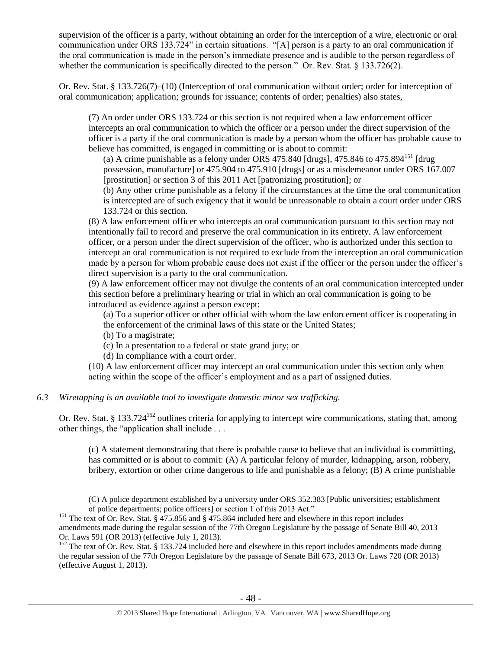supervision of the officer is a party, without obtaining an order for the interception of a wire, electronic or oral communication under ORS 133.724" in certain situations. "[A] person is a party to an oral communication if the oral communication is made in the person's immediate presence and is audible to the person regardless of whether the communication is specifically directed to the person." Or. Rev. Stat. § 133.726(2).

Or. Rev. Stat. § 133.726(7)–(10) (Interception of oral communication without order; order for interception of oral communication; application; grounds for issuance; contents of order; penalties) also states,

(7) An order under ORS 133.724 or this section is not required when a law enforcement officer intercepts an oral communication to which the officer or a person under the direct supervision of the officer is a party if the oral communication is made by a person whom the officer has probable cause to believe has committed, is engaged in committing or is about to commit:

(a) A crime punishable as a felony under ORS 475.840 [drugs],  $475.846$  to  $475.894$ <sup>151</sup> [drug] possession, manufacture] or 475.904 to 475.910 [drugs] or as a misdemeanor under ORS 167.007 [prostitution] or section 3 of this 2011 Act [patronizing prostitution]; or

(b) Any other crime punishable as a felony if the circumstances at the time the oral communication is intercepted are of such exigency that it would be unreasonable to obtain a court order under ORS 133.724 or this section.

(8) A law enforcement officer who intercepts an oral communication pursuant to this section may not intentionally fail to record and preserve the oral communication in its entirety. A law enforcement officer, or a person under the direct supervision of the officer, who is authorized under this section to intercept an oral communication is not required to exclude from the interception an oral communication made by a person for whom probable cause does not exist if the officer or the person under the officer's direct supervision is a party to the oral communication.

(9) A law enforcement officer may not divulge the contents of an oral communication intercepted under this section before a preliminary hearing or trial in which an oral communication is going to be introduced as evidence against a person except:

(a) To a superior officer or other official with whom the law enforcement officer is cooperating in the enforcement of the criminal laws of this state or the United States;

(b) To a magistrate;

 $\overline{a}$ 

(c) In a presentation to a federal or state grand jury; or

(d) In compliance with a court order.

(10) A law enforcement officer may intercept an oral communication under this section only when acting within the scope of the officer's employment and as a part of assigned duties.

# *6.3 Wiretapping is an available tool to investigate domestic minor sex trafficking.*

Or. Rev. Stat. § 133.724<sup>152</sup> outlines criteria for applying to intercept wire communications, stating that, among other things, the "application shall include . . .

(c) A statement demonstrating that there is probable cause to believe that an individual is committing, has committed or is about to commit: (A) A particular felony of murder, kidnapping, arson, robbery, bribery, extortion or other crime dangerous to life and punishable as a felony; (B) A crime punishable

<sup>(</sup>C) A police department established by a university under ORS 352.383 [Public universities; establishment of police departments; police officers] or section 1 of this 2013 Act."

<sup>&</sup>lt;sup>151</sup> The text of Or. Rev. Stat. § 475.856 and § 475.864 included here and elsewhere in this report includes amendments made during the regular session of the 77th Oregon Legislature by the passage of Senate Bill 40, 2013 Or. Laws 591 (OR 2013) (effective July 1, 2013).

 $152$  The text of Or. Rev. Stat. § 133.724 included here and elsewhere in this report includes amendments made during the regular session of the 77th Oregon Legislature by the passage of Senate Bill 673, 2013 Or. Laws 720 (OR 2013) (effective August 1, 2013).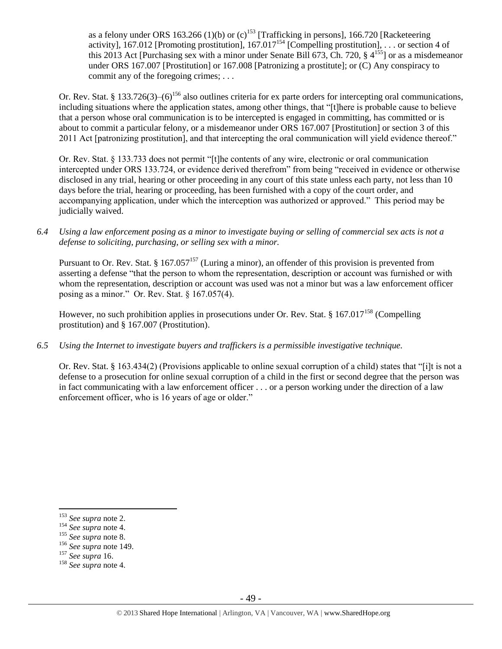as a felony under ORS 163.266 (1)(b) or (c)<sup>153</sup> [Trafficking in persons], 166.720 [Racketeering activity], 167.012 [Promoting prostitution], 167.017<sup>154</sup> [Compelling prostitution], ... or section 4 of this 2013 Act [Purchasing sex with a minor under Senate Bill 673, Ch. 720,  $\S 4^{155}$ ] or as a misdemeanor under ORS 167.007 [Prostitution] or 167.008 [Patronizing a prostitute]; or (C) Any conspiracy to commit any of the foregoing crimes; ...

Or. Rev. Stat. § 133.726(3)–(6)<sup>156</sup> also outlines criteria for ex parte orders for intercepting oral communications, including situations where the application states, among other things, that "[t]here is probable cause to believe that a person whose oral communication is to be intercepted is engaged in committing, has committed or is about to commit a particular felony, or a misdemeanor under ORS 167.007 [Prostitution] or section 3 of this 2011 Act [patronizing prostitution], and that intercepting the oral communication will yield evidence thereof."

Or. Rev. Stat. § 133.733 does not permit "[t]he contents of any wire, electronic or oral communication intercepted under ORS 133.724, or evidence derived therefrom" from being "received in evidence or otherwise disclosed in any trial, hearing or other proceeding in any court of this state unless each party, not less than 10 days before the trial, hearing or proceeding, has been furnished with a copy of the court order, and accompanying application, under which the interception was authorized or approved." This period may be judicially waived.

*6.4 Using a law enforcement posing as a minor to investigate buying or selling of commercial sex acts is not a defense to soliciting, purchasing, or selling sex with a minor.*

Pursuant to Or. Rev. Stat. § 167.057<sup>157</sup> (Luring a minor), an offender of this provision is prevented from asserting a defense "that the person to whom the representation, description or account was furnished or with whom the representation, description or account was used was not a minor but was a law enforcement officer posing as a minor." Or. Rev. Stat. § 167.057(4).

However, no such prohibition applies in prosecutions under Or. Rev. Stat. § 167.017<sup>158</sup> (Compelling prostitution) and § 167.007 (Prostitution).

*6.5 Using the Internet to investigate buyers and traffickers is a permissible investigative technique.*

Or. Rev. Stat. § 163.434(2) (Provisions applicable to online sexual corruption of a child) states that "[i]t is not a defense to a prosecution for online sexual corruption of a child in the first or second degree that the person was in fact communicating with a law enforcement officer . . . or a person working under the direction of a law enforcement officer, who is 16 years of age or older."

<sup>153</sup> *See supra* not[e 2.](#page-0-0)

<sup>154</sup> *See supra* not[e 4.](#page-2-0)

<sup>155</sup> *See supra* not[e 8.](#page-2-1)

<sup>156</sup> *See supra* not[e 149.](#page-46-0)

<sup>157</sup> *See supra* [16.](#page-6-1)

<sup>158</sup> *See supra* not[e 4.](#page-2-0)